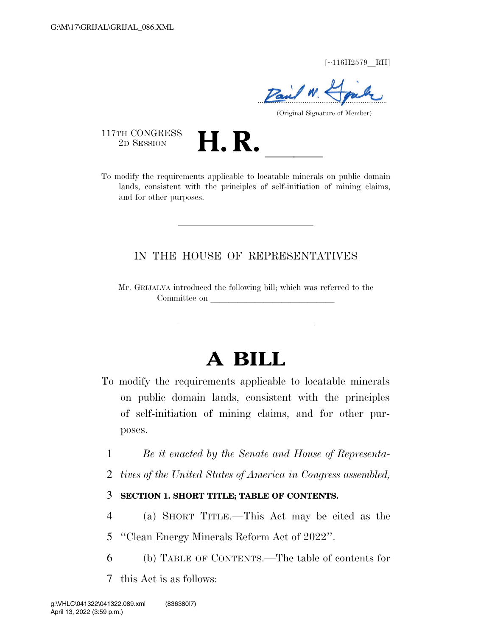$[-116H2579$  RH]

Paul 1

(Original Signature of Member)

117TH CONGRESS<br>2D SESSION

TETH CONGRESS<br>
2D SESSION<br>
To modify the requirements applicable to locatable minerals on public domain lands, consistent with the principles of self-initiation of mining claims, and for other purposes.

## IN THE HOUSE OF REPRESENTATIVES

Mr. GRIJALVA introduced the following bill; which was referred to the Committee on

# **A BILL**

- To modify the requirements applicable to locatable minerals on public domain lands, consistent with the principles of self-initiation of mining claims, and for other purposes.
	- 1 *Be it enacted by the Senate and House of Representa-*
	- 2 *tives of the United States of America in Congress assembled,*

## 3 **SECTION 1. SHORT TITLE; TABLE OF CONTENTS.**

- 4 (a) SHORT TITLE.—This Act may be cited as the
- 5 ''Clean Energy Minerals Reform Act of 2022''.
- 6 (b) TABLE OF CONTENTS.—The table of contents for
- 7 this Act is as follows: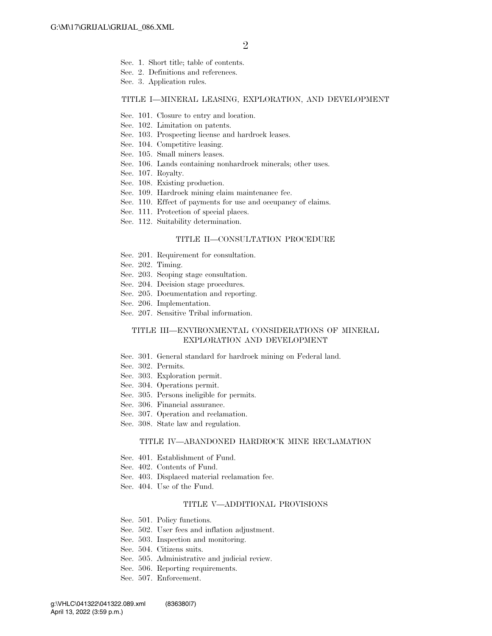- Sec. 1. Short title; table of contents.
- Sec. 2. Definitions and references.
- Sec. 3. Application rules.

#### TITLE I—MINERAL LEASING, EXPLORATION, AND DEVELOPMENT

- Sec. 101. Closure to entry and location.
- Sec. 102. Limitation on patents.
- Sec. 103. Prospecting license and hardrock leases.
- Sec. 104. Competitive leasing.
- Sec. 105. Small miners leases.
- Sec. 106. Lands containing nonhardrock minerals; other uses.
- Sec. 107. Royalty.
- Sec. 108. Existing production.
- Sec. 109. Hardrock mining claim maintenance fee.
- Sec. 110. Effect of payments for use and occupancy of claims.
- Sec. 111. Protection of special places.
- Sec. 112. Suitability determination.

#### TITLE II—CONSULTATION PROCEDURE

- Sec. 201. Requirement for consultation.
- Sec. 202. Timing.
- Sec. 203. Scoping stage consultation.
- Sec. 204. Decision stage procedures.
- Sec. 205. Documentation and reporting.
- Sec. 206. Implementation.
- Sec. 207. Sensitive Tribal information.

#### TITLE III—ENVIRONMENTAL CONSIDERATIONS OF MINERAL EXPLORATION AND DEVELOPMENT

- Sec. 301. General standard for hardrock mining on Federal land.
- Sec. 302. Permits.
- Sec. 303. Exploration permit.
- Sec. 304. Operations permit.
- Sec. 305. Persons ineligible for permits.
- Sec. 306. Financial assurance.
- Sec. 307. Operation and reclamation.
- Sec. 308. State law and regulation.

#### TITLE IV—ABANDONED HARDROCK MINE RECLAMATION

- Sec. 401. Establishment of Fund.
- Sec. 402. Contents of Fund.
- Sec. 403. Displaced material reclamation fee.
- Sec. 404. Use of the Fund.

#### TITLE V—ADDITIONAL PROVISIONS

- Sec. 501. Policy functions.
- Sec. 502. User fees and inflation adjustment.
- Sec. 503. Inspection and monitoring.
- Sec. 504. Citizens suits.
- Sec. 505. Administrative and judicial review.
- Sec. 506. Reporting requirements.
- Sec. 507. Enforcement.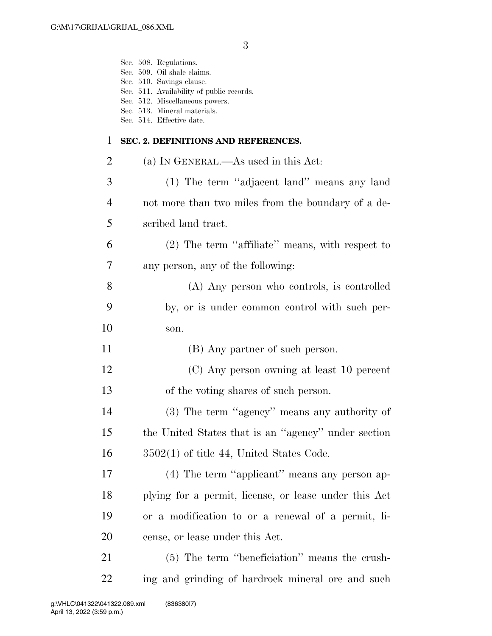|             | Sec. 508. Regulations.<br>Sec. 509. Oil shale claims.<br>Sec. 510. Savings clause.<br>Sec. 511. Availability of public records.<br>Sec. 512. Miscellaneous powers.<br>Sec. 513. Mineral materials.<br>Sec. 514. Effective date. |
|-------------|---------------------------------------------------------------------------------------------------------------------------------------------------------------------------------------------------------------------------------|
| $\mathbf 1$ | SEC. 2. DEFINITIONS AND REFERENCES.                                                                                                                                                                                             |
| 2           | (a) IN GENERAL.—As used in this Act:                                                                                                                                                                                            |
| 3           | (1) The term "adjacent land" means any land                                                                                                                                                                                     |
| 4           | not more than two miles from the boundary of a de-                                                                                                                                                                              |
| 5           | scribed land tract.                                                                                                                                                                                                             |
| 6           | (2) The term "affiliate" means, with respect to                                                                                                                                                                                 |
| 7           | any person, any of the following:                                                                                                                                                                                               |
| 8           | (A) Any person who controls, is controlled                                                                                                                                                                                      |
| 9           | by, or is under common control with such per-                                                                                                                                                                                   |
| 10          | son.                                                                                                                                                                                                                            |
| 11          | (B) Any partner of such person.                                                                                                                                                                                                 |
| 12          | (C) Any person owning at least 10 percent                                                                                                                                                                                       |
| 13          | of the voting shares of such person.                                                                                                                                                                                            |
| 14          | (3) The term "agency" means any authority of                                                                                                                                                                                    |
| 15          | the United States that is an "agency" under section                                                                                                                                                                             |
| 16          | $3502(1)$ of title 44, United States Code.                                                                                                                                                                                      |
| 17          | (4) The term "applicant" means any person ap-                                                                                                                                                                                   |
| 18          | plying for a permit, license, or lease under this Act                                                                                                                                                                           |
| 19          | or a modification to or a renewal of a permit, li-                                                                                                                                                                              |
| 20          | cense, or lease under this Act.                                                                                                                                                                                                 |
| 21          | (5) The term "beneficiation" means the crush-                                                                                                                                                                                   |
| 22          | ing and grinding of hardrock mineral ore and such                                                                                                                                                                               |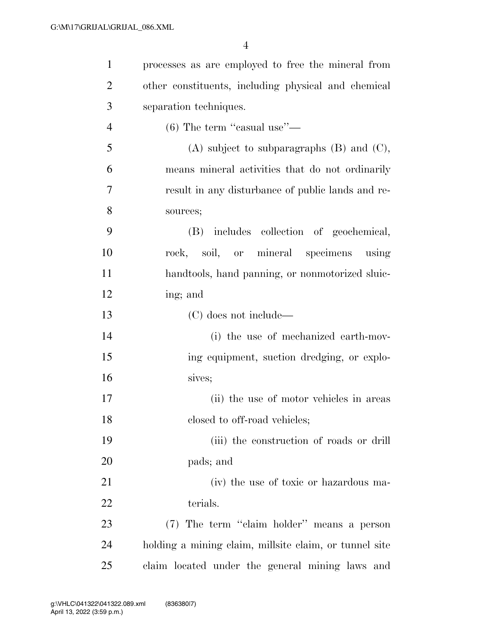| $\mathbf{1}$   | processes as are employed to free the mineral from     |
|----------------|--------------------------------------------------------|
| $\overline{2}$ | other constituents, including physical and chemical    |
| 3              | separation techniques.                                 |
| $\overline{4}$ | $(6)$ The term "casual use"—                           |
| 5              | $(A)$ subject to subparagraphs $(B)$ and $(C)$ ,       |
| 6              | means mineral activities that do not ordinarily        |
| 7              | result in any disturbance of public lands and re-      |
| 8              | sources;                                               |
| 9              | (B) includes collection of geochemical,                |
| 10             | rock, soil, or mineral specimens using                 |
| 11             | handtools, hand panning, or nonmotorized sluic-        |
| 12             | ing; and                                               |
| 13             | (C) does not include—                                  |
| 14             | (i) the use of mechanized earth-mov-                   |
| 15             | ing equipment, suction dredging, or explo-             |
| 16             | sives;                                                 |
| 17             | (ii) the use of motor vehicles in areas                |
| 18             | closed to off-road vehicles;                           |
| 19             | (iii) the construction of roads or drill               |
| 20             | pads; and                                              |
| 21             | (iv) the use of toxic or hazardous ma-                 |
| 22             | terials.                                               |
| 23             | (7) The term "claim holder" means a person             |
| 24             | holding a mining claim, millsite claim, or tunnel site |
| 25             | claim located under the general mining laws and        |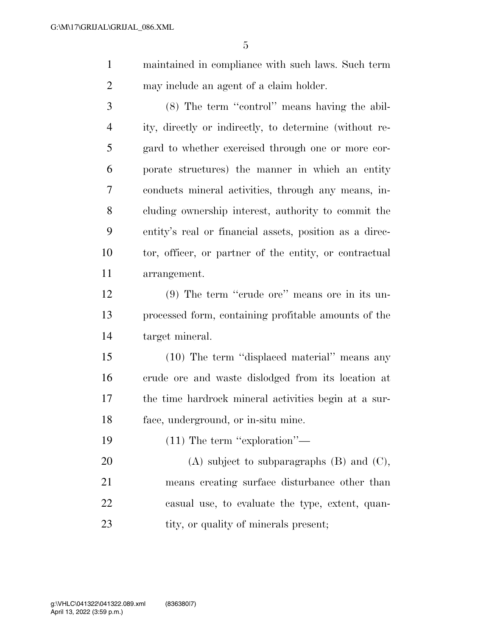maintained in compliance with such laws. Such term may include an agent of a claim holder.

 (8) The term ''control'' means having the abil- ity, directly or indirectly, to determine (without re- gard to whether exercised through one or more cor- porate structures) the manner in which an entity conducts mineral activities, through any means, in- cluding ownership interest, authority to commit the entity's real or financial assets, position as a direc- tor, officer, or partner of the entity, or contractual arrangement.

 (9) The term ''crude ore'' means ore in its un- processed form, containing profitable amounts of the target mineral.

 (10) The term ''displaced material'' means any crude ore and waste dislodged from its location at the time hardrock mineral activities begin at a sur-face, underground, or in-situ mine.

19 (11) The term "exploration"—

20 (A) subject to subparagraphs (B) and (C), means creating surface disturbance other than casual use, to evaluate the type, extent, quan-23 tity, or quality of minerals present;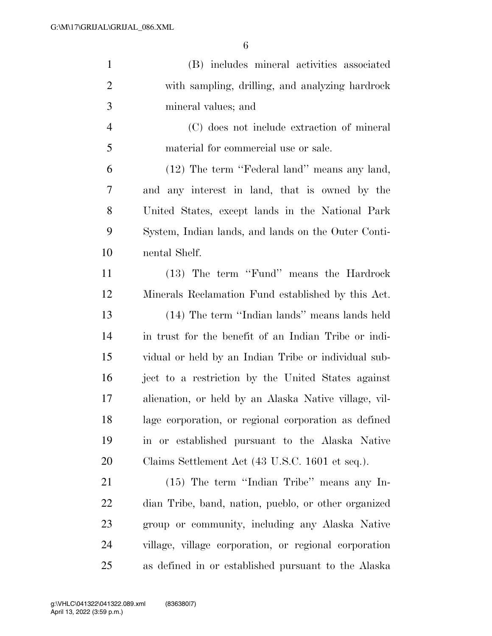| $\mathbf{1}$   | (B) includes mineral activities associated            |
|----------------|-------------------------------------------------------|
| $\overline{2}$ | with sampling, drilling, and analyzing hardrock       |
| 3              | mineral values; and                                   |
| $\overline{4}$ | (C) does not include extraction of mineral            |
| 5              | material for commercial use or sale.                  |
| 6              | (12) The term "Federal land" means any land,          |
| 7              | and any interest in land, that is owned by the        |
| 8              | United States, except lands in the National Park      |
| 9              | System, Indian lands, and lands on the Outer Conti-   |
| 10             | nental Shelf.                                         |
| 11             | (13) The term "Fund" means the Hardrock               |
| 12             | Minerals Reclamation Fund established by this Act.    |
| 13             | (14) The term "Indian lands" means lands held         |
| 14             | in trust for the benefit of an Indian Tribe or indi-  |
| 15             | vidual or held by an Indian Tribe or individual sub-  |
| 16             | ject to a restriction by the United States against    |
| 17             | alienation, or held by an Alaska Native village, vil- |
| 18             | lage corporation, or regional corporation as defined  |
| 19             | in or established pursuant to the Alaska Native       |
| 20             | Claims Settlement Act (43 U.S.C. 1601 et seq.).       |
| 21             | (15) The term "Indian Tribe" means any In-            |
| 22             | dian Tribe, band, nation, pueblo, or other organized  |
| 23             | group or community, including any Alaska Native       |
| 24             | village, village corporation, or regional corporation |
| 25             | as defined in or established pursuant to the Alaska   |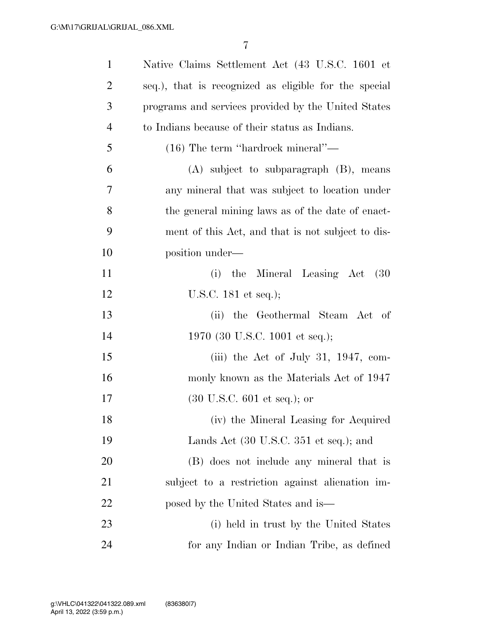| $\mathbf{1}$   | Native Claims Settlement Act (43 U.S.C. 1601 et           |
|----------------|-----------------------------------------------------------|
| $\overline{2}$ | seq.), that is recognized as eligible for the special     |
| 3              | programs and services provided by the United States       |
| $\overline{4}$ | to Indians because of their status as Indians.            |
| 5              | $(16)$ The term "hardrock mineral"—                       |
| 6              | $(A)$ subject to subparagraph $(B)$ , means               |
| 7              | any mineral that was subject to location under            |
| 8              | the general mining laws as of the date of enact-          |
| 9              | ment of this Act, and that is not subject to dis-         |
| 10             | position under—                                           |
| 11             | (i) the Mineral Leasing Act (30)                          |
| 12             | U.S.C. $181$ et seq.);                                    |
| 13             | the Geothermal Steam Act of<br>(ii)                       |
| 14             | 1970 (30 U.S.C. 1001 et seq.);                            |
| 15             | (iii) the Act of July 31, 1947, com-                      |
| 16             | monly known as the Materials Act of 1947                  |
| 17             | $(30 \text{ U.S.C. } 601 \text{ et seq.});$ or            |
| 18             | (iv) the Mineral Leasing for Acquired                     |
| 19             | Lands Act $(30 \text{ U.S.C. } 351 \text{ et seq.});$ and |
| 20             | (B) does not include any mineral that is                  |
| 21             | subject to a restriction against alienation im-           |
| 22             | posed by the United States and is—                        |
| 23             | (i) held in trust by the United States                    |
| 24             | for any Indian or Indian Tribe, as defined                |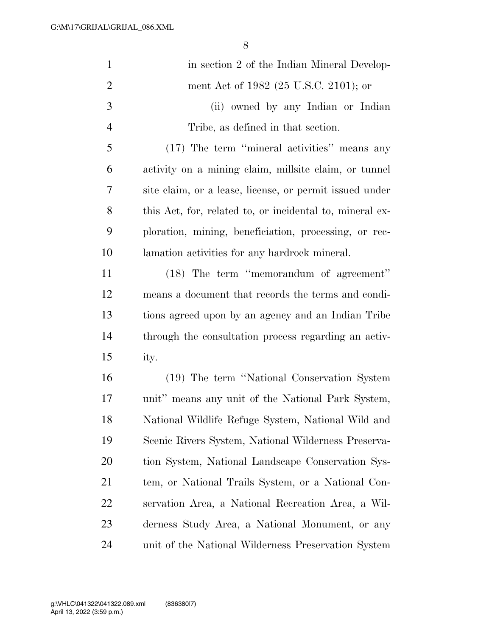| $\mathbf{1}$   | in section 2 of the Indian Mineral Develop-              |
|----------------|----------------------------------------------------------|
| $\overline{2}$ | ment Act of 1982 (25 U.S.C. 2101); or                    |
| 3              | (ii) owned by any Indian or Indian                       |
| $\overline{4}$ | Tribe, as defined in that section.                       |
| 5              | (17) The term "mineral activities" means any             |
| 6              | activity on a mining claim, millsite claim, or tunnel    |
| 7              | site claim, or a lease, license, or permit issued under  |
| 8              | this Act, for, related to, or incidental to, mineral ex- |
| 9              | ploration, mining, beneficiation, processing, or rec-    |
| 10             | lamation activities for any hardrock mineral.            |
| 11             | (18) The term "memorandum of agreement"                  |
| 12             | means a document that records the terms and condi-       |
| 13             | tions agreed upon by an agency and an Indian Tribe       |
| 14             | through the consultation process regarding an activ-     |
| 15             | ity.                                                     |
| 16             | (19) The term "National Conservation System              |
| 17             | unit" means any unit of the National Park System,        |
| 18             | National Wildlife Refuge System, National Wild and       |
| 19             | Scenic Rivers System, National Wilderness Preserva-      |
| 20             | tion System, National Landscape Conservation Sys-        |
| 21             | tem, or National Trails System, or a National Con-       |
| 22             | servation Area, a National Recreation Area, a Wil-       |
| 23             | derness Study Area, a National Monument, or any          |
| 24             | unit of the National Wilderness Preservation System      |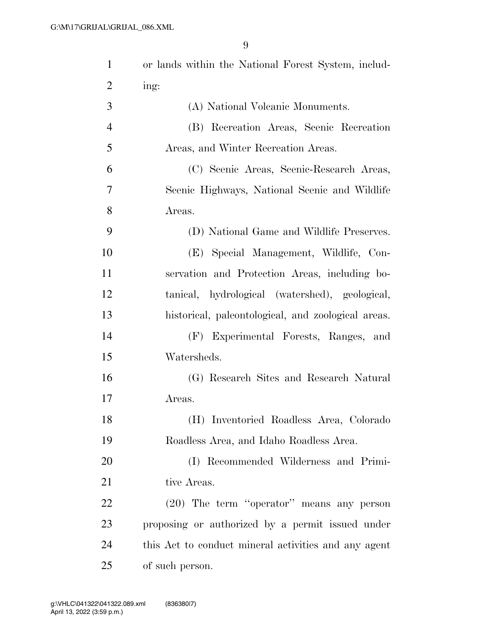| $\mathbf{1}$   | or lands within the National Forest System, includ-  |
|----------------|------------------------------------------------------|
| $\overline{2}$ | ing:                                                 |
| 3              | (A) National Volcanic Monuments.                     |
| $\overline{4}$ | (B) Recreation Areas, Scenic Recreation              |
| 5              | Areas, and Winter Recreation Areas.                  |
| 6              | (C) Scenic Areas, Scenic-Research Areas,             |
| 7              | Scenic Highways, National Scenic and Wildlife        |
| 8              | Areas.                                               |
| 9              | (D) National Game and Wildlife Preserves.            |
| 10             | (E) Special Management, Wildlife, Con-               |
| 11             | servation and Protection Areas, including bo-        |
| 12             | tanical, hydrological (watershed), geological,       |
| 13             | historical, paleontological, and zoological areas.   |
| 14             | (F) Experimental Forests, Ranges, and                |
| 15             | Watersheds.                                          |
| 16             | (G) Research Sites and Research Natural              |
| 17             | Areas.                                               |
| 18             | (H) Inventoried Roadless Area, Colorado              |
| 19             | Roadless Area, and Idaho Roadless Area.              |
| 20             | (I) Recommended Wilderness and Primi-                |
| 21             | tive Areas.                                          |
| 22             | $(20)$ The term "operator" means any person          |
| 23             | proposing or authorized by a permit issued under     |
| 24             | this Act to conduct mineral activities and any agent |
| 25             | of such person.                                      |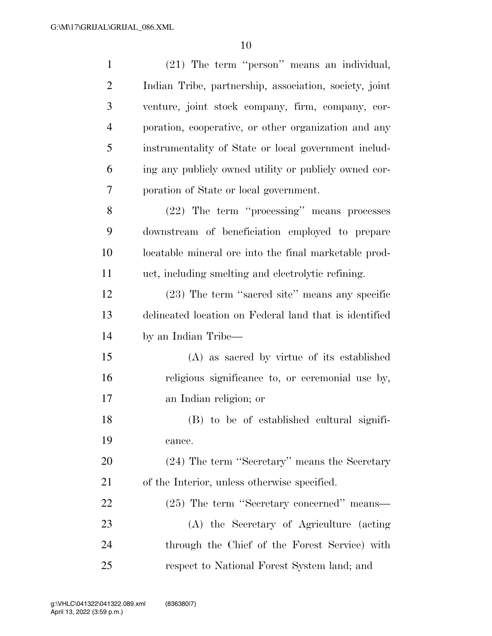| $\mathbf{1}$   | (21) The term "person" means an individual,            |
|----------------|--------------------------------------------------------|
| $\overline{2}$ | Indian Tribe, partnership, association, society, joint |
| 3              | venture, joint stock company, firm, company, cor-      |
| $\overline{4}$ | poration, cooperative, or other organization and any   |
| 5              | instrumentality of State or local government includ-   |
| 6              | ing any publicly owned utility or publicly owned cor-  |
| 7              | poration of State or local government.                 |
| 8              | (22) The term "processing" means processes             |
| 9              | downstream of beneficiation employed to prepare        |
| 10             | locatable mineral ore into the final marketable prod-  |
| 11             | uct, including smelting and electrolytic refining.     |
| 12             | (23) The term "sacred site" means any specific         |
| 13             | delineated location on Federal land that is identified |
| 14             | by an Indian Tribe—                                    |
| 15             | (A) as sacred by virtue of its established             |
| 16             | religious significance to, or ceremonial use by,       |
| 17             | an Indian religion; or                                 |
| 18             | (B) to be of established cultural signifi-             |
| 19             | cance.                                                 |
| 20             | (24) The term "Secretary" means the Secretary          |
| 21             | of the Interior, unless otherwise specified.           |
| 22             | (25) The term "Secretary concerned" means—             |
| 23             | (A) the Secretary of Agriculture (acting               |
| 24             | through the Chief of the Forest Service) with          |
| 25             | respect to National Forest System land; and            |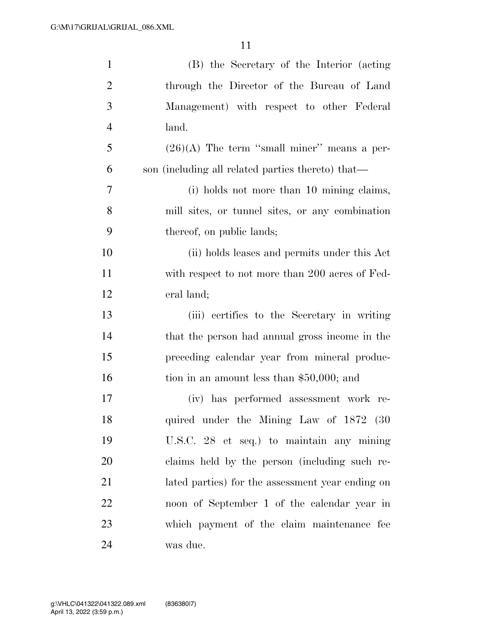| $\mathbf{1}$   | (B) the Secretary of the Interior (acting         |
|----------------|---------------------------------------------------|
| $\overline{2}$ | through the Director of the Bureau of Land        |
| 3              | Management) with respect to other Federal         |
| $\overline{4}$ | land.                                             |
| 5              | $(26)(A)$ The term "small miner" means a per-     |
| 6              | son (including all related parties thereto) that— |
| 7              | (i) holds not more than 10 mining claims,         |
| 8              | mill sites, or tunnel sites, or any combination   |
| 9              | thereof, on public lands;                         |
| 10             | (ii) holds leases and permits under this Act      |
| 11             | with respect to not more than 200 acres of Fed-   |
| 12             | eral land;                                        |
| 13             | (iii) certifies to the Secretary in writing       |
| 14             | that the person had annual gross income in the    |
| 15             | preceding calendar year from mineral produc-      |
| 16             | tion in an amount less than $$50,000$ ; and       |
| 17             | has performed assessment work re-<br>(iv)         |
| 18             | quired under the Mining Law of 1872 (30           |
| 19             | U.S.C. 28 et seq.) to maintain any mining         |
| 20             | claims held by the person (including such re-     |
| 21             | lated parties) for the assessment year ending on  |
| 22             | noon of September 1 of the calendar year in       |
| 23             | which payment of the claim maintenance fee        |
| 24             | was due.                                          |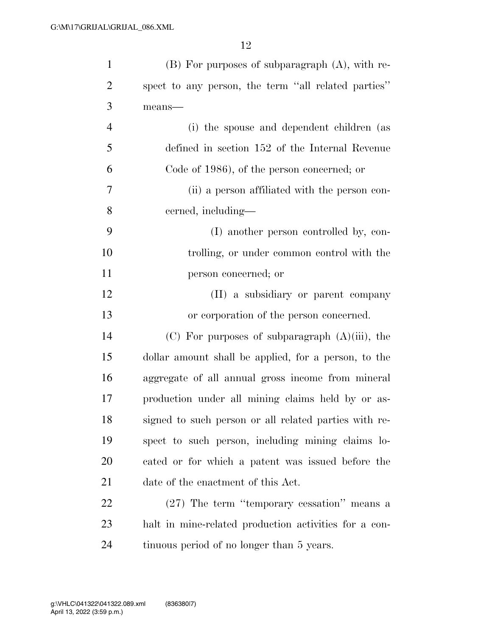| $\mathbf{1}$   | $(B)$ For purposes of subparagraph $(A)$ , with re-   |
|----------------|-------------------------------------------------------|
| $\overline{2}$ | spect to any person, the term "all related parties"   |
| 3              | $means$ —                                             |
| $\overline{4}$ | (i) the spouse and dependent children (as             |
| 5              | defined in section 152 of the Internal Revenue        |
| 6              | Code of 1986), of the person concerned; or            |
| $\overline{7}$ | (ii) a person affiliated with the person con-         |
| 8              | cerned, including—                                    |
| 9              | (I) another person controlled by, con-                |
| 10             | trolling, or under common control with the            |
| 11             | person concerned; or                                  |
| 12             | (II) a subsidiary or parent company                   |
| 13             | or corporation of the person concerned.               |
| 14             | $(C)$ For purposes of subparagraph $(A)(iii)$ , the   |
| 15             | dollar amount shall be applied, for a person, to the  |
| 16             | aggregate of all annual gross income from mineral     |
| 17             | production under all mining claims held by or as-     |
| 18             | signed to such person or all related parties with re- |
| 19             | spect to such person, including mining claims lo-     |
| 20             | cated or for which a patent was issued before the     |
| 21             | date of the enactment of this Act.                    |
| 22             | (27) The term "temporary cessation" means a           |
| 23             | halt in mine-related production activities for a con- |
| 24             | tinuous period of no longer than 5 years.             |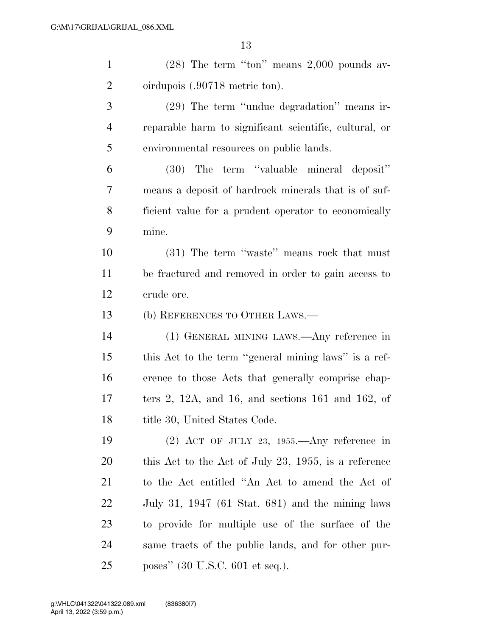| $\mathbf{1}$   | $(28)$ The term "ton" means $2,000$ pounds av-              |
|----------------|-------------------------------------------------------------|
| $\overline{2}$ | oirdupois (.90718 metric ton).                              |
| 3              | (29) The term "undue degradation" means ir-                 |
| $\overline{4}$ | reparable harm to significant scientific, cultural, or      |
| 5              | environmental resources on public lands.                    |
| 6              | (30) The term "valuable mineral deposit"                    |
| $\tau$         | means a deposit of hardrock minerals that is of suf-        |
| 8              | ficient value for a prudent operator to economically        |
| 9              | mine.                                                       |
| 10             | (31) The term "waste" means rock that must                  |
| 11             | be fractured and removed in order to gain access to         |
| 12             | crude ore.                                                  |
| 13             | (b) REFERENCES TO OTHER LAWS.—                              |
| 14             | (1) GENERAL MINING LAWS.—Any reference in                   |
| 15             | this Act to the term "general mining laws" is a ref-        |
| 16             | erence to those Acts that generally comprise chap-          |
| 17             | ters 2, 12A, and 16, and sections $161$ and $162$ , of      |
| 18             | title 30, United States Code.                               |
| 19             | $(2)$ ACT OF JULY 23, 1955.—Any reference in                |
| 20             | this Act to the Act of July 23, 1955, is a reference        |
| 21             | to the Act entitled "An Act to amend the Act of             |
| 22             | July 31, 1947 $(61 \text{ Stat. } 681)$ and the mining laws |
| 23             | to provide for multiple use of the surface of the           |
| 24             | same tracts of the public lands, and for other pur-         |
| 25             | poses" (30 U.S.C. 601 et seq.).                             |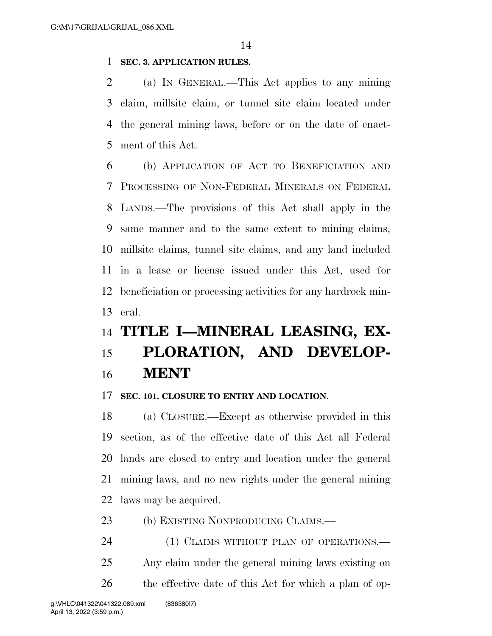## **SEC. 3. APPLICATION RULES.**

 (a) IN GENERAL.—This Act applies to any mining claim, millsite claim, or tunnel site claim located under the general mining laws, before or on the date of enact-ment of this Act.

 (b) APPLICATION OF ACT TO BENEFICIATION AND PROCESSING OF NON-FEDERAL MINERALS ON FEDERAL LANDS.—The provisions of this Act shall apply in the same manner and to the same extent to mining claims, millsite claims, tunnel site claims, and any land included in a lease or license issued under this Act, used for beneficiation or processing activities for any hardrock min-eral.

## **TITLE I—MINERAL LEASING, EX-**

## **PLORATION, AND DEVELOP-MENT**

#### **SEC. 101. CLOSURE TO ENTRY AND LOCATION.**

 (a) CLOSURE.—Except as otherwise provided in this section, as of the effective date of this Act all Federal lands are closed to entry and location under the general mining laws, and no new rights under the general mining laws may be acquired.

(b) EXISTING NONPRODUCING CLAIMS.—

24 (1) CLAIMS WITHOUT PLAN OF OPERATIONS.— Any claim under the general mining laws existing on 26 the effective date of this Act for which a plan of op-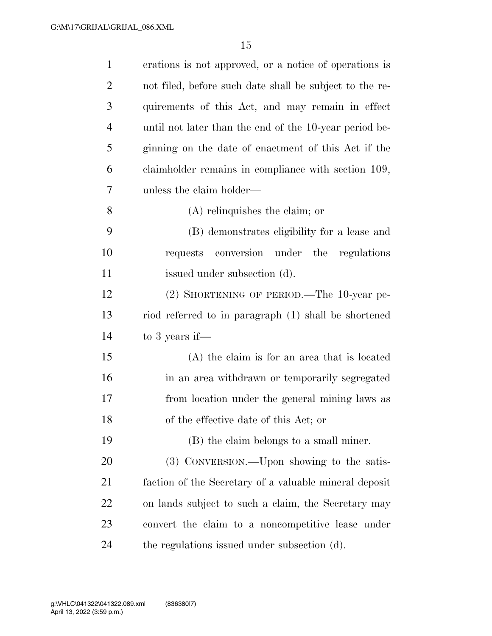| $\mathbf{1}$   | erations is not approved, or a notice of operations is  |
|----------------|---------------------------------------------------------|
| $\overline{2}$ | not filed, before such date shall be subject to the re- |
| 3              | quirements of this Act, and may remain in effect        |
| $\overline{4}$ | until not later than the end of the 10-year period be-  |
| 5              | ginning on the date of enactment of this Act if the     |
| 6              | claimholder remains in compliance with section 109,     |
| 7              | unless the claim holder—                                |
| 8              | $(A)$ relinquishes the claim; or                        |
| 9              | (B) demonstrates eligibility for a lease and            |
| 10             | requests conversion under the regulations               |
| 11             | issued under subsection (d).                            |
| 12             | (2) SHORTENING OF PERIOD.—The 10-year pe-               |
| 13             | riod referred to in paragraph (1) shall be shortened    |
| 14             | to 3 years if—                                          |
| 15             | $(A)$ the claim is for an area that is located          |
| 16             | in an area withdrawn or temporarily segregated          |
| 17             | from location under the general mining laws as          |
| 18             | of the effective date of this Act; or                   |
| 19             | (B) the claim belongs to a small miner.                 |
| 20             | (3) CONVERSION.—Upon showing to the satis-              |
| 21             | faction of the Secretary of a valuable mineral deposit  |
| 22             | on lands subject to such a claim, the Secretary may     |
| 23             | convert the claim to a noncompetitive lease under       |
| 24             | the regulations issued under subsection (d).            |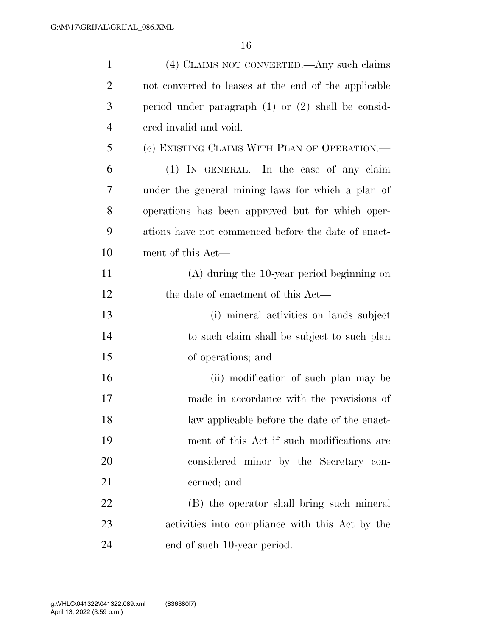| $\mathbf{1}$   | (4) CLAIMS NOT CONVERTED.—Any such claims              |
|----------------|--------------------------------------------------------|
| $\overline{2}$ | not converted to leases at the end of the applicable   |
| 3              | period under paragraph $(1)$ or $(2)$ shall be consid- |
| $\overline{4}$ | ered invalid and void.                                 |
| 5              | (c) EXISTING CLAIMS WITH PLAN OF OPERATION.—           |
| 6              | $(1)$ IN GENERAL.—In the case of any claim             |
| 7              | under the general mining laws for which a plan of      |
| 8              | operations has been approved but for which oper-       |
| 9              | ations have not commenced before the date of enact-    |
| 10             | ment of this Act—                                      |
| 11             | $(A)$ during the 10-year period beginning on           |
| 12             | the date of enactment of this Act—                     |
| 13             | (i) mineral activities on lands subject                |
| 14             | to such claim shall be subject to such plan            |
| 15             | of operations; and                                     |
| 16             | (ii) modification of such plan may be                  |
| 17             | made in accordance with the provisions of              |
| 18             | law applicable before the date of the enact-           |
| 19             | ment of this Act if such modifications are             |
| 20             | considered minor by the Secretary con-                 |
| 21             | cerned; and                                            |
| 22             | (B) the operator shall bring such mineral              |
| 23             | activities into compliance with this Act by the        |
| 24             | end of such 10-year period.                            |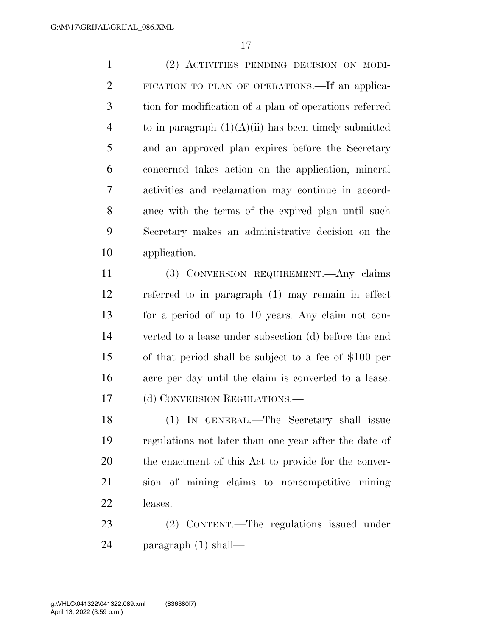(2) ACTIVITIES PENDING DECISION ON MODI- FICATION TO PLAN OF OPERATIONS.—If an applica- tion for modification of a plan of operations referred 4 to in paragraph  $(1)(A)(ii)$  has been timely submitted and an approved plan expires before the Secretary concerned takes action on the application, mineral activities and reclamation may continue in accord- ance with the terms of the expired plan until such Secretary makes an administrative decision on the application.

 (3) CONVERSION REQUIREMENT.—Any claims referred to in paragraph (1) may remain in effect for a period of up to 10 years. Any claim not con- verted to a lease under subsection (d) before the end of that period shall be subject to a fee of \$100 per acre per day until the claim is converted to a lease. 17 (d) CONVERSION REGULATIONS.—

 (1) IN GENERAL.—The Secretary shall issue regulations not later than one year after the date of the enactment of this Act to provide for the conver- sion of mining claims to noncompetitive mining leases.

 (2) CONTENT.—The regulations issued under paragraph (1) shall—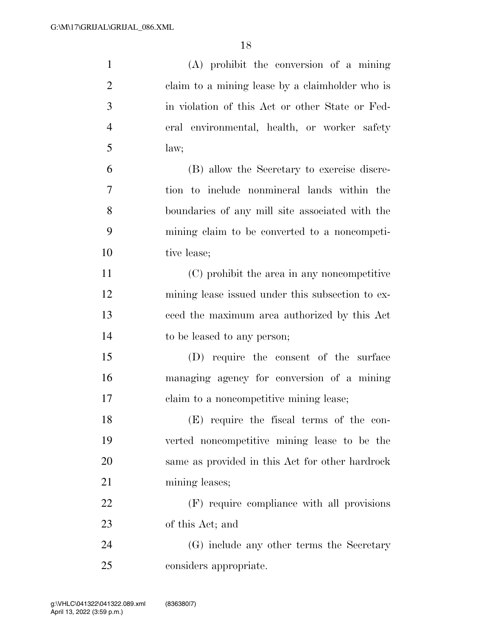| $\mathbf{1}$   | $(A)$ prohibit the conversion of a mining        |
|----------------|--------------------------------------------------|
| $\overline{2}$ | claim to a mining lease by a claimholder who is  |
| 3              | in violation of this Act or other State or Fed-  |
| $\overline{4}$ | eral environmental, health, or worker safety     |
| 5              | law;                                             |
| 6              | (B) allow the Secretary to exercise discre-      |
| 7              | tion to include nonmineral lands within the      |
| 8              | boundaries of any mill site associated with the  |
| 9              | mining claim to be converted to a noncompeti-    |
| 10             | tive lease;                                      |
| 11             | (C) prohibit the area in any noncompetitive      |
| 12             | mining lease issued under this subsection to ex- |
| 13             | ceed the maximum area authorized by this Act     |
| 14             | to be leased to any person;                      |
| 15             | (D) require the consent of the surface           |
| 16             | managing agency for conversion of a mining       |
| 17             | claim to a noncompetitive mining lease;          |
| 18             | (E) require the fiscal terms of the con-         |
| 19             | verted noncompetitive mining lease to be the     |
| 20             | same as provided in this Act for other hardrock  |
| 21             | mining leases;                                   |
| 22             | (F) require compliance with all provisions       |
| 23             | of this Act; and                                 |
| 24             | (G) include any other terms the Secretary        |
| 25             | considers appropriate.                           |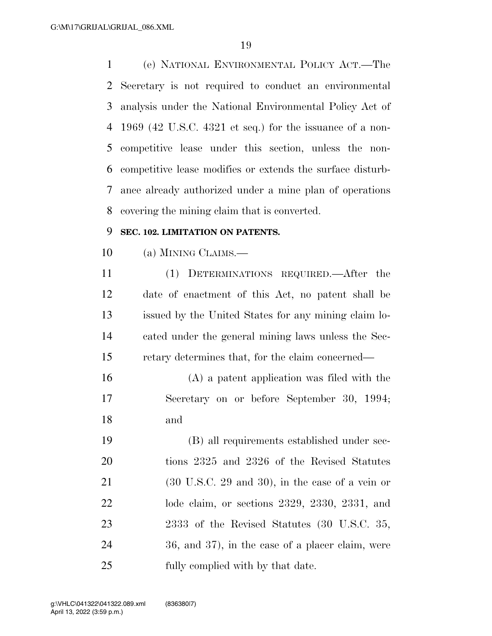(e) NATIONAL ENVIRONMENTAL POLICY ACT.—The Secretary is not required to conduct an environmental analysis under the National Environmental Policy Act of 1969 (42 U.S.C. 4321 et seq.) for the issuance of a non- competitive lease under this section, unless the non- competitive lease modifies or extends the surface disturb- ance already authorized under a mine plan of operations covering the mining claim that is converted.

## **SEC. 102. LIMITATION ON PATENTS.**

(a) MINING CLAIMS.—

 (1) DETERMINATIONS REQUIRED.—After the date of enactment of this Act, no patent shall be issued by the United States for any mining claim lo- cated under the general mining laws unless the Sec-retary determines that, for the claim concerned—

 (A) a patent application was filed with the Secretary on or before September 30, 1994; and

 (B) all requirements established under sec- tions 2325 and 2326 of the Revised Statutes (30 U.S.C. 29 and 30), in the case of a vein or lode claim, or sections 2329, 2330, 2331, and 23 2333 of the Revised Statutes (30 U.S.C. 35, 36, and 37), in the case of a placer claim, were fully complied with by that date.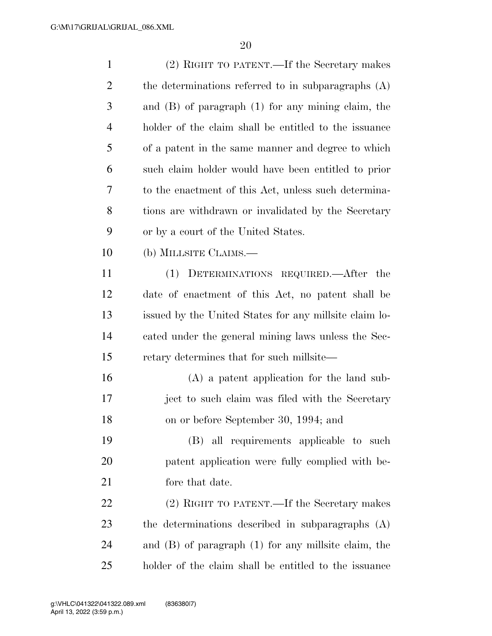| $\mathbf{1}$   | (2) RIGHT TO PATENT.—If the Secretary makes              |
|----------------|----------------------------------------------------------|
| $\overline{2}$ | the determinations referred to in subparagraphs (A)      |
| 3              | and $(B)$ of paragraph $(1)$ for any mining claim, the   |
| $\overline{4}$ | holder of the claim shall be entitled to the issuance    |
| 5              | of a patent in the same manner and degree to which       |
| 6              | such claim holder would have been entitled to prior      |
| 7              | to the enactment of this Act, unless such determina-     |
| 8              | tions are withdrawn or invalidated by the Secretary      |
| 9              | or by a court of the United States.                      |
| 10             | (b) MILLSITE CLAIMS.—                                    |
| 11             | DETERMINATIONS REQUIRED.—After the<br>(1)                |
| 12             | date of enactment of this Act, no patent shall be        |
| 13             | issued by the United States for any millsite claim lo-   |
| 14             | cated under the general mining laws unless the Sec-      |
| 15             | retary determines that for such millsite—                |
| 16             | $(A)$ a patent application for the land sub-             |
| 17             | ject to such claim was filed with the Secretary          |
| 18             | on or before September 30, 1994; and                     |
| 19             | (B) all requirements applicable to such                  |
| 20             | patent application were fully complied with be-          |
| 21             | fore that date.                                          |
| 22             | (2) RIGHT TO PATENT.—If the Secretary makes              |
| 23             | the determinations described in subparagraphs (A)        |
| 24             | and $(B)$ of paragraph $(1)$ for any millsite claim, the |
| 25             | holder of the claim shall be entitled to the issuance    |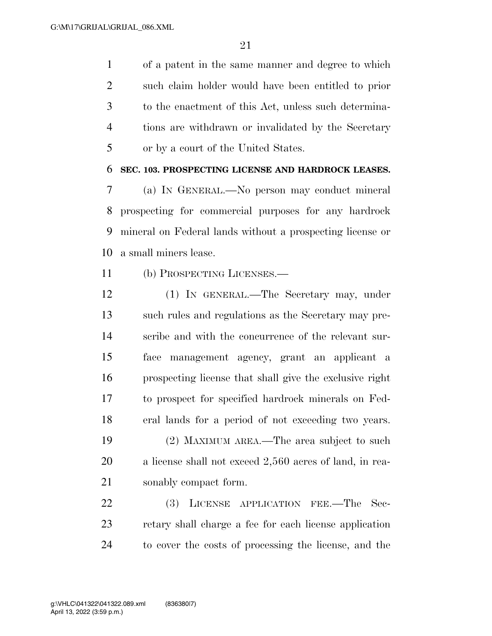of a patent in the same manner and degree to which such claim holder would have been entitled to prior to the enactment of this Act, unless such determina- tions are withdrawn or invalidated by the Secretary or by a court of the United States.

### **SEC. 103. PROSPECTING LICENSE AND HARDROCK LEASES.**

 (a) IN GENERAL.—No person may conduct mineral prospecting for commercial purposes for any hardrock mineral on Federal lands without a prospecting license or a small miners lease.

- (b) PROSPECTING LICENSES.—
- (1) IN GENERAL.—The Secretary may, under such rules and regulations as the Secretary may pre- scribe and with the concurrence of the relevant sur- face management agency, grant an applicant a prospecting license that shall give the exclusive right to prospect for specified hardrock minerals on Fed- eral lands for a period of not exceeding two years. (2) MAXIMUM AREA.—The area subject to such a license shall not exceed 2,560 acres of land, in rea-sonably compact form.

 (3) LICENSE APPLICATION FEE.—The Sec- retary shall charge a fee for each license application to cover the costs of processing the license, and the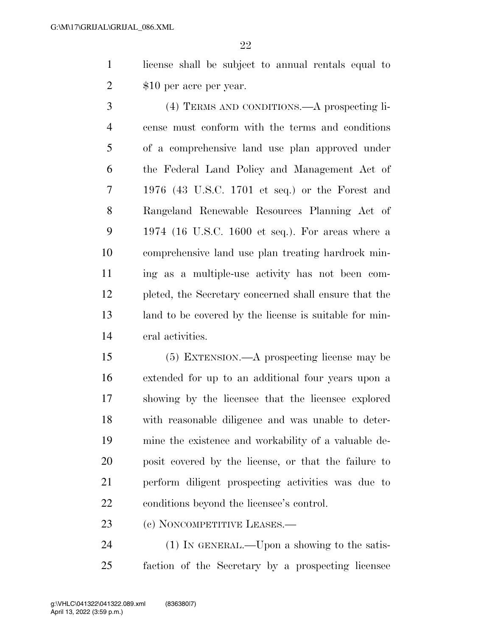license shall be subject to annual rentals equal to 2 \$10 per acre per year.

 (4) TERMS AND CONDITIONS.—A prospecting li- cense must conform with the terms and conditions of a comprehensive land use plan approved under the Federal Land Policy and Management Act of 1976 (43 U.S.C. 1701 et seq.) or the Forest and Rangeland Renewable Resources Planning Act of 1974 (16 U.S.C. 1600 et seq.). For areas where a comprehensive land use plan treating hardrock min- ing as a multiple-use activity has not been com- pleted, the Secretary concerned shall ensure that the land to be covered by the license is suitable for min-eral activities.

 (5) EXTENSION.—A prospecting license may be extended for up to an additional four years upon a showing by the licensee that the licensee explored with reasonable diligence and was unable to deter- mine the existence and workability of a valuable de- posit covered by the license, or that the failure to perform diligent prospecting activities was due to conditions beyond the licensee's control.

23 (c) NONCOMPETITIVE LEASES.—

24 (1) IN GENERAL.—Upon a showing to the satis-faction of the Secretary by a prospecting licensee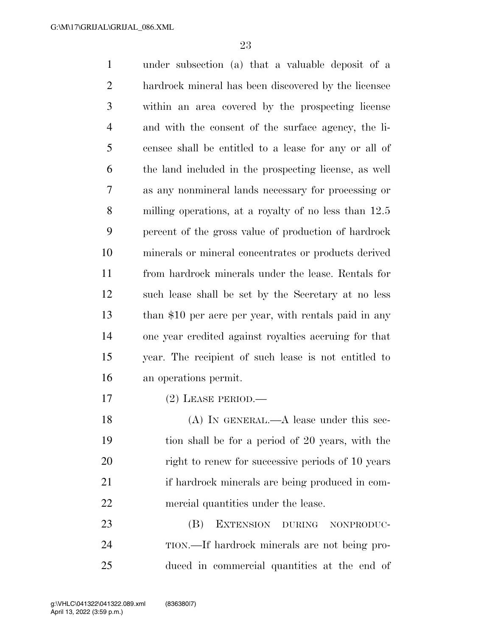under subsection (a) that a valuable deposit of a hardrock mineral has been discovered by the licensee within an area covered by the prospecting license and with the consent of the surface agency, the li- censee shall be entitled to a lease for any or all of the land included in the prospecting license, as well as any nonmineral lands necessary for processing or milling operations, at a royalty of no less than 12.5 percent of the gross value of production of hardrock minerals or mineral concentrates or products derived from hardrock minerals under the lease. Rentals for such lease shall be set by the Secretary at no less 13 than \$10 per acre per year, with rentals paid in any one year credited against royalties accruing for that year. The recipient of such lease is not entitled to an operations permit. (2) LEASE PERIOD.—

18 (A) IN GENERAL.—A lease under this sec- tion shall be for a period of 20 years, with the right to renew for successive periods of 10 years 21 if hardrock minerals are being produced in com-mercial quantities under the lease.

 (B) EXTENSION DURING NONPRODUC- TION.—If hardrock minerals are not being pro-duced in commercial quantities at the end of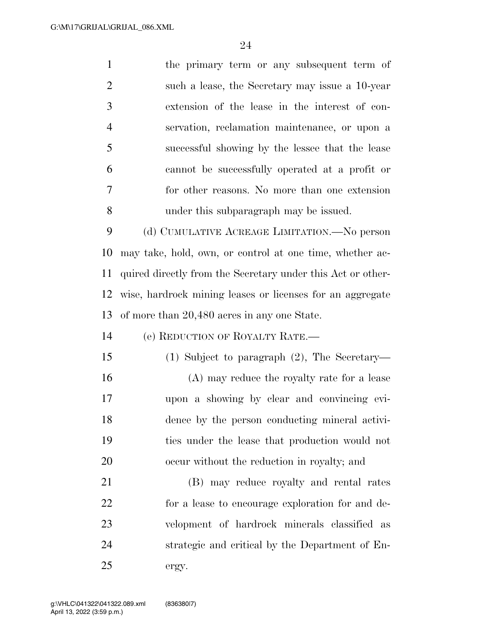| $\mathbf{1}$   | the primary term or any subsequent term of                  |
|----------------|-------------------------------------------------------------|
| $\overline{2}$ | such a lease, the Secretary may issue a 10-year             |
| 3              | extension of the lease in the interest of con-              |
| $\overline{4}$ | servation, reclamation maintenance, or upon a               |
| 5              | successful showing by the lessee that the lease             |
| 6              | cannot be successfully operated at a profit or              |
| 7              | for other reasons. No more than one extension               |
| 8              | under this subparagraph may be issued.                      |
| 9              | (d) CUMULATIVE ACREAGE LIMITATION.—No person                |
| 10             | may take, hold, own, or control at one time, whether ac-    |
| 11             | quired directly from the Secretary under this Act or other- |
| 12             | wise, hardrock mining leases or licenses for an aggregate   |
| 13             | of more than 20,480 acres in any one State.                 |
| 14             | (e) REDUCTION OF ROYALTY RATE.—                             |
| 15             | $(1)$ Subject to paragraph $(2)$ , The Secretary—           |
| 16             | (A) may reduce the royalty rate for a lease                 |
| 17             | upon a showing by clear and convincing evi-                 |
| 18             | dence by the person conducting mineral activi-              |
| 19             | ties under the lease that production would not              |
| 20             | occur without the reduction in royalty; and                 |
| 21             | (B) may reduce royalty and rental rates                     |
| 22             | for a lease to encourage exploration for and de-            |
| 23             | velopment of hardrock minerals classified as                |
| 24             | strategic and critical by the Department of En-             |
| 25             | ergy.                                                       |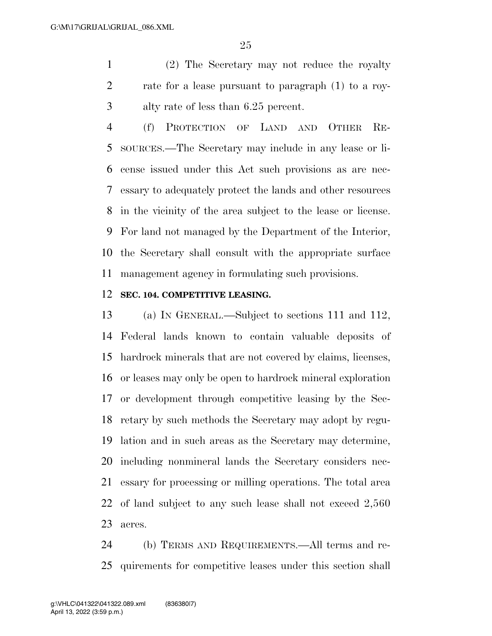(2) The Secretary may not reduce the royalty rate for a lease pursuant to paragraph (1) to a roy-alty rate of less than 6.25 percent.

 (f) PROTECTION OF LAND AND OTHER RE- SOURCES.—The Secretary may include in any lease or li- cense issued under this Act such provisions as are nec- essary to adequately protect the lands and other resources in the vicinity of the area subject to the lease or license. For land not managed by the Department of the Interior, the Secretary shall consult with the appropriate surface management agency in formulating such provisions.

#### **SEC. 104. COMPETITIVE LEASING.**

 (a) IN GENERAL.—Subject to sections 111 and 112, Federal lands known to contain valuable deposits of hardrock minerals that are not covered by claims, licenses, or leases may only be open to hardrock mineral exploration or development through competitive leasing by the Sec- retary by such methods the Secretary may adopt by regu- lation and in such areas as the Secretary may determine, including nonmineral lands the Secretary considers nec- essary for processing or milling operations. The total area of land subject to any such lease shall not exceed 2,560 acres.

 (b) TERMS AND REQUIREMENTS.—All terms and re-quirements for competitive leases under this section shall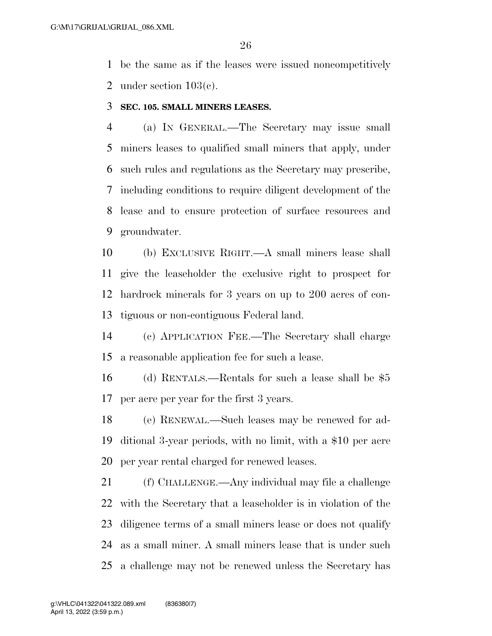be the same as if the leases were issued noncompetitively under section 103(c).

**SEC. 105. SMALL MINERS LEASES.** 

 (a) IN GENERAL.—The Secretary may issue small miners leases to qualified small miners that apply, under such rules and regulations as the Secretary may prescribe, including conditions to require diligent development of the lease and to ensure protection of surface resources and groundwater.

 (b) EXCLUSIVE RIGHT.—A small miners lease shall give the leaseholder the exclusive right to prospect for hardrock minerals for 3 years on up to 200 acres of con-tiguous or non-contiguous Federal land.

 (c) APPLICATION FEE.—The Secretary shall charge a reasonable application fee for such a lease.

 (d) RENTALS.—Rentals for such a lease shall be \$5 per acre per year for the first 3 years.

 (e) RENEWAL.—Such leases may be renewed for ad- ditional 3-year periods, with no limit, with a \$10 per acre per year rental charged for renewed leases.

 (f) CHALLENGE.—Any individual may file a challenge with the Secretary that a leaseholder is in violation of the diligence terms of a small miners lease or does not qualify as a small miner. A small miners lease that is under such a challenge may not be renewed unless the Secretary has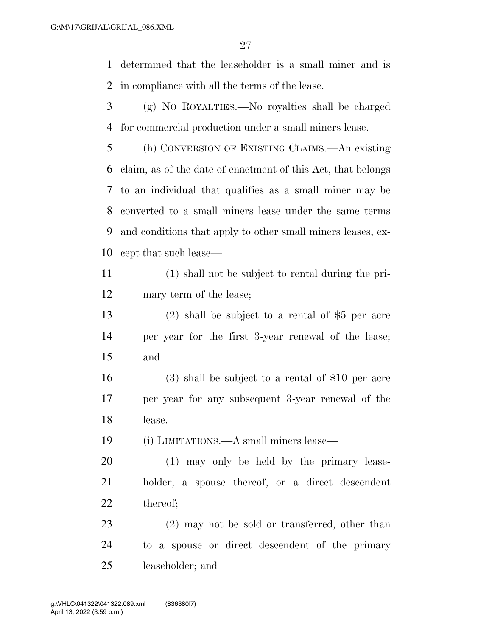determined that the leaseholder is a small miner and is in compliance with all the terms of the lease.

 (g) NO ROYALTIES.—No royalties shall be charged for commercial production under a small miners lease.

 (h) CONVERSION OF EXISTING CLAIMS.—An existing claim, as of the date of enactment of this Act, that belongs to an individual that qualifies as a small miner may be converted to a small miners lease under the same terms and conditions that apply to other small miners leases, ex-cept that such lease—

 (1) shall not be subject to rental during the pri-mary term of the lease;

 (2) shall be subject to a rental of \$5 per acre per year for the first 3-year renewal of the lease; and

 (3) shall be subject to a rental of \$10 per acre per year for any subsequent 3-year renewal of the lease.

(i) LIMITATIONS.—A small miners lease—

 (1) may only be held by the primary lease- holder, a spouse thereof, or a direct descendent thereof;

 (2) may not be sold or transferred, other than to a spouse or direct descendent of the primary leaseholder; and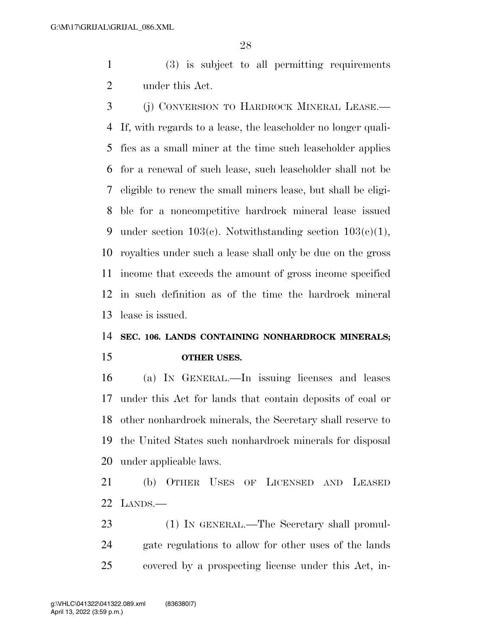(3) is subject to all permitting requirements under this Act.

 (j) CONVERSION TO HARDROCK MINERAL LEASE.— If, with regards to a lease, the leaseholder no longer quali- fies as a small miner at the time such leaseholder applies for a renewal of such lease, such leaseholder shall not be eligible to renew the small miners lease, but shall be eligi- ble for a noncompetitive hardrock mineral lease issued 9 under section  $103(c)$ . Notwithstanding section  $103(c)(1)$ , royalties under such a lease shall only be due on the gross income that exceeds the amount of gross income specified in such definition as of the time the hardrock mineral lease is issued.

## **SEC. 106. LANDS CONTAINING NONHARDROCK MINERALS; OTHER USES.**

 (a) IN GENERAL.—In issuing licenses and leases under this Act for lands that contain deposits of coal or other nonhardrock minerals, the Secretary shall reserve to the United States such nonhardrock minerals for disposal under applicable laws.

 (b) OTHER USES OF LICENSED AND LEASED LANDS.—

23 (1) IN GENERAL.—The Secretary shall promul- gate regulations to allow for other uses of the lands covered by a prospecting license under this Act, in-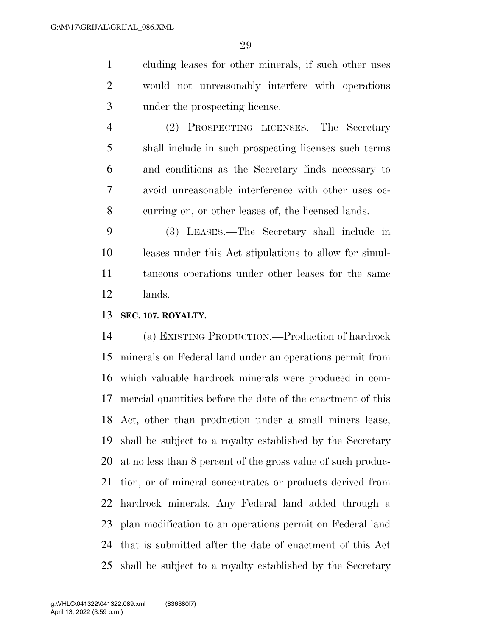cluding leases for other minerals, if such other uses would not unreasonably interfere with operations under the prospecting license.

 (2) PROSPECTING LICENSES.—The Secretary shall include in such prospecting licenses such terms and conditions as the Secretary finds necessary to avoid unreasonable interference with other uses oc-curring on, or other leases of, the licensed lands.

 (3) LEASES.—The Secretary shall include in leases under this Act stipulations to allow for simul- taneous operations under other leases for the same lands.

**SEC. 107. ROYALTY.** 

 (a) EXISTING PRODUCTION.—Production of hardrock minerals on Federal land under an operations permit from which valuable hardrock minerals were produced in com- mercial quantities before the date of the enactment of this Act, other than production under a small miners lease, shall be subject to a royalty established by the Secretary at no less than 8 percent of the gross value of such produc- tion, or of mineral concentrates or products derived from hardrock minerals. Any Federal land added through a plan modification to an operations permit on Federal land that is submitted after the date of enactment of this Act shall be subject to a royalty established by the Secretary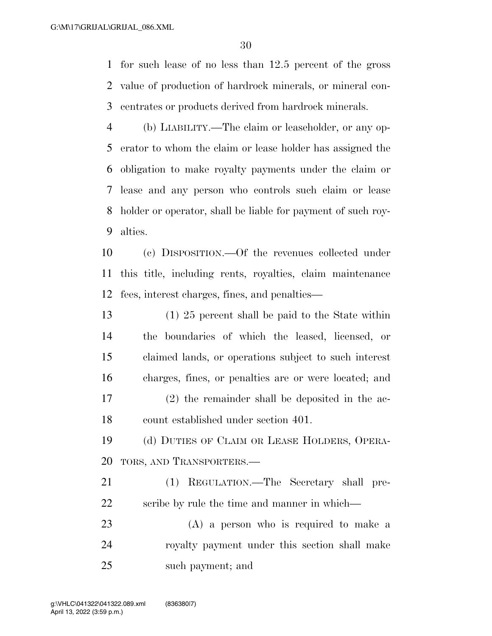for such lease of no less than 12.5 percent of the gross value of production of hardrock minerals, or mineral con-centrates or products derived from hardrock minerals.

 (b) LIABILITY.—The claim or leaseholder, or any op- erator to whom the claim or lease holder has assigned the obligation to make royalty payments under the claim or lease and any person who controls such claim or lease holder or operator, shall be liable for payment of such roy-alties.

 (c) DISPOSITION.—Of the revenues collected under this title, including rents, royalties, claim maintenance fees, interest charges, fines, and penalties—

 (1) 25 percent shall be paid to the State within the boundaries of which the leased, licensed, or claimed lands, or operations subject to such interest charges, fines, or penalties are or were located; and (2) the remainder shall be deposited in the ac-count established under section 401.

 (d) DUTIES OF CLAIM OR LEASE HOLDERS, OPERA-TORS, AND TRANSPORTERS.—

 (1) REGULATION.—The Secretary shall pre-22 scribe by rule the time and manner in which—

 (A) a person who is required to make a royalty payment under this section shall make such payment; and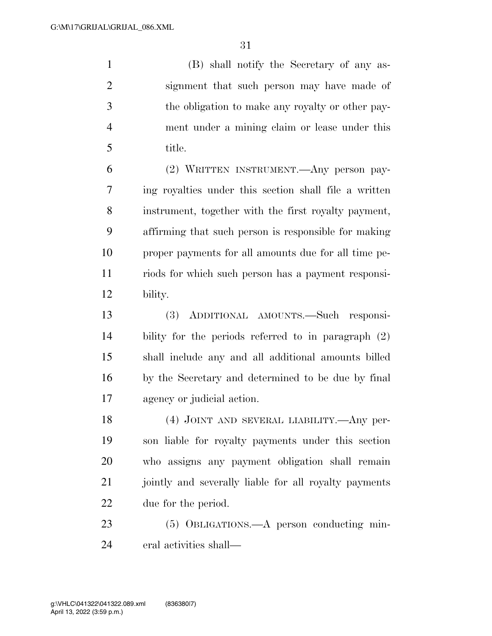(B) shall notify the Secretary of any as- signment that such person may have made of the obligation to make any royalty or other pay- ment under a mining claim or lease under this title.

 (2) WRITTEN INSTRUMENT.—Any person pay- ing royalties under this section shall file a written instrument, together with the first royalty payment, affirming that such person is responsible for making proper payments for all amounts due for all time pe- riods for which such person has a payment responsi-bility.

 (3) ADDITIONAL AMOUNTS.—Such responsi- bility for the periods referred to in paragraph (2) shall include any and all additional amounts billed by the Secretary and determined to be due by final agency or judicial action.

 (4) JOINT AND SEVERAL LIABILITY.—Any per- son liable for royalty payments under this section who assigns any payment obligation shall remain 21 jointly and severally liable for all royalty payments due for the period.

 (5) OBLIGATIONS.—A person conducting min-eral activities shall—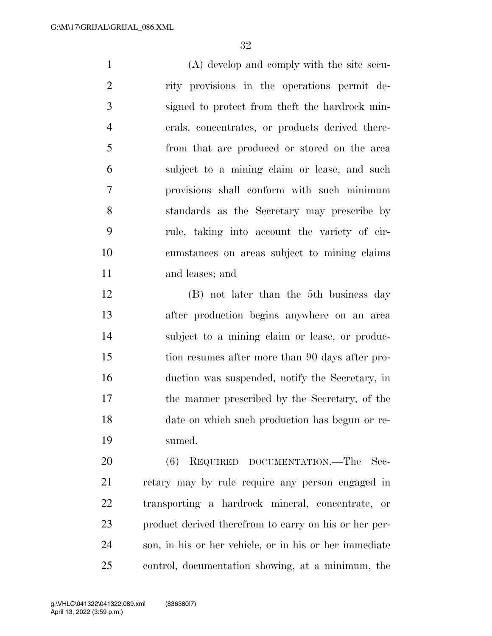(A) develop and comply with the site secu- rity provisions in the operations permit de- signed to protect from theft the hardrock min- erals, concentrates, or products derived there- from that are produced or stored on the area subject to a mining claim or lease, and such provisions shall conform with such minimum standards as the Secretary may prescribe by rule, taking into account the variety of cir- cumstances on areas subject to mining claims and leases; and

 (B) not later than the 5th business day after production begins anywhere on an area subject to a mining claim or lease, or produc- tion resumes after more than 90 days after pro- duction was suspended, notify the Secretary, in the manner prescribed by the Secretary, of the date on which such production has begun or re-sumed.

20 (6) REQUIRED DOCUMENTATION.—The Sec- retary may by rule require any person engaged in transporting a hardrock mineral, concentrate, or product derived therefrom to carry on his or her per- son, in his or her vehicle, or in his or her immediate control, documentation showing, at a minimum, the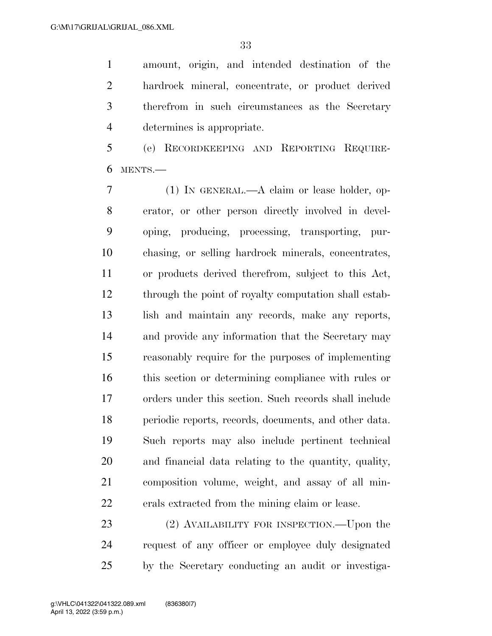amount, origin, and intended destination of the hardrock mineral, concentrate, or product derived therefrom in such circumstances as the Secretary determines is appropriate.

 (e) RECORDKEEPING AND REPORTING REQUIRE-MENTS.—

 (1) IN GENERAL.—A claim or lease holder, op- erator, or other person directly involved in devel- oping, producing, processing, transporting, pur- chasing, or selling hardrock minerals, concentrates, or products derived therefrom, subject to this Act, through the point of royalty computation shall estab- lish and maintain any records, make any reports, and provide any information that the Secretary may reasonably require for the purposes of implementing this section or determining compliance with rules or orders under this section. Such records shall include periodic reports, records, documents, and other data. Such reports may also include pertinent technical and financial data relating to the quantity, quality, composition volume, weight, and assay of all min-erals extracted from the mining claim or lease.

23 (2) AVAILABILITY FOR INSPECTION.—Upon the request of any officer or employee duly designated by the Secretary conducting an audit or investiga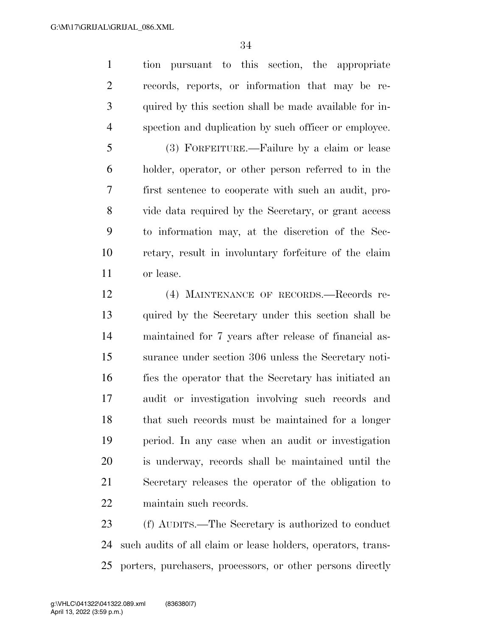tion pursuant to this section, the appropriate records, reports, or information that may be re- quired by this section shall be made available for in-spection and duplication by such officer or employee.

 (3) FORFEITURE.—Failure by a claim or lease holder, operator, or other person referred to in the first sentence to cooperate with such an audit, pro- vide data required by the Secretary, or grant access to information may, at the discretion of the Sec- retary, result in involuntary forfeiture of the claim or lease.

 (4) MAINTENANCE OF RECORDS.—Records re- quired by the Secretary under this section shall be maintained for 7 years after release of financial as- surance under section 306 unless the Secretary noti- fies the operator that the Secretary has initiated an audit or investigation involving such records and that such records must be maintained for a longer period. In any case when an audit or investigation is underway, records shall be maintained until the Secretary releases the operator of the obligation to maintain such records.

 (f) AUDITS.—The Secretary is authorized to conduct such audits of all claim or lease holders, operators, trans-porters, purchasers, processors, or other persons directly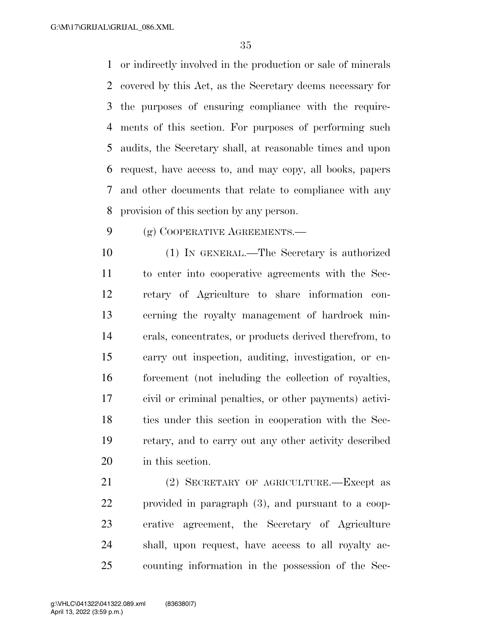or indirectly involved in the production or sale of minerals covered by this Act, as the Secretary deems necessary for the purposes of ensuring compliance with the require- ments of this section. For purposes of performing such audits, the Secretary shall, at reasonable times and upon request, have access to, and may copy, all books, papers and other documents that relate to compliance with any provision of this section by any person.

9 (g) COOPERATIVE AGREEMENTS.—

 (1) IN GENERAL.—The Secretary is authorized to enter into cooperative agreements with the Sec- retary of Agriculture to share information con- cerning the royalty management of hardrock min- erals, concentrates, or products derived therefrom, to carry out inspection, auditing, investigation, or en- forcement (not including the collection of royalties, civil or criminal penalties, or other payments) activi- ties under this section in cooperation with the Sec- retary, and to carry out any other activity described in this section.

 (2) SECRETARY OF AGRICULTURE.—Except as provided in paragraph (3), and pursuant to a coop- erative agreement, the Secretary of Agriculture shall, upon request, have access to all royalty ac-counting information in the possession of the Sec-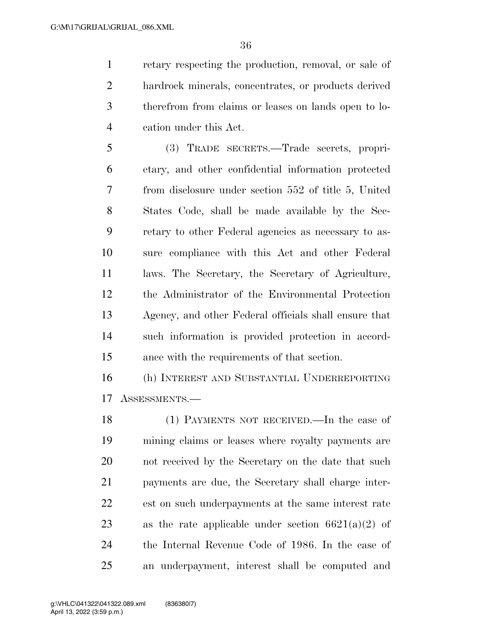retary respecting the production, removal, or sale of hardrock minerals, concentrates, or products derived therefrom from claims or leases on lands open to lo-cation under this Act.

 (3) TRADE SECRETS.—Trade secrets, propri- etary, and other confidential information protected from disclosure under section 552 of title 5, United States Code, shall be made available by the Sec- retary to other Federal agencies as necessary to as- sure compliance with this Act and other Federal laws. The Secretary, the Secretary of Agriculture, the Administrator of the Environmental Protection Agency, and other Federal officials shall ensure that such information is provided protection in accord-ance with the requirements of that section.

 (h) INTEREST AND SUBSTANTIAL UNDERREPORTING ASSESSMENTS.—

 (1) PAYMENTS NOT RECEIVED.—In the case of mining claims or leases where royalty payments are not received by the Secretary on the date that such payments are due, the Secretary shall charge inter- est on such underpayments at the same interest rate 23 as the rate applicable under section  $6621(a)(2)$  of the Internal Revenue Code of 1986. In the case of an underpayment, interest shall be computed and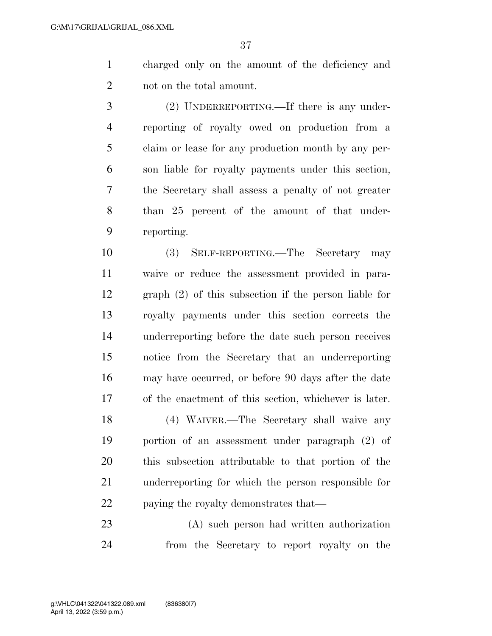- charged only on the amount of the deficiency and not on the total amount.
- (2) UNDERREPORTING.—If there is any under- reporting of royalty owed on production from a claim or lease for any production month by any per- son liable for royalty payments under this section, the Secretary shall assess a penalty of not greater than 25 percent of the amount of that under-reporting.
- (3) SELF-REPORTING.—The Secretary may waive or reduce the assessment provided in para- graph (2) of this subsection if the person liable for royalty payments under this section corrects the underreporting before the date such person receives notice from the Secretary that an underreporting may have occurred, or before 90 days after the date of the enactment of this section, whichever is later.
- (4) WAIVER.—The Secretary shall waive any portion of an assessment under paragraph (2) of this subsection attributable to that portion of the underreporting for which the person responsible for 22 paying the royalty demonstrates that—
- (A) such person had written authorization from the Secretary to report royalty on the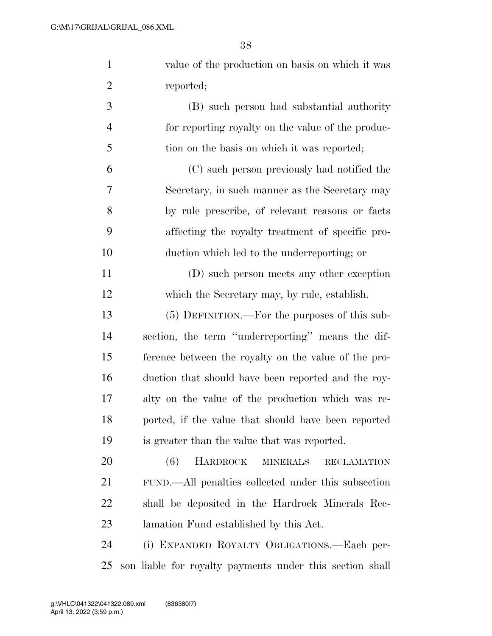| $\mathbf{1}$   | value of the production on basis on which it was                |
|----------------|-----------------------------------------------------------------|
| $\overline{2}$ | reported;                                                       |
| 3              | (B) such person had substantial authority                       |
| $\overline{4}$ | for reporting royalty on the value of the produc-               |
| 5              | tion on the basis on which it was reported;                     |
| 6              | (C) such person previously had notified the                     |
| 7              | Secretary, in such manner as the Secretary may                  |
| 8              | by rule prescribe, of relevant reasons or facts                 |
| 9              | affecting the royalty treatment of specific pro-                |
| 10             | duction which led to the underreporting; or                     |
| 11             | (D) such person meets any other exception                       |
| 12             | which the Secretary may, by rule, establish.                    |
| 13             | (5) DEFINITION.—For the purposes of this sub-                   |
| 14             | section, the term "underreporting" means the dif-               |
| 15             | ference between the royalty on the value of the pro-            |
| 16             | duction that should have been reported and the roy-             |
| 17             | alty on the value of the production which was re-               |
| 18             | ported, if the value that should have been reported             |
| 19             | is greater than the value that was reported.                    |
| 20             | <b>HARDROCK</b><br>(6)<br><b>MINERALS</b><br><b>RECLAMATION</b> |
| 21             | FUND.—All penalties collected under this subsection             |
| 22             | shall be deposited in the Hardrock Minerals Rec-                |
| 23             | lamation Fund established by this Act.                          |
| 24             | (i) EXPANDED ROYALTY OBLIGATIONS.—Each per-                     |
| 25             | son liable for royalty payments under this section shall        |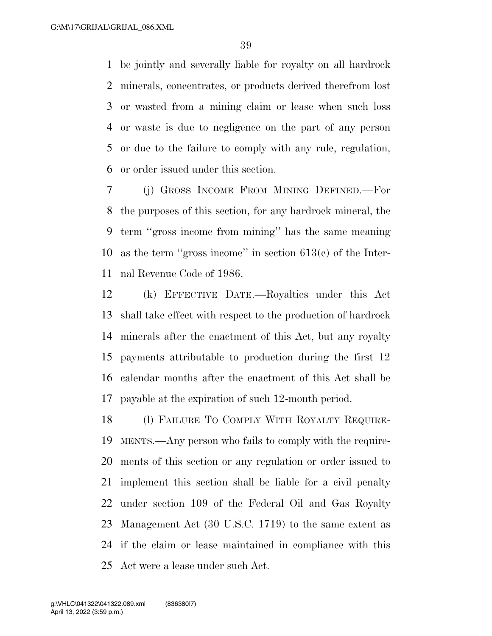be jointly and severally liable for royalty on all hardrock minerals, concentrates, or products derived therefrom lost or wasted from a mining claim or lease when such loss or waste is due to negligence on the part of any person or due to the failure to comply with any rule, regulation, or order issued under this section.

 (j) GROSS INCOME FROM MINING DEFINED.—For the purposes of this section, for any hardrock mineral, the term ''gross income from mining'' has the same meaning as the term ''gross income'' in section 613(c) of the Inter-nal Revenue Code of 1986.

 (k) EFFECTIVE DATE.—Royalties under this Act shall take effect with respect to the production of hardrock minerals after the enactment of this Act, but any royalty payments attributable to production during the first 12 calendar months after the enactment of this Act shall be payable at the expiration of such 12-month period.

 (l) FAILURE TO COMPLY WITH ROYALTY REQUIRE- MENTS.—Any person who fails to comply with the require- ments of this section or any regulation or order issued to implement this section shall be liable for a civil penalty under section 109 of the Federal Oil and Gas Royalty Management Act (30 U.S.C. 1719) to the same extent as if the claim or lease maintained in compliance with this Act were a lease under such Act.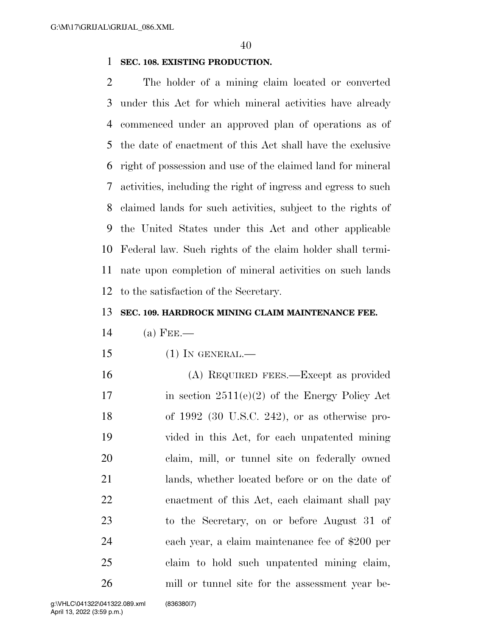#### **SEC. 108. EXISTING PRODUCTION.**

 The holder of a mining claim located or converted under this Act for which mineral activities have already commenced under an approved plan of operations as of the date of enactment of this Act shall have the exclusive right of possession and use of the claimed land for mineral activities, including the right of ingress and egress to such claimed lands for such activities, subject to the rights of the United States under this Act and other applicable Federal law. Such rights of the claim holder shall termi- nate upon completion of mineral activities on such lands to the satisfaction of the Secretary.

#### **SEC. 109. HARDROCK MINING CLAIM MAINTENANCE FEE.**

- (a) FEE.—
- (1) IN GENERAL.—
- (A) REQUIRED FEES.—Except as provided 17 in section  $2511(e)(2)$  of the Energy Policy Act of 1992 (30 U.S.C. 242), or as otherwise pro- vided in this Act, for each unpatented mining claim, mill, or tunnel site on federally owned lands, whether located before or on the date of enactment of this Act, each claimant shall pay to the Secretary, on or before August 31 of each year, a claim maintenance fee of \$200 per claim to hold such unpatented mining claim, mill or tunnel site for the assessment year be-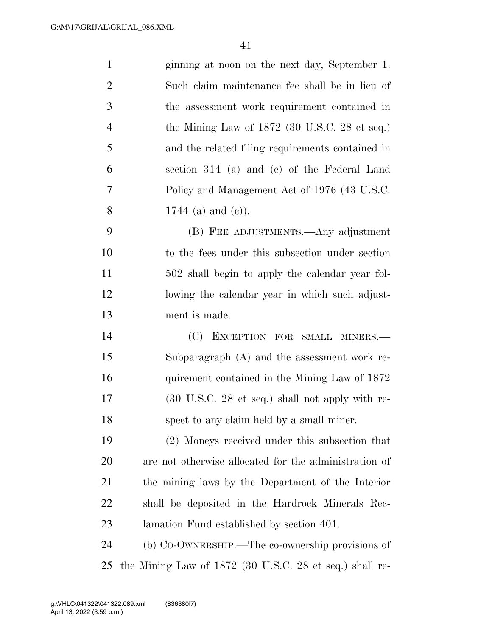| $\mathbf{1}$   | ginning at noon on the next day, September 1.           |
|----------------|---------------------------------------------------------|
| $\overline{2}$ | Such claim maintenance fee shall be in lieu of          |
| 3              | the assessment work requirement contained in            |
| $\overline{4}$ | the Mining Law of 1872 (30 U.S.C. 28 et seq.)           |
| 5              | and the related filing requirements contained in        |
| 6              | section 314 (a) and (c) of the Federal Land             |
| 7              | Policy and Management Act of 1976 (43 U.S.C.            |
| 8              | 1744 (a) and (c)).                                      |
| 9              | (B) FEE ADJUSTMENTS.—Any adjustment                     |
| 10             | to the fees under this subsection under section         |
| 11             | 502 shall begin to apply the calendar year fol-         |
| 12             | lowing the calendar year in which such adjust-          |
| 13             | ment is made.                                           |
| 14             | (C)<br>EXCEPTION FOR SMALL MINERS.-                     |
| 15             | Subparagraph $(A)$ and the assessment work re-          |
| 16             | quirement contained in the Mining Law of 1872           |
| 17             | (30 U.S.C. 28 et seq.) shall not apply with re-         |
| 18             | spect to any claim held by a small miner.               |
| 19             | (2) Moneys received under this subsection that          |
| 20             | are not otherwise allocated for the administration of   |
| 21             | the mining laws by the Department of the Interior       |
| 22             | shall be deposited in the Hardrock Minerals Rec-        |
| 23             | lamation Fund established by section 401.               |
| 24             | (b) Co-OWNERSHIP.—The co-ownership provisions of        |
| 25             | the Mining Law of 1872 (30 U.S.C. 28 et seq.) shall re- |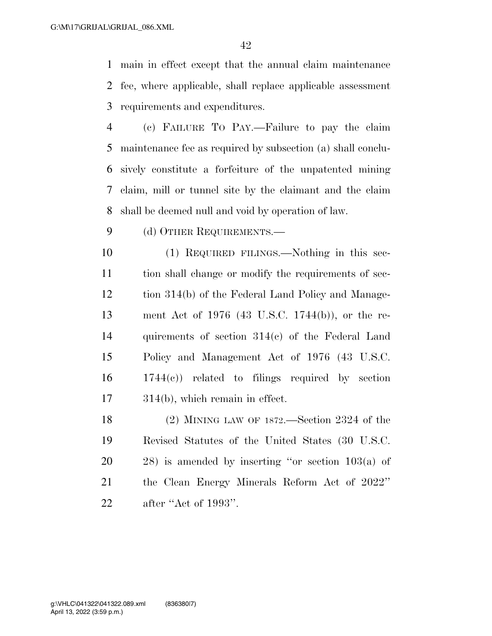main in effect except that the annual claim maintenance fee, where applicable, shall replace applicable assessment requirements and expenditures.

 (c) FAILURE TO PAY.—Failure to pay the claim maintenance fee as required by subsection (a) shall conclu- sively constitute a forfeiture of the unpatented mining claim, mill or tunnel site by the claimant and the claim shall be deemed null and void by operation of law.

9 (d) OTHER REQUIREMENTS.—

 (1) REQUIRED FILINGS.—Nothing in this sec- tion shall change or modify the requirements of sec- tion 314(b) of the Federal Land Policy and Manage- ment Act of 1976 (43 U.S.C. 1744(b)), or the re- quirements of section 314(c) of the Federal Land Policy and Management Act of 1976 (43 U.S.C. 1744(c)) related to filings required by section 314(b), which remain in effect.

 (2) MINING LAW OF 1872.—Section 2324 of the Revised Statutes of the United States (30 U.S.C. 28) is amended by inserting ''or section 103(a) of the Clean Energy Minerals Reform Act of 2022'' after ''Act of 1993''.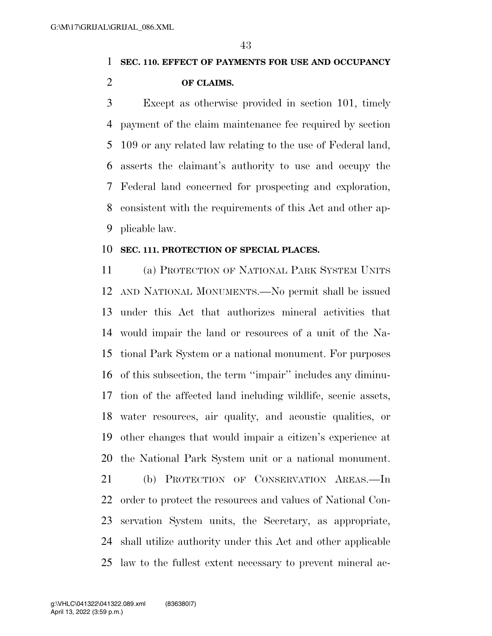### **SEC. 110. EFFECT OF PAYMENTS FOR USE AND OCCUPANCY OF CLAIMS.**

 Except as otherwise provided in section 101, timely payment of the claim maintenance fee required by section 109 or any related law relating to the use of Federal land, asserts the claimant's authority to use and occupy the Federal land concerned for prospecting and exploration, consistent with the requirements of this Act and other ap-plicable law.

#### **SEC. 111. PROTECTION OF SPECIAL PLACES.**

 (a) PROTECTION OF NATIONAL PARK SYSTEM UNITS AND NATIONAL MONUMENTS.—No permit shall be issued under this Act that authorizes mineral activities that would impair the land or resources of a unit of the Na- tional Park System or a national monument. For purposes of this subsection, the term ''impair'' includes any diminu- tion of the affected land including wildlife, scenic assets, water resources, air quality, and acoustic qualities, or other changes that would impair a citizen's experience at the National Park System unit or a national monument. (b) PROTECTION OF CONSERVATION AREAS.—In 22 order to protect the resources and values of National Con- servation System units, the Secretary, as appropriate, shall utilize authority under this Act and other applicable law to the fullest extent necessary to prevent mineral ac-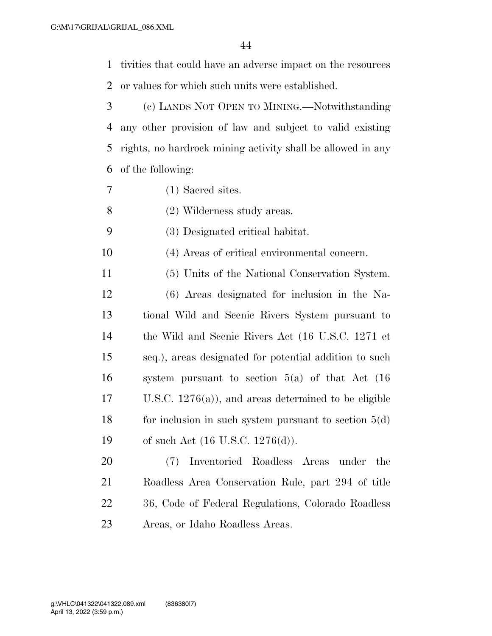tivities that could have an adverse impact on the resources or values for which such units were established.

 (c) LANDS NOT OPEN TO MINING.—Notwithstanding any other provision of law and subject to valid existing rights, no hardrock mining activity shall be allowed in any of the following:

- (1) Sacred sites.
- (2) Wilderness study areas.
- (3) Designated critical habitat.

(4) Areas of critical environmental concern.

- (5) Units of the National Conservation System.
- (6) Areas designated for inclusion in the Na- tional Wild and Scenic Rivers System pursuant to the Wild and Scenic Rivers Act (16 U.S.C. 1271 et seq.), areas designated for potential addition to such system pursuant to section 5(a) of that Act (16 U.S.C. 1276(a)), and areas determined to be eligible 18 for inclusion in such system pursuant to section  $5(d)$ of such Act (16 U.S.C. 1276(d)).

 (7) Inventoried Roadless Areas under the Roadless Area Conservation Rule, part 294 of title 36, Code of Federal Regulations, Colorado Roadless Areas, or Idaho Roadless Areas.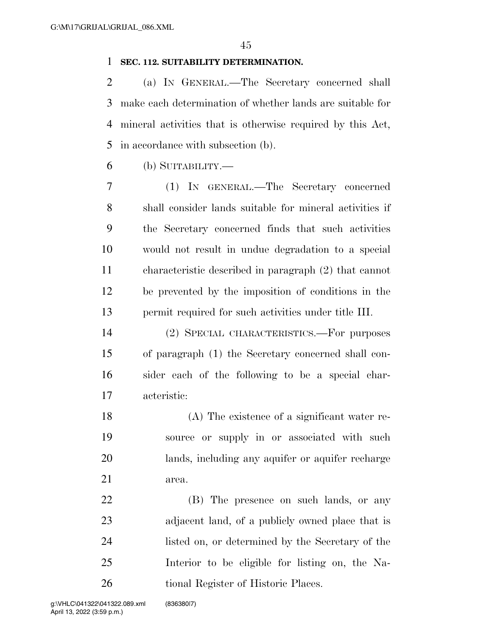#### **SEC. 112. SUITABILITY DETERMINATION.**

 (a) IN GENERAL.—The Secretary concerned shall make each determination of whether lands are suitable for mineral activities that is otherwise required by this Act, in accordance with subsection (b).

(b) SUITABILITY.—

 (1) IN GENERAL.—The Secretary concerned shall consider lands suitable for mineral activities if the Secretary concerned finds that such activities would not result in undue degradation to a special characteristic described in paragraph (2) that cannot be prevented by the imposition of conditions in the permit required for such activities under title III.

 (2) SPECIAL CHARACTERISTICS.—For purposes of paragraph (1) the Secretary concerned shall con- sider each of the following to be a special char-acteristic:

 (A) The existence of a significant water re- source or supply in or associated with such lands, including any aquifer or aquifer recharge area.

 (B) The presence on such lands, or any adjacent land, of a publicly owned place that is listed on, or determined by the Secretary of the Interior to be eligible for listing on, the Na-26 tional Register of Historic Places.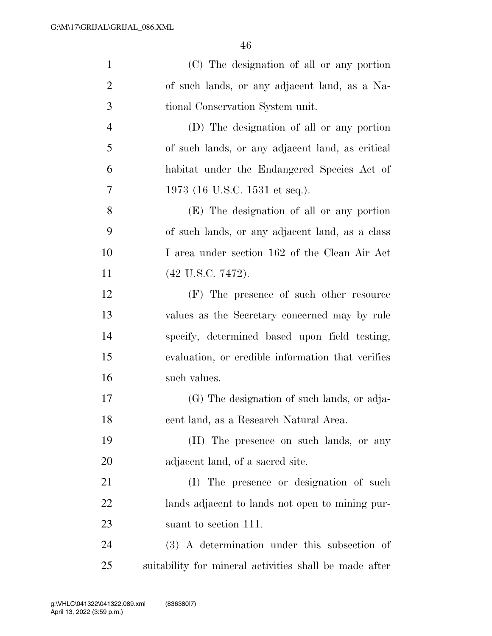| $\mathbf{1}$   | (C) The designation of all or any portion              |
|----------------|--------------------------------------------------------|
| $\overline{2}$ | of such lands, or any adjacent land, as a Na-          |
| 3              | tional Conservation System unit.                       |
| $\overline{4}$ | (D) The designation of all or any portion              |
| 5              | of such lands, or any adjacent land, as critical       |
| 6              | habitat under the Endangered Species Act of            |
| 7              | 1973 (16 U.S.C. 1531 et seq.).                         |
| 8              | (E) The designation of all or any portion              |
| 9              | of such lands, or any adjacent land, as a class        |
| 10             | I area under section 162 of the Clean Air Act          |
| 11             | (42 U.S.C. 7472).                                      |
| 12             | (F) The presence of such other resource                |
| 13             | values as the Secretary concerned may by rule          |
| 14             | specify, determined based upon field testing,          |
| 15             | evaluation, or credible information that verifies      |
| 16             | such values.                                           |
| 17             | (G) The designation of such lands, or adja-            |
| 18             | cent land, as a Research Natural Area.                 |
| 19             | (H) The presence on such lands, or any                 |
| 20             | adjacent land, of a sacred site.                       |
| 21             | (I) The presence or designation of such                |
| 22             | lands adjacent to lands not open to mining pur-        |
| 23             | suant to section 111.                                  |
| 24             | (3) A determination under this subsection of           |
| 25             | suitability for mineral activities shall be made after |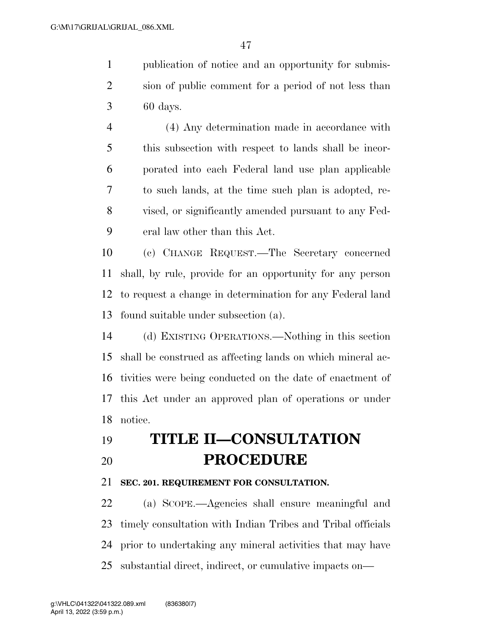publication of notice and an opportunity for submis- sion of public comment for a period of not less than 60 days.

 (4) Any determination made in accordance with this subsection with respect to lands shall be incor- porated into each Federal land use plan applicable to such lands, at the time such plan is adopted, re- vised, or significantly amended pursuant to any Fed-eral law other than this Act.

 (c) CHANGE REQUEST.—The Secretary concerned shall, by rule, provide for an opportunity for any person to request a change in determination for any Federal land found suitable under subsection (a).

 (d) EXISTING OPERATIONS.—Nothing in this section shall be construed as affecting lands on which mineral ac- tivities were being conducted on the date of enactment of this Act under an approved plan of operations or under notice.

## **TITLE II—CONSULTATION PROCEDURE**

#### **SEC. 201. REQUIREMENT FOR CONSULTATION.**

 (a) SCOPE.—Agencies shall ensure meaningful and timely consultation with Indian Tribes and Tribal officials prior to undertaking any mineral activities that may have substantial direct, indirect, or cumulative impacts on—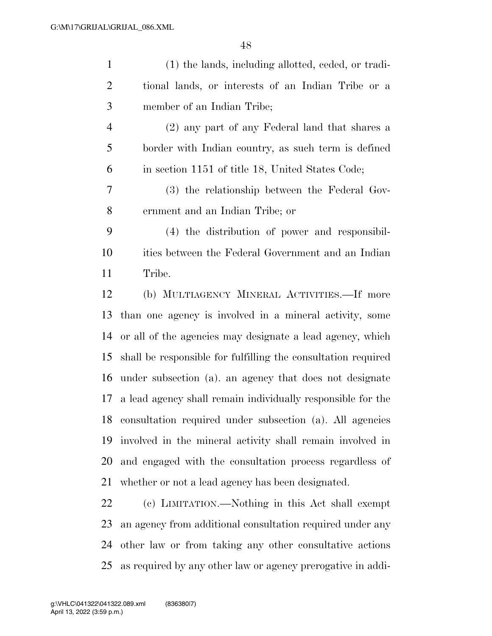| $\mathbf{1}$   | (1) the lands, including allotted, ceded, or tradi-           |
|----------------|---------------------------------------------------------------|
| $\overline{2}$ | tional lands, or interests of an Indian Tribe or a            |
| 3              | member of an Indian Tribe;                                    |
| $\overline{4}$ | (2) any part of any Federal land that shares a                |
| 5              | border with Indian country, as such term is defined           |
| 6              | in section 1151 of title 18, United States Code;              |
| 7              | (3) the relationship between the Federal Gov-                 |
| $8\,$          | ernment and an Indian Tribe; or                               |
| 9              | (4) the distribution of power and responsibil-                |
| 10             | ities between the Federal Government and an Indian            |
| 11             | Tribe.                                                        |
| 12             | (b) MULTIAGENCY MINERAL ACTIVITIES.—If more                   |
| 13             | than one agency is involved in a mineral activity, some       |
| 14             | or all of the agencies may designate a lead agency, which     |
| 15             | shall be responsible for fulfilling the consultation required |
| 16             | under subsection (a). an agency that does not designate       |
| 17             | a lead agency shall remain individually responsible for the   |
| 18             | consultation required under subsection (a). All agencies      |
| 19             | involved in the mineral activity shall remain involved in     |
| 20             | and engaged with the consultation process regardless of       |
| 21             | whether or not a lead agency has been designated.             |
| 22             | (c) LIMITATION.—Nothing in this Act shall exempt              |

 an agency from additional consultation required under any other law or from taking any other consultative actions as required by any other law or agency prerogative in addi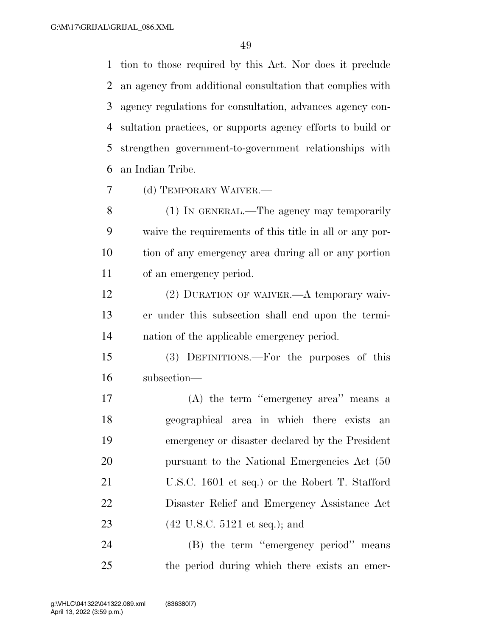tion to those required by this Act. Nor does it preclude an agency from additional consultation that complies with agency regulations for consultation, advances agency con- sultation practices, or supports agency efforts to build or strengthen government-to-government relationships with an Indian Tribe.

(d) TEMPORARY WAIVER.—

 (1) IN GENERAL.—The agency may temporarily waive the requirements of this title in all or any por- tion of any emergency area during all or any portion of an emergency period.

 (2) DURATION OF WAIVER.—A temporary waiv- er under this subsection shall end upon the termi-nation of the applicable emergency period.

 (3) DEFINITIONS.—For the purposes of this subsection—

 (A) the term ''emergency area'' means a geographical area in which there exists an emergency or disaster declared by the President 20 pursuant to the National Emergencies Act (50 U.S.C. 1601 et seq.) or the Robert T. Stafford Disaster Relief and Emergency Assistance Act (42 U.S.C. 5121 et seq.); and

24 (B) the term "emergency period" means the period during which there exists an emer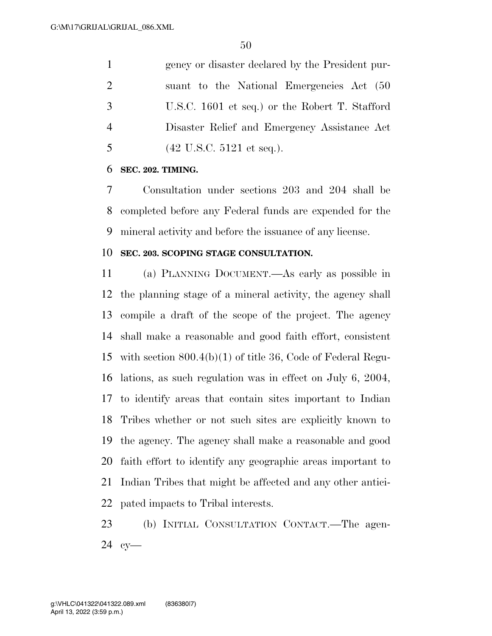gency or disaster declared by the President pur- suant to the National Emergencies Act (50 U.S.C. 1601 et seq.) or the Robert T. Stafford Disaster Relief and Emergency Assistance Act (42 U.S.C. 5121 et seq.).

#### **SEC. 202. TIMING.**

 Consultation under sections 203 and 204 shall be completed before any Federal funds are expended for the mineral activity and before the issuance of any license.

#### **SEC. 203. SCOPING STAGE CONSULTATION.**

 (a) PLANNING DOCUMENT.—As early as possible in the planning stage of a mineral activity, the agency shall compile a draft of the scope of the project. The agency shall make a reasonable and good faith effort, consistent with section 800.4(b)(1) of title 36, Code of Federal Regu- lations, as such regulation was in effect on July 6, 2004, to identify areas that contain sites important to Indian Tribes whether or not such sites are explicitly known to the agency. The agency shall make a reasonable and good faith effort to identify any geographic areas important to Indian Tribes that might be affected and any other antici-pated impacts to Tribal interests.

 (b) INITIAL CONSULTATION CONTACT.—The agen-cy—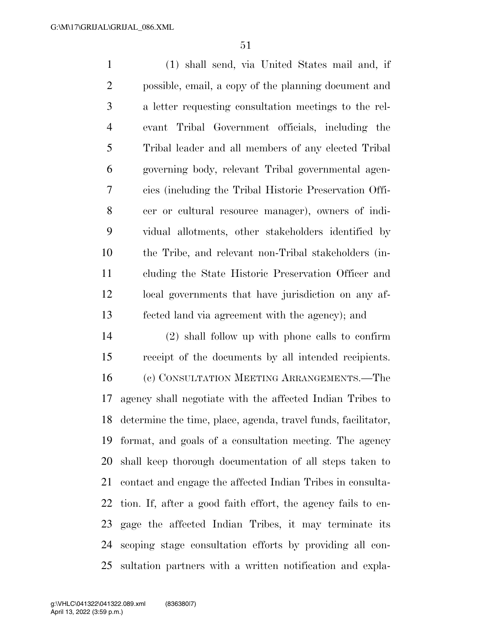(1) shall send, via United States mail and, if possible, email, a copy of the planning document and a letter requesting consultation meetings to the rel- evant Tribal Government officials, including the Tribal leader and all members of any elected Tribal governing body, relevant Tribal governmental agen- cies (including the Tribal Historic Preservation Offi- cer or cultural resource manager), owners of indi- vidual allotments, other stakeholders identified by the Tribe, and relevant non-Tribal stakeholders (in- cluding the State Historic Preservation Officer and local governments that have jurisdiction on any af-fected land via agreement with the agency); and

 (2) shall follow up with phone calls to confirm receipt of the documents by all intended recipients. (c) CONSULTATION MEETING ARRANGEMENTS.—The agency shall negotiate with the affected Indian Tribes to determine the time, place, agenda, travel funds, facilitator, format, and goals of a consultation meeting. The agency shall keep thorough documentation of all steps taken to contact and engage the affected Indian Tribes in consulta- tion. If, after a good faith effort, the agency fails to en- gage the affected Indian Tribes, it may terminate its scoping stage consultation efforts by providing all con-sultation partners with a written notification and expla-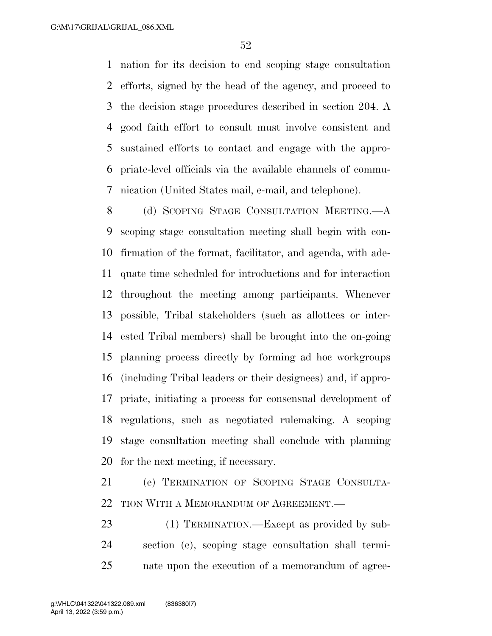nation for its decision to end scoping stage consultation efforts, signed by the head of the agency, and proceed to the decision stage procedures described in section 204. A good faith effort to consult must involve consistent and sustained efforts to contact and engage with the appro- priate-level officials via the available channels of commu-nication (United States mail, e-mail, and telephone).

8 (d) SCOPING STAGE CONSULTATION MEETING.—A scoping stage consultation meeting shall begin with con- firmation of the format, facilitator, and agenda, with ade- quate time scheduled for introductions and for interaction throughout the meeting among participants. Whenever possible, Tribal stakeholders (such as allottees or inter- ested Tribal members) shall be brought into the on-going planning process directly by forming ad hoc workgroups (including Tribal leaders or their designees) and, if appro- priate, initiating a process for consensual development of regulations, such as negotiated rulemaking. A scoping stage consultation meeting shall conclude with planning for the next meeting, if necessary.

 (e) TERMINATION OF SCOPING STAGE CONSULTA-22 TION WITH A MEMORANDUM OF AGREEMENT.

23 (1) TERMINATION.—Except as provided by sub- section (c), scoping stage consultation shall termi-nate upon the execution of a memorandum of agree-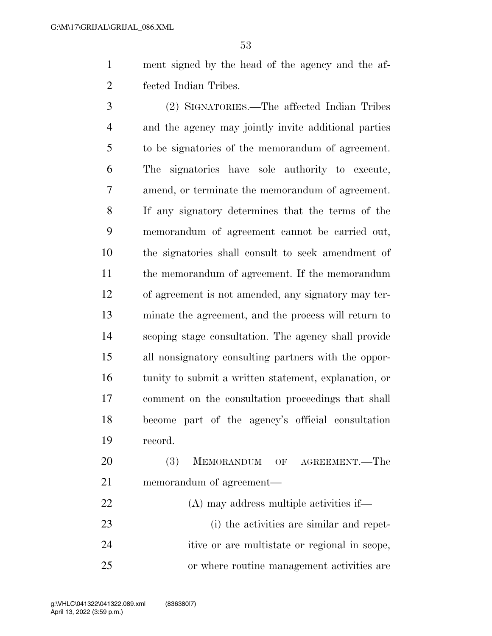ment signed by the head of the agency and the af-fected Indian Tribes.

 (2) SIGNATORIES.—The affected Indian Tribes and the agency may jointly invite additional parties to be signatories of the memorandum of agreement. The signatories have sole authority to execute, amend, or terminate the memorandum of agreement. If any signatory determines that the terms of the memorandum of agreement cannot be carried out, the signatories shall consult to seek amendment of the memorandum of agreement. If the memorandum of agreement is not amended, any signatory may ter- minate the agreement, and the process will return to scoping stage consultation. The agency shall provide all nonsignatory consulting partners with the oppor- tunity to submit a written statement, explanation, or comment on the consultation proceedings that shall become part of the agency's official consultation record.

 (3) MEMORANDUM OF AGREEMENT.—The memorandum of agreement— (A) may address multiple activities if— (i) the activities are similar and repet-

 itive or are multistate or regional in scope, or where routine management activities are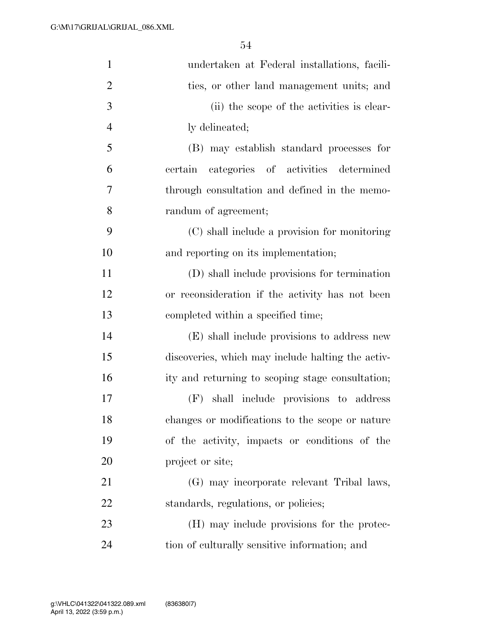| $\mathbf{1}$   | undertaken at Federal installations, facili-      |
|----------------|---------------------------------------------------|
| $\overline{2}$ | ties, or other land management units; and         |
| 3              | (ii) the scope of the activities is clear-        |
| $\overline{4}$ | ly delineated;                                    |
| 5              | (B) may establish standard processes for          |
| 6              | categories of activities determined<br>certain    |
| 7              | through consultation and defined in the memo-     |
| 8              | randum of agreement;                              |
| 9              | (C) shall include a provision for monitoring      |
| 10             | and reporting on its implementation;              |
| 11             | (D) shall include provisions for termination      |
| 12             | or reconsideration if the activity has not been   |
| 13             | completed within a specified time;                |
| 14             | (E) shall include provisions to address new       |
| 15             | discoveries, which may include halting the activ- |
| 16             | ity and returning to scoping stage consultation;  |
| 17             | shall include provisions to address<br>(F)        |
| 18             | changes or modifications to the scope or nature   |
| 19             | of the activity, impacts or conditions of the     |
| 20             | project or site;                                  |
| 21             | (G) may incorporate relevant Tribal laws,         |
| 22             | standards, regulations, or policies;              |
| 23             | (H) may include provisions for the protec-        |
| 24             | tion of culturally sensitive information; and     |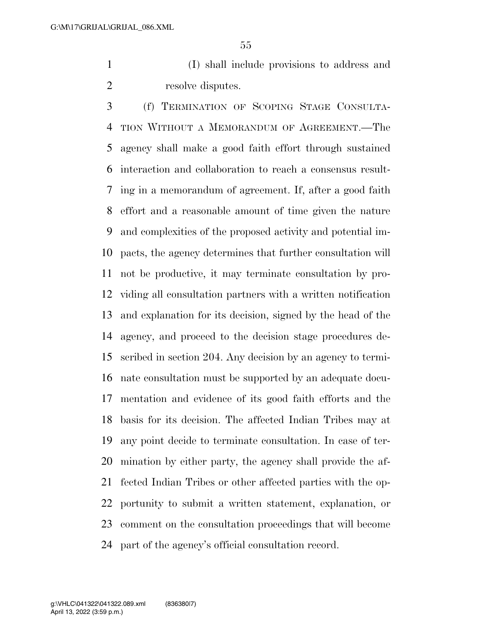(I) shall include provisions to address and 2 resolve disputes.

 (f) TERMINATION OF SCOPING STAGE CONSULTA- TION WITHOUT A MEMORANDUM OF AGREEMENT.—The agency shall make a good faith effort through sustained interaction and collaboration to reach a consensus result- ing in a memorandum of agreement. If, after a good faith effort and a reasonable amount of time given the nature and complexities of the proposed activity and potential im- pacts, the agency determines that further consultation will not be productive, it may terminate consultation by pro- viding all consultation partners with a written notification and explanation for its decision, signed by the head of the agency, and proceed to the decision stage procedures de- scribed in section 204. Any decision by an agency to termi- nate consultation must be supported by an adequate docu- mentation and evidence of its good faith efforts and the basis for its decision. The affected Indian Tribes may at any point decide to terminate consultation. In case of ter- mination by either party, the agency shall provide the af- fected Indian Tribes or other affected parties with the op- portunity to submit a written statement, explanation, or comment on the consultation proceedings that will become part of the agency's official consultation record.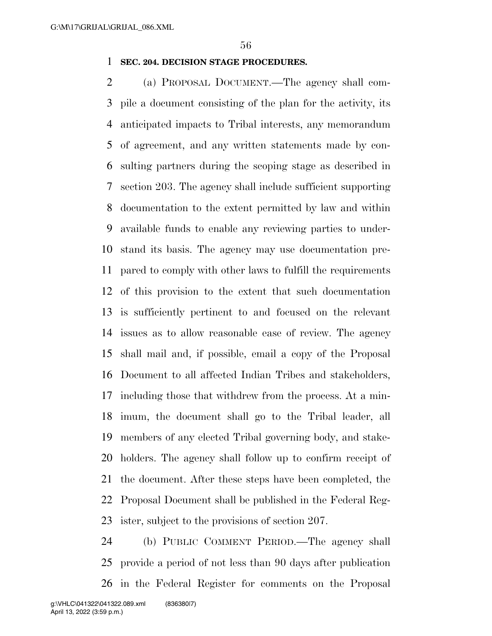#### **SEC. 204. DECISION STAGE PROCEDURES.**

 (a) PROPOSAL DOCUMENT.—The agency shall com- pile a document consisting of the plan for the activity, its anticipated impacts to Tribal interests, any memorandum of agreement, and any written statements made by con- sulting partners during the scoping stage as described in section 203. The agency shall include sufficient supporting documentation to the extent permitted by law and within available funds to enable any reviewing parties to under- stand its basis. The agency may use documentation pre- pared to comply with other laws to fulfill the requirements of this provision to the extent that such documentation is sufficiently pertinent to and focused on the relevant issues as to allow reasonable ease of review. The agency shall mail and, if possible, email a copy of the Proposal Document to all affected Indian Tribes and stakeholders, including those that withdrew from the process. At a min- imum, the document shall go to the Tribal leader, all members of any elected Tribal governing body, and stake- holders. The agency shall follow up to confirm receipt of the document. After these steps have been completed, the Proposal Document shall be published in the Federal Reg-ister, subject to the provisions of section 207.

 (b) PUBLIC COMMENT PERIOD.—The agency shall provide a period of not less than 90 days after publication in the Federal Register for comments on the Proposal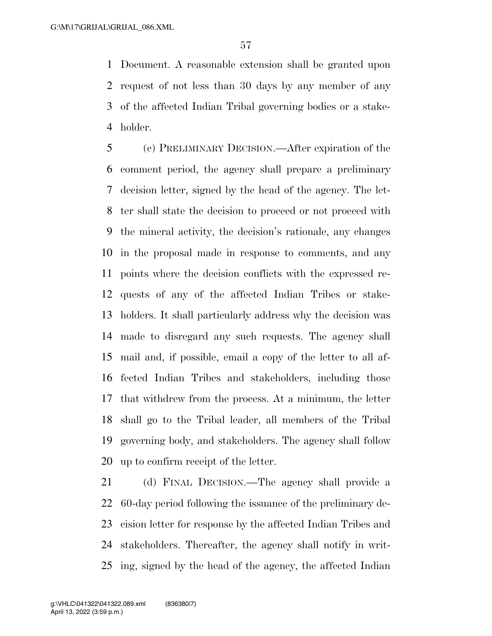Document. A reasonable extension shall be granted upon request of not less than 30 days by any member of any of the affected Indian Tribal governing bodies or a stake-holder.

 (c) PRELIMINARY DECISION.—After expiration of the comment period, the agency shall prepare a preliminary decision letter, signed by the head of the agency. The let- ter shall state the decision to proceed or not proceed with the mineral activity, the decision's rationale, any changes in the proposal made in response to comments, and any points where the decision conflicts with the expressed re- quests of any of the affected Indian Tribes or stake- holders. It shall particularly address why the decision was made to disregard any such requests. The agency shall mail and, if possible, email a copy of the letter to all af- fected Indian Tribes and stakeholders, including those that withdrew from the process. At a minimum, the letter shall go to the Tribal leader, all members of the Tribal governing body, and stakeholders. The agency shall follow up to confirm receipt of the letter.

 (d) FINAL DECISION.—The agency shall provide a 60-day period following the issuance of the preliminary de- cision letter for response by the affected Indian Tribes and stakeholders. Thereafter, the agency shall notify in writ-ing, signed by the head of the agency, the affected Indian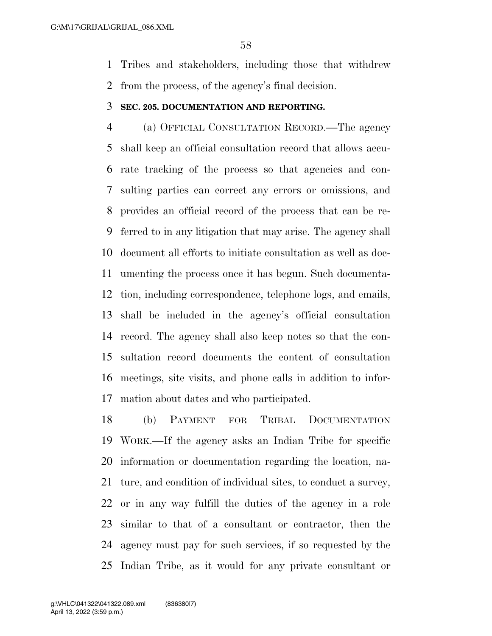Tribes and stakeholders, including those that withdrew from the process, of the agency's final decision.

#### **SEC. 205. DOCUMENTATION AND REPORTING.**

 (a) OFFICIAL CONSULTATION RECORD.—The agency shall keep an official consultation record that allows accu- rate tracking of the process so that agencies and con- sulting parties can correct any errors or omissions, and provides an official record of the process that can be re- ferred to in any litigation that may arise. The agency shall document all efforts to initiate consultation as well as doc- umenting the process once it has begun. Such documenta- tion, including correspondence, telephone logs, and emails, shall be included in the agency's official consultation record. The agency shall also keep notes so that the con- sultation record documents the content of consultation meetings, site visits, and phone calls in addition to infor-mation about dates and who participated.

 (b) PAYMENT FOR TRIBAL DOCUMENTATION WORK.—If the agency asks an Indian Tribe for specific information or documentation regarding the location, na- ture, and condition of individual sites, to conduct a survey, or in any way fulfill the duties of the agency in a role similar to that of a consultant or contractor, then the agency must pay for such services, if so requested by the Indian Tribe, as it would for any private consultant or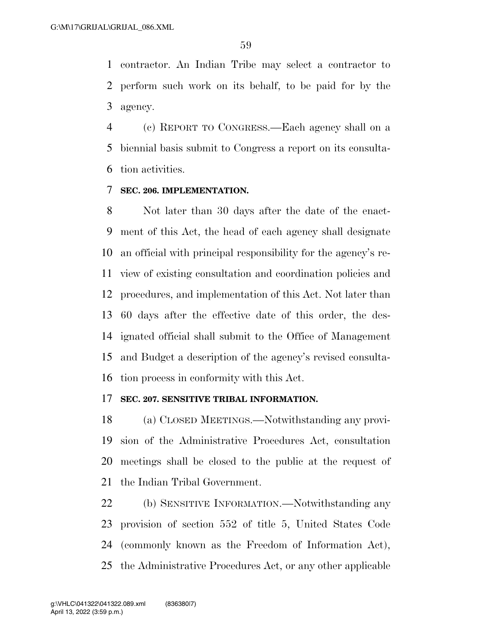contractor. An Indian Tribe may select a contractor to perform such work on its behalf, to be paid for by the agency.

 (c) REPORT TO CONGRESS.—Each agency shall on a biennial basis submit to Congress a report on its consulta-tion activities.

#### **SEC. 206. IMPLEMENTATION.**

 Not later than 30 days after the date of the enact- ment of this Act, the head of each agency shall designate an official with principal responsibility for the agency's re- view of existing consultation and coordination policies and procedures, and implementation of this Act. Not later than 60 days after the effective date of this order, the des- ignated official shall submit to the Office of Management and Budget a description of the agency's revised consulta-tion process in conformity with this Act.

#### **SEC. 207. SENSITIVE TRIBAL INFORMATION.**

 (a) CLOSED MEETINGS.—Notwithstanding any provi- sion of the Administrative Procedures Act, consultation meetings shall be closed to the public at the request of the Indian Tribal Government.

 (b) SENSITIVE INFORMATION.—Notwithstanding any provision of section 552 of title 5, United States Code (commonly known as the Freedom of Information Act), the Administrative Procedures Act, or any other applicable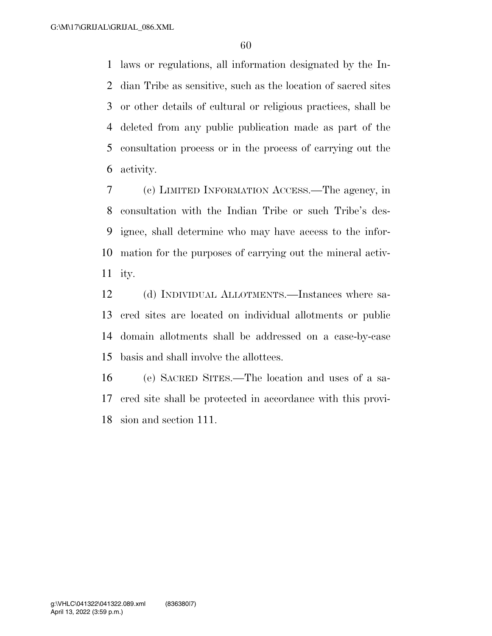laws or regulations, all information designated by the In- dian Tribe as sensitive, such as the location of sacred sites or other details of cultural or religious practices, shall be deleted from any public publication made as part of the consultation process or in the process of carrying out the activity.

 (c) LIMITED INFORMATION ACCESS.—The agency, in consultation with the Indian Tribe or such Tribe's des- ignee, shall determine who may have access to the infor- mation for the purposes of carrying out the mineral activ-ity.

 (d) INDIVIDUAL ALLOTMENTS.—Instances where sa- cred sites are located on individual allotments or public domain allotments shall be addressed on a case-by-case basis and shall involve the allottees.

 (e) SACRED SITES.—The location and uses of a sa- cred site shall be protected in accordance with this provi-sion and section 111.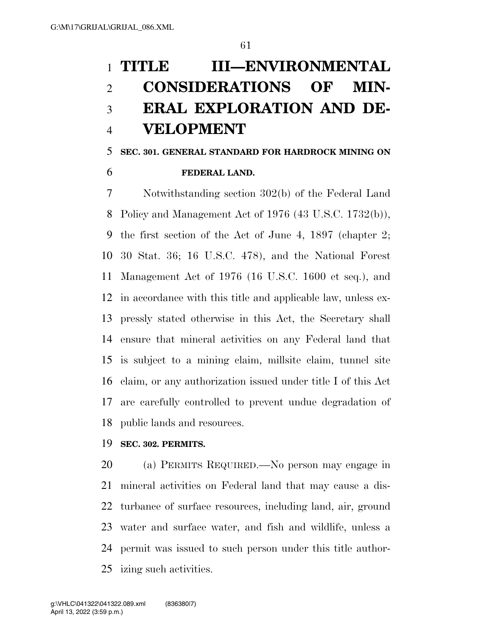# **TITLE III—ENVIRONMENTAL CONSIDERATIONS OF MIN- ERAL EXPLORATION AND DE-VELOPMENT**

## **SEC. 301. GENERAL STANDARD FOR HARDROCK MINING ON FEDERAL LAND.**

 Notwithstanding section 302(b) of the Federal Land Policy and Management Act of 1976 (43 U.S.C. 1732(b)), the first section of the Act of June 4, 1897 (chapter 2; 30 Stat. 36; 16 U.S.C. 478), and the National Forest Management Act of 1976 (16 U.S.C. 1600 et seq.), and in accordance with this title and applicable law, unless ex- pressly stated otherwise in this Act, the Secretary shall ensure that mineral activities on any Federal land that is subject to a mining claim, millsite claim, tunnel site claim, or any authorization issued under title I of this Act are carefully controlled to prevent undue degradation of public lands and resources.

#### **SEC. 302. PERMITS.**

 (a) PERMITS REQUIRED.—No person may engage in mineral activities on Federal land that may cause a dis- turbance of surface resources, including land, air, ground water and surface water, and fish and wildlife, unless a permit was issued to such person under this title author-izing such activities.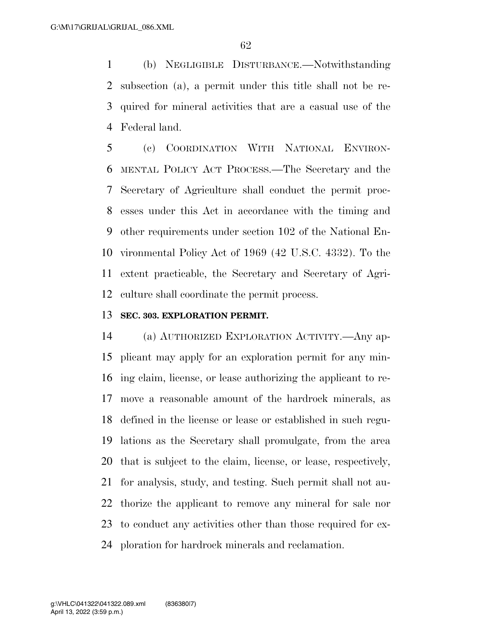(b) NEGLIGIBLE DISTURBANCE.—Notwithstanding subsection (a), a permit under this title shall not be re- quired for mineral activities that are a casual use of the Federal land.

 (c) COORDINATION WITH NATIONAL ENVIRON- MENTAL POLICY ACT PROCESS.—The Secretary and the Secretary of Agriculture shall conduct the permit proc- esses under this Act in accordance with the timing and other requirements under section 102 of the National En- vironmental Policy Act of 1969 (42 U.S.C. 4332). To the extent practicable, the Secretary and Secretary of Agri-culture shall coordinate the permit process.

#### **SEC. 303. EXPLORATION PERMIT.**

 (a) AUTHORIZED EXPLORATION ACTIVITY.—Any ap- plicant may apply for an exploration permit for any min- ing claim, license, or lease authorizing the applicant to re- move a reasonable amount of the hardrock minerals, as defined in the license or lease or established in such regu- lations as the Secretary shall promulgate, from the area that is subject to the claim, license, or lease, respectively, for analysis, study, and testing. Such permit shall not au- thorize the applicant to remove any mineral for sale nor to conduct any activities other than those required for ex-ploration for hardrock minerals and reclamation.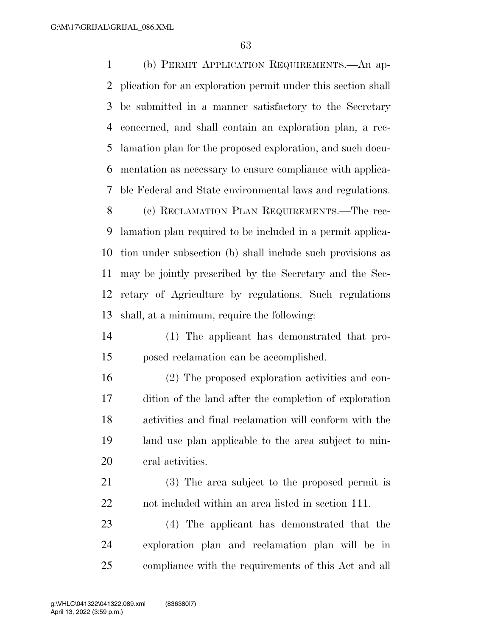(b) PERMIT APPLICATION REQUIREMENTS.—An ap- plication for an exploration permit under this section shall be submitted in a manner satisfactory to the Secretary concerned, and shall contain an exploration plan, a rec- lamation plan for the proposed exploration, and such docu- mentation as necessary to ensure compliance with applica-ble Federal and State environmental laws and regulations.

 (c) RECLAMATION PLAN REQUIREMENTS.—The rec- lamation plan required to be included in a permit applica- tion under subsection (b) shall include such provisions as may be jointly prescribed by the Secretary and the Sec- retary of Agriculture by regulations. Such regulations shall, at a minimum, require the following:

- (1) The applicant has demonstrated that pro-posed reclamation can be accomplished.
- (2) The proposed exploration activities and con- dition of the land after the completion of exploration activities and final reclamation will conform with the land use plan applicable to the area subject to min-eral activities.
- (3) The area subject to the proposed permit is not included within an area listed in section 111.
- (4) The applicant has demonstrated that the exploration plan and reclamation plan will be in compliance with the requirements of this Act and all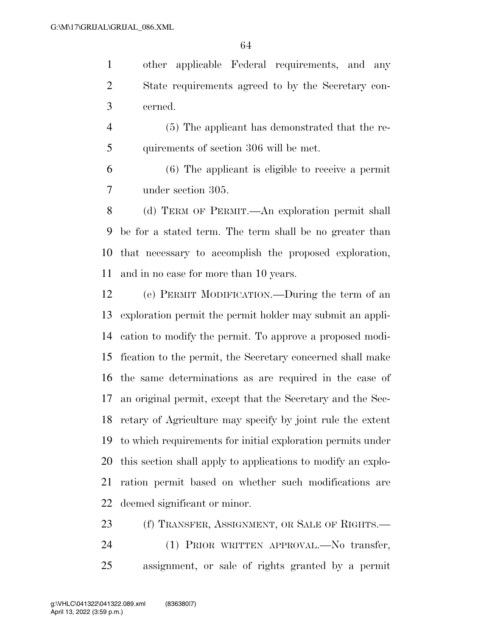other applicable Federal requirements, and any State requirements agreed to by the Secretary con-cerned.

 (5) The applicant has demonstrated that the re-quirements of section 306 will be met.

 (6) The applicant is eligible to receive a permit under section 305.

 (d) TERM OF PERMIT.—An exploration permit shall be for a stated term. The term shall be no greater than that necessary to accomplish the proposed exploration, and in no case for more than 10 years.

 (e) PERMIT MODIFICATION.—During the term of an exploration permit the permit holder may submit an appli- cation to modify the permit. To approve a proposed modi- fication to the permit, the Secretary concerned shall make the same determinations as are required in the case of an original permit, except that the Secretary and the Sec- retary of Agriculture may specify by joint rule the extent to which requirements for initial exploration permits under this section shall apply to applications to modify an explo- ration permit based on whether such modifications are deemed significant or minor.

23 (f) TRANSFER, ASSIGNMENT, OR SALE OF RIGHTS.— (1) PRIOR WRITTEN APPROVAL.—No transfer, assignment, or sale of rights granted by a permit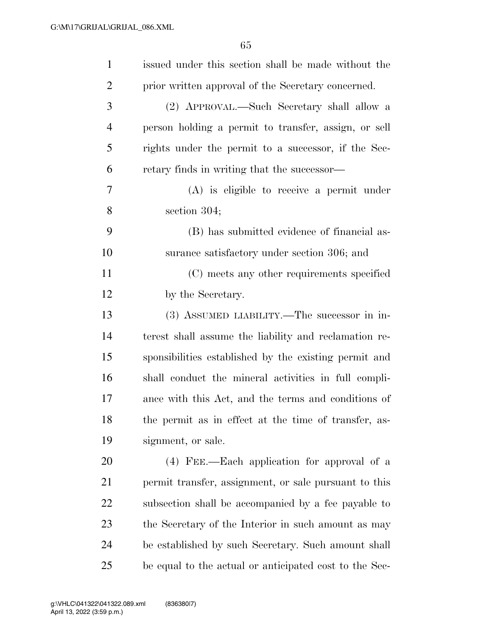| $\mathbf{1}$   | issued under this section shall be made without the    |
|----------------|--------------------------------------------------------|
| $\overline{2}$ | prior written approval of the Secretary concerned.     |
| 3              | (2) APPROVAL.—Such Secretary shall allow a             |
| $\overline{4}$ | person holding a permit to transfer, assign, or sell   |
| 5              | rights under the permit to a successor, if the Sec-    |
| 6              | retary finds in writing that the successor—            |
| 7              | $(A)$ is eligible to receive a permit under            |
| 8              | section 304;                                           |
| 9              | (B) has submitted evidence of financial as-            |
| 10             | surance satisfactory under section 306; and            |
| 11             | (C) meets any other requirements specified             |
| 12             | by the Secretary.                                      |
| 13             | (3) ASSUMED LIABILITY.—The successor in in-            |
| 14             | terest shall assume the liability and reclamation re-  |
| 15             | sponsibilities established by the existing permit and  |
| 16             | shall conduct the mineral activities in full compli-   |
| 17             | ance with this Act, and the terms and conditions of    |
| 18             | the permit as in effect at the time of transfer, as-   |
| 19             | signment, or sale.                                     |
| 20             | (4) FEE.—Each application for approval of a            |
| 21             | permit transfer, assignment, or sale pursuant to this  |
| 22             | subsection shall be accompanied by a fee payable to    |
| 23             | the Secretary of the Interior in such amount as may    |
| 24             | be established by such Secretary. Such amount shall    |
| 25             | be equal to the actual or anticipated cost to the Sec- |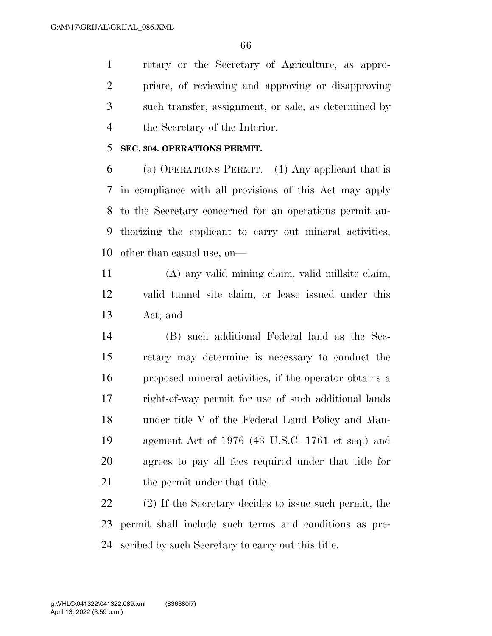retary or the Secretary of Agriculture, as appro- priate, of reviewing and approving or disapproving such transfer, assignment, or sale, as determined by the Secretary of the Interior.

#### **SEC. 304. OPERATIONS PERMIT.**

6 (a) OPERATIONS PERMIT.—(1) Any applicant that is in compliance with all provisions of this Act may apply to the Secretary concerned for an operations permit au- thorizing the applicant to carry out mineral activities, other than casual use, on—

 (A) any valid mining claim, valid millsite claim, valid tunnel site claim, or lease issued under this Act; and

 (B) such additional Federal land as the Sec- retary may determine is necessary to conduct the proposed mineral activities, if the operator obtains a right-of-way permit for use of such additional lands under title V of the Federal Land Policy and Man- agement Act of 1976 (43 U.S.C. 1761 et seq.) and agrees to pay all fees required under that title for 21 the permit under that title.

 (2) If the Secretary decides to issue such permit, the permit shall include such terms and conditions as pre-scribed by such Secretary to carry out this title.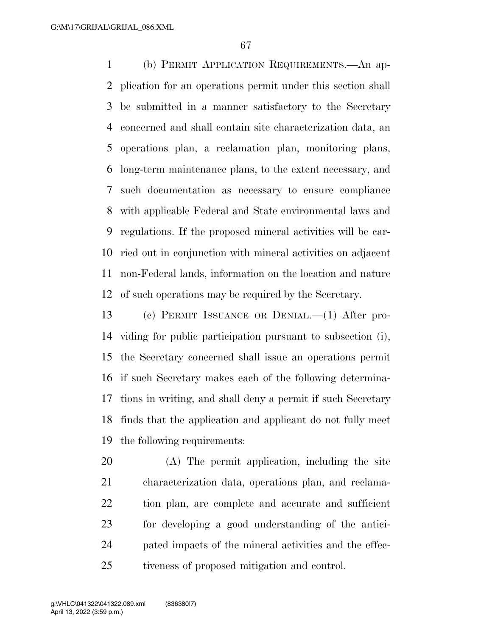(b) PERMIT APPLICATION REQUIREMENTS.—An ap- plication for an operations permit under this section shall be submitted in a manner satisfactory to the Secretary concerned and shall contain site characterization data, an operations plan, a reclamation plan, monitoring plans, long-term maintenance plans, to the extent necessary, and such documentation as necessary to ensure compliance with applicable Federal and State environmental laws and regulations. If the proposed mineral activities will be car- ried out in conjunction with mineral activities on adjacent non-Federal lands, information on the location and nature of such operations may be required by the Secretary.

 (c) PERMIT ISSUANCE OR DENIAL.—(1) After pro- viding for public participation pursuant to subsection (i), the Secretary concerned shall issue an operations permit if such Secretary makes each of the following determina- tions in writing, and shall deny a permit if such Secretary finds that the application and applicant do not fully meet the following requirements:

 (A) The permit application, including the site characterization data, operations plan, and reclama- tion plan, are complete and accurate and sufficient for developing a good understanding of the antici- pated impacts of the mineral activities and the effec-tiveness of proposed mitigation and control.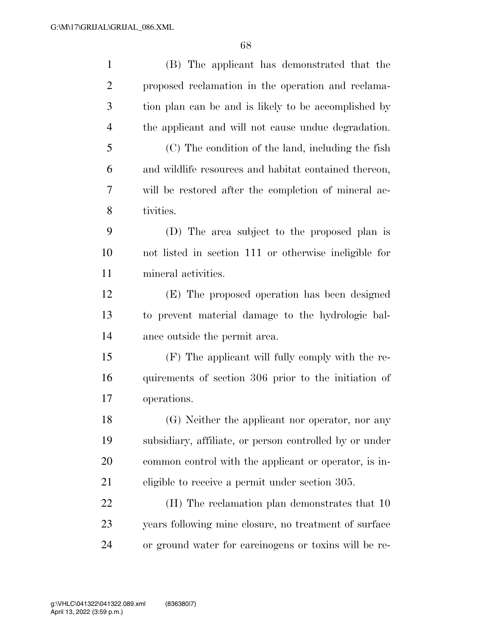| $\mathbf{1}$   | (B) The applicant has demonstrated that the             |
|----------------|---------------------------------------------------------|
| $\overline{2}$ | proposed reclamation in the operation and reclama-      |
| 3              | tion plan can be and is likely to be accomplished by    |
| $\overline{4}$ | the applicant and will not cause undue degradation.     |
| 5              | (C) The condition of the land, including the fish       |
| 6              | and wildlife resources and habitat contained thereon,   |
| 7              | will be restored after the completion of mineral ac-    |
| 8              | tivities.                                               |
| 9              | (D) The area subject to the proposed plan is            |
| 10             | not listed in section 111 or otherwise ineligible for   |
| 11             | mineral activities.                                     |
| 12             | (E) The proposed operation has been designed            |
| 13             | to prevent material damage to the hydrologic bal-       |
| 14             | ance outside the permit area.                           |
| 15             | (F) The applicant will fully comply with the re-        |
| 16             | quirements of section 306 prior to the initiation of    |
| 17             | operations.                                             |
| 18             | (G) Neither the applicant nor operator, nor any         |
| 19             | subsidiary, affiliate, or person controlled by or under |
| 20             | common control with the applicant or operator, is in-   |
| 21             | eligible to receive a permit under section 305.         |
| 22             | (H) The reclamation plan demonstrates that 10           |
| 23             | years following mine closure, no treatment of surface   |
| 24             | or ground water for carcinogens or toxins will be re-   |
|                |                                                         |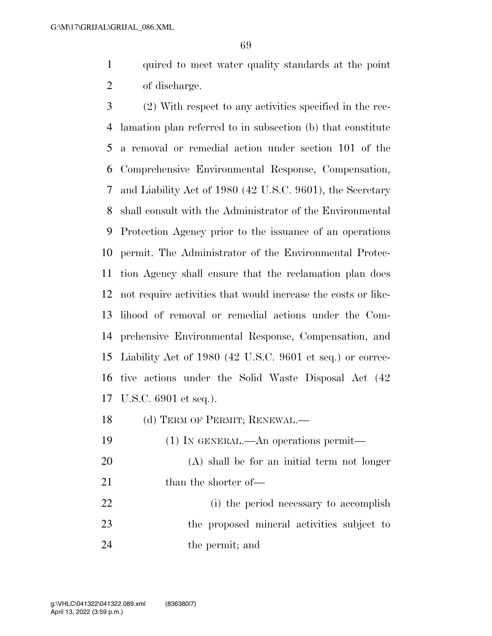quired to meet water quality standards at the point of discharge.

 (2) With respect to any activities specified in the rec- lamation plan referred to in subsection (b) that constitute a removal or remedial action under section 101 of the Comprehensive Environmental Response, Compensation, and Liability Act of 1980 (42 U.S.C. 9601), the Secretary shall consult with the Administrator of the Environmental Protection Agency prior to the issuance of an operations permit. The Administrator of the Environmental Protec- tion Agency shall ensure that the reclamation plan does not require activities that would increase the costs or like- lihood of removal or remedial actions under the Com- prehensive Environmental Response, Compensation, and Liability Act of 1980 (42 U.S.C. 9601 et seq.) or correc- tive actions under the Solid Waste Disposal Act (42 U.S.C. 6901 et seq.).

18 (d) TERM OF PERMIT; RENEWAL.—

- (1) IN GENERAL.—An operations permit—
- (A) shall be for an initial term not longer 21 than the shorter of—
- (i) the period necessary to accomplish the proposed mineral activities subject to 24 the permit; and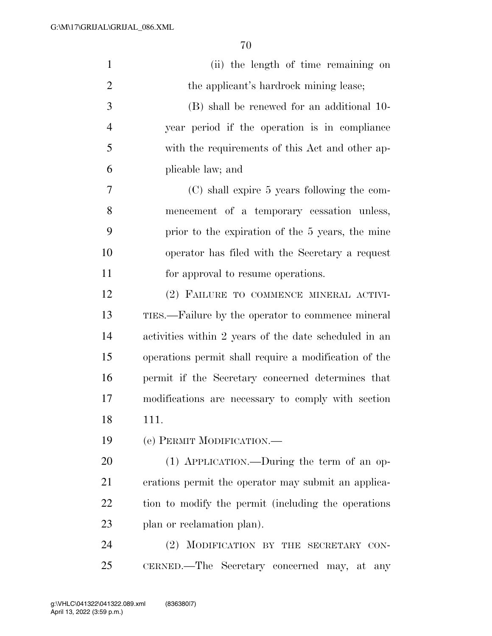| $\mathbf{1}$   | (ii) the length of time remaining on                  |
|----------------|-------------------------------------------------------|
| $\overline{2}$ | the applicant's hardrock mining lease;                |
| 3              | (B) shall be renewed for an additional 10-            |
| $\overline{4}$ | year period if the operation is in compliance         |
| 5              | with the requirements of this Act and other ap-       |
| 6              | plicable law; and                                     |
| 7              | (C) shall expire 5 years following the com-           |
| 8              | mencement of a temporary cessation unless,            |
| 9              | prior to the expiration of the 5 years, the mine      |
| 10             | operator has filed with the Secretary a request       |
| 11             | for approval to resume operations.                    |
| 12             | (2) FAILURE TO COMMENCE MINERAL ACTIVI-               |
| 13             | TIES.—Failure by the operator to commence mineral     |
| 14             | activities within 2 years of the date scheduled in an |
| 15             | operations permit shall require a modification of the |
| 16             | permit if the Secretary concerned determines that     |
| 17             | modifications are necessary to comply with section    |
| 18             | 111.                                                  |
| 19             | (e) PERMIT MODIFICATION.                              |
| 20             | (1) APPLICATION.—During the term of an op-            |
| 21             | erations permit the operator may submit an applica-   |
| 22             | tion to modify the permit (including the operations   |
| 23             | plan or reclamation plan).                            |
| 24             | MODIFICATION BY THE SECRETARY CON-<br>(2)             |
| 25             | CERNED.—The Secretary concerned may, at any           |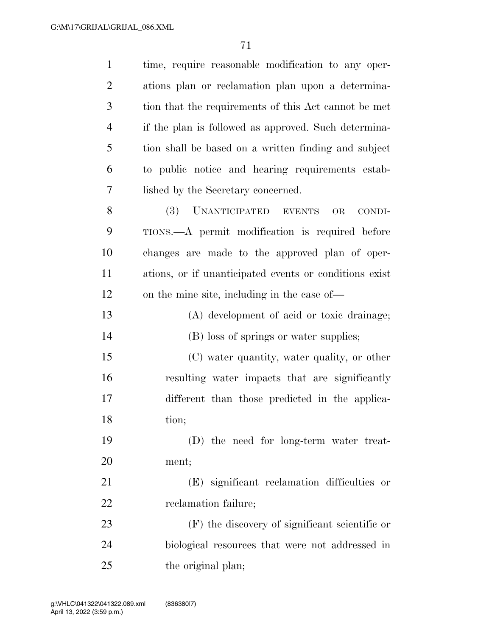| $\mathbf{1}$   | time, require reasonable modification to any oper-     |
|----------------|--------------------------------------------------------|
| $\overline{2}$ | ations plan or reclamation plan upon a determina-      |
| 3              | tion that the requirements of this Act cannot be met   |
| $\overline{4}$ | if the plan is followed as approved. Such determina-   |
| 5              | tion shall be based on a written finding and subject   |
| 6              | to public notice and hearing requirements estab-       |
| 7              | lished by the Secretary concerned.                     |
| 8              | <b>(3)</b><br>UNANTICIPATED EVENTS<br>CONDI-<br>OR     |
| 9              | TIONS.—A permit modification is required before        |
| 10             | changes are made to the approved plan of oper-         |
| 11             | ations, or if unanticipated events or conditions exist |
| 12             | on the mine site, including in the case of—            |
| 13             | (A) development of acid or toxic drainage;             |
| 14             | (B) loss of springs or water supplies;                 |
| 15             | (C) water quantity, water quality, or other            |
| 16             | resulting water impacts that are significantly         |
| 17             | different than those predicted in the applica-         |
| 18             | tion;                                                  |
| 19             | (D) the need for long-term water treat-                |
| 20             | ment;                                                  |
| 21             | (E) significant reclamation difficulties or            |
| 22             | reclamation failure;                                   |
| 23             | $(F)$ the discovery of significant scientific or       |
| 24             | biological resources that were not addressed in        |
| 25             | the original plan;                                     |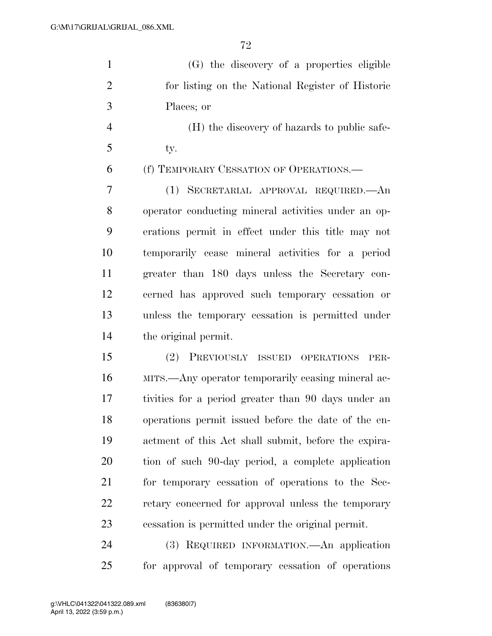(G) the discovery of a properties eligible for listing on the National Register of Historic Places; or

 (H) the discovery of hazards to public safe-ty.

#### (f) TEMPORARY CESSATION OF OPERATIONS.—

 (1) SECRETARIAL APPROVAL REQUIRED.—An operator conducting mineral activities under an op- erations permit in effect under this title may not temporarily cease mineral activities for a period greater than 180 days unless the Secretary con- cerned has approved such temporary cessation or unless the temporary cessation is permitted under the original permit.

 (2) PREVIOUSLY ISSUED OPERATIONS PER- MITS.—Any operator temporarily ceasing mineral ac- tivities for a period greater than 90 days under an operations permit issued before the date of the en- actment of this Act shall submit, before the expira- tion of such 90-day period, a complete application for temporary cessation of operations to the Sec- retary concerned for approval unless the temporary cessation is permitted under the original permit.

 (3) REQUIRED INFORMATION.—An application for approval of temporary cessation of operations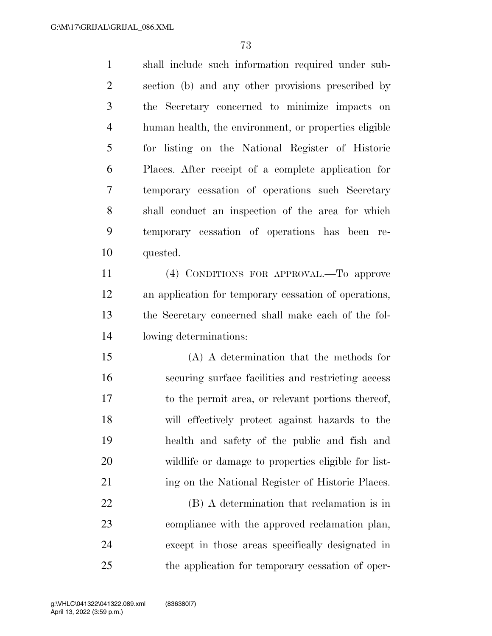shall include such information required under sub- section (b) and any other provisions prescribed by the Secretary concerned to minimize impacts on human health, the environment, or properties eligible for listing on the National Register of Historic Places. After receipt of a complete application for temporary cessation of operations such Secretary shall conduct an inspection of the area for which temporary cessation of operations has been re- quested. (4) CONDITIONS FOR APPROVAL.—To approve an application for temporary cessation of operations, the Secretary concerned shall make each of the fol- lowing determinations: (A) A determination that the methods for securing surface facilities and restricting access to the permit area, or relevant portions thereof, will effectively protect against hazards to the health and safety of the public and fish and wildlife or damage to properties eligible for list-21 ing on the National Register of Historic Places. (B) A determination that reclamation is in compliance with the approved reclamation plan, except in those areas specifically designated in

the application for temporary cessation of oper-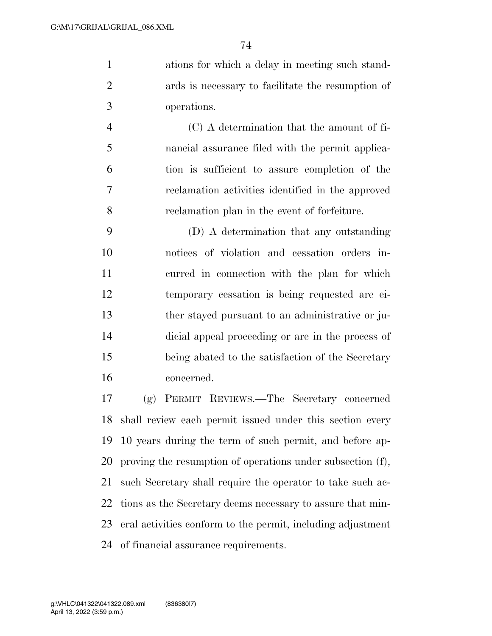ations for which a delay in meeting such stand- ards is necessary to facilitate the resumption of operations.

 (C) A determination that the amount of fi- nancial assurance filed with the permit applica- tion is sufficient to assure completion of the reclamation activities identified in the approved reclamation plan in the event of forfeiture.

 (D) A determination that any outstanding notices of violation and cessation orders in- curred in connection with the plan for which temporary cessation is being requested are ei- ther stayed pursuant to an administrative or ju- dicial appeal proceeding or are in the process of being abated to the satisfaction of the Secretary concerned.

 (g) PERMIT REVIEWS.—The Secretary concerned shall review each permit issued under this section every 10 years during the term of such permit, and before ap- proving the resumption of operations under subsection (f), such Secretary shall require the operator to take such ac- tions as the Secretary deems necessary to assure that min- eral activities conform to the permit, including adjustment of financial assurance requirements.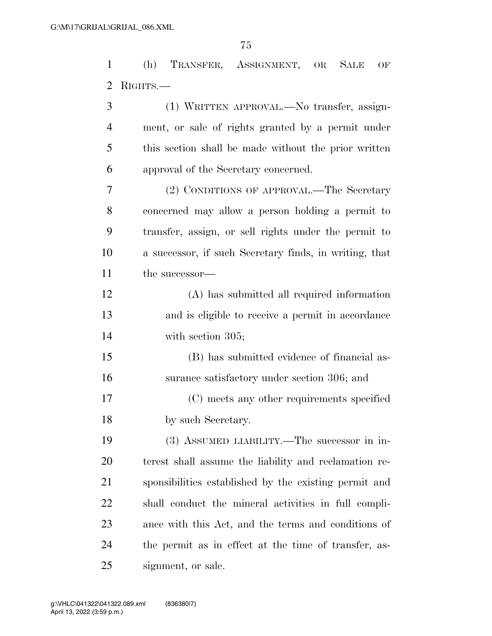(h) TRANSFER, ASSIGNMENT, OR SALE OF RIGHTS.—

 (1) WRITTEN APPROVAL.—No transfer, assign- ment, or sale of rights granted by a permit under this section shall be made without the prior written approval of the Secretary concerned. (2) CONDITIONS OF APPROVAL.—The Secretary concerned may allow a person holding a permit to transfer, assign, or sell rights under the permit to a successor, if such Secretary finds, in writing, that the successor— (A) has submitted all required information and is eligible to receive a permit in accordance with section 305; (B) has submitted evidence of financial as- surance satisfactory under section 306; and (C) meets any other requirements specified by such Secretary. (3) ASSUMED LIABILITY.—The successor in in- terest shall assume the liability and reclamation re- sponsibilities established by the existing permit and shall conduct the mineral activities in full compli- ance with this Act, and the terms and conditions of the permit as in effect at the time of transfer, as-

signment, or sale.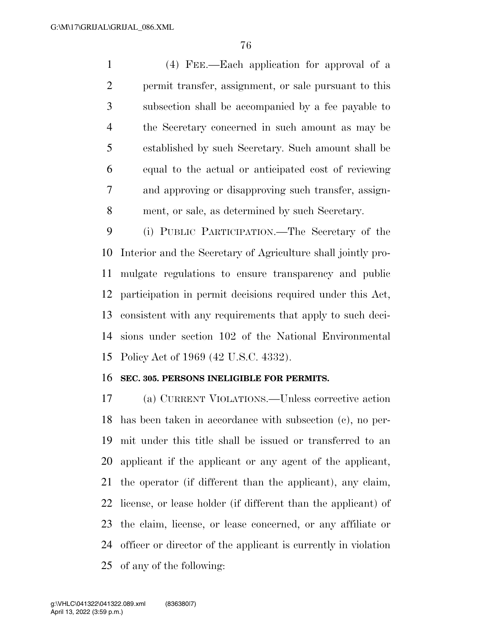(4) FEE.—Each application for approval of a permit transfer, assignment, or sale pursuant to this subsection shall be accompanied by a fee payable to the Secretary concerned in such amount as may be established by such Secretary. Such amount shall be equal to the actual or anticipated cost of reviewing and approving or disapproving such transfer, assign-ment, or sale, as determined by such Secretary.

 (i) PUBLIC PARTICIPATION.—The Secretary of the Interior and the Secretary of Agriculture shall jointly pro- mulgate regulations to ensure transparency and public participation in permit decisions required under this Act, consistent with any requirements that apply to such deci- sions under section 102 of the National Environmental Policy Act of 1969 (42 U.S.C. 4332).

### **SEC. 305. PERSONS INELIGIBLE FOR PERMITS.**

 (a) CURRENT VIOLATIONS.—Unless corrective action has been taken in accordance with subsection (c), no per- mit under this title shall be issued or transferred to an applicant if the applicant or any agent of the applicant, the operator (if different than the applicant), any claim, license, or lease holder (if different than the applicant) of the claim, license, or lease concerned, or any affiliate or officer or director of the applicant is currently in violation of any of the following: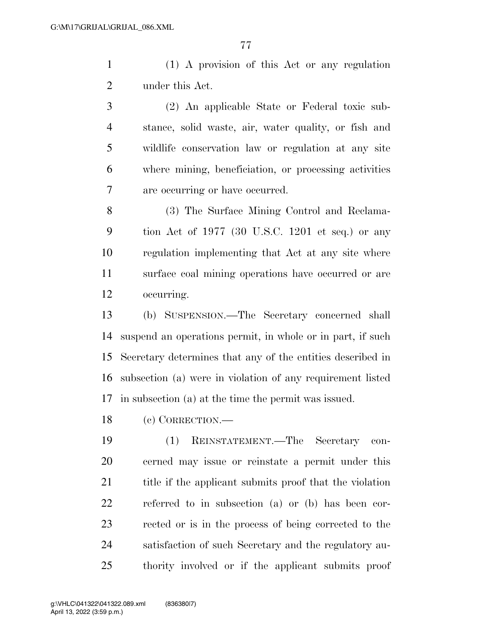(1) A provision of this Act or any regulation under this Act.

 (2) An applicable State or Federal toxic sub- stance, solid waste, air, water quality, or fish and wildlife conservation law or regulation at any site where mining, beneficiation, or processing activities are occurring or have occurred.

 (3) The Surface Mining Control and Reclama- tion Act of 1977 (30 U.S.C. 1201 et seq.) or any regulation implementing that Act at any site where surface coal mining operations have occurred or are occurring.

 (b) SUSPENSION.—The Secretary concerned shall suspend an operations permit, in whole or in part, if such Secretary determines that any of the entities described in subsection (a) were in violation of any requirement listed in subsection (a) at the time the permit was issued.

(c) CORRECTION.—

 (1) REINSTATEMENT.—The Secretary con- cerned may issue or reinstate a permit under this 21 title if the applicant submits proof that the violation referred to in subsection (a) or (b) has been cor- rected or is in the process of being corrected to the satisfaction of such Secretary and the regulatory au-thority involved or if the applicant submits proof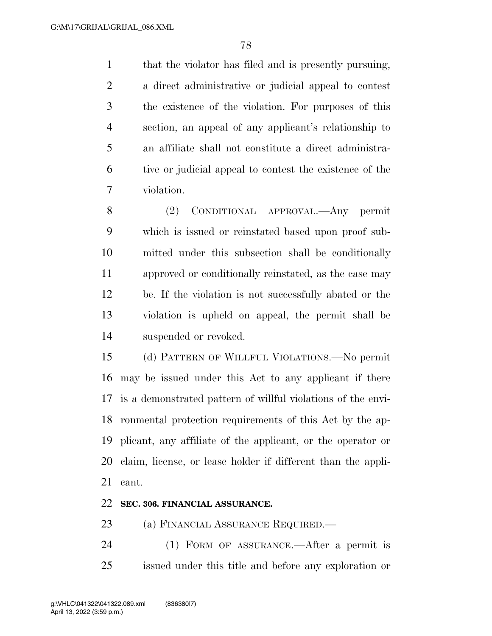that the violator has filed and is presently pursuing, a direct administrative or judicial appeal to contest the existence of the violation. For purposes of this section, an appeal of any applicant's relationship to an affiliate shall not constitute a direct administra- tive or judicial appeal to contest the existence of the violation.

 (2) CONDITIONAL APPROVAL.—Any permit which is issued or reinstated based upon proof sub- mitted under this subsection shall be conditionally approved or conditionally reinstated, as the case may be. If the violation is not successfully abated or the violation is upheld on appeal, the permit shall be suspended or revoked.

 (d) PATTERN OF WILLFUL VIOLATIONS.—No permit may be issued under this Act to any applicant if there is a demonstrated pattern of willful violations of the envi- ronmental protection requirements of this Act by the ap- plicant, any affiliate of the applicant, or the operator or claim, license, or lease holder if different than the appli-cant.

# **SEC. 306. FINANCIAL ASSURANCE.**

23 (a) FINANCIAL ASSURANCE REQUIRED.—

 (1) FORM OF ASSURANCE.—After a permit is issued under this title and before any exploration or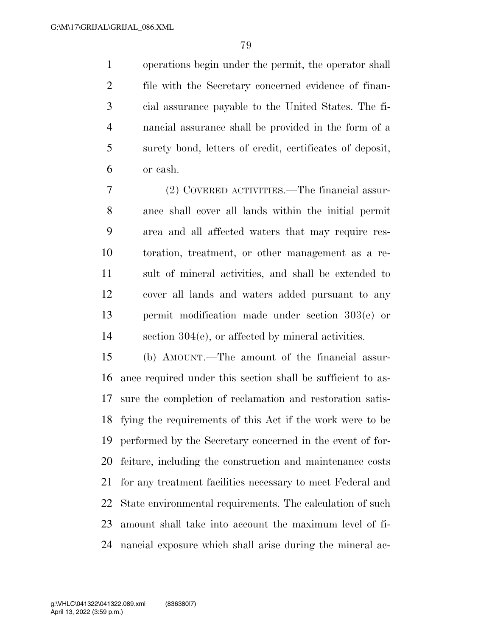operations begin under the permit, the operator shall file with the Secretary concerned evidence of finan- cial assurance payable to the United States. The fi- nancial assurance shall be provided in the form of a surety bond, letters of credit, certificates of deposit, or cash.

 (2) COVERED ACTIVITIES.—The financial assur- ance shall cover all lands within the initial permit area and all affected waters that may require res- toration, treatment, or other management as a re- sult of mineral activities, and shall be extended to cover all lands and waters added pursuant to any permit modification made under section 303(e) or section 304(e), or affected by mineral activities.

 (b) AMOUNT.—The amount of the financial assur- ance required under this section shall be sufficient to as- sure the completion of reclamation and restoration satis- fying the requirements of this Act if the work were to be performed by the Secretary concerned in the event of for- feiture, including the construction and maintenance costs for any treatment facilities necessary to meet Federal and State environmental requirements. The calculation of such amount shall take into account the maximum level of fi-nancial exposure which shall arise during the mineral ac-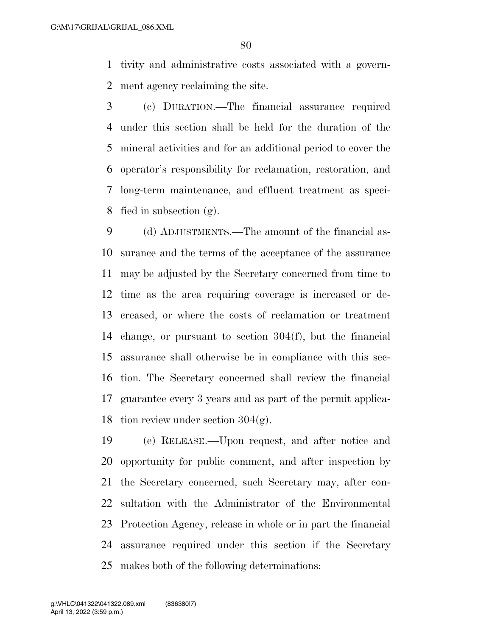tivity and administrative costs associated with a govern-ment agency reclaiming the site.

 (c) DURATION.—The financial assurance required under this section shall be held for the duration of the mineral activities and for an additional period to cover the operator's responsibility for reclamation, restoration, and long-term maintenance, and effluent treatment as speci-fied in subsection (g).

 (d) ADJUSTMENTS.—The amount of the financial as- surance and the terms of the acceptance of the assurance may be adjusted by the Secretary concerned from time to time as the area requiring coverage is increased or de- creased, or where the costs of reclamation or treatment change, or pursuant to section 304(f), but the financial assurance shall otherwise be in compliance with this sec- tion. The Secretary concerned shall review the financial guarantee every 3 years and as part of the permit applica-18 tion review under section  $304(g)$ .

 (e) RELEASE.—Upon request, and after notice and opportunity for public comment, and after inspection by the Secretary concerned, such Secretary may, after con- sultation with the Administrator of the Environmental Protection Agency, release in whole or in part the financial assurance required under this section if the Secretary makes both of the following determinations: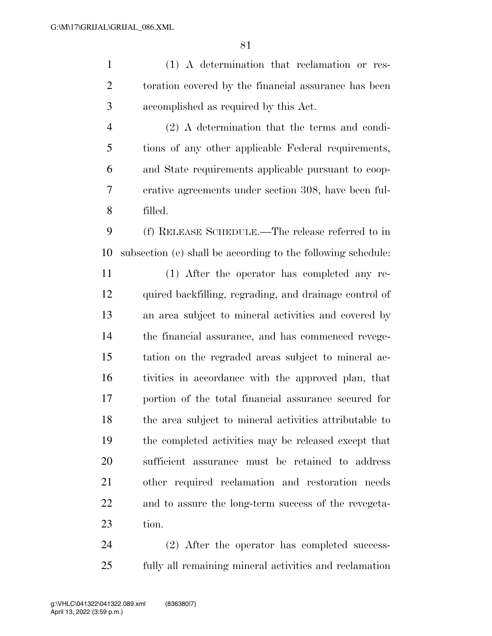(1) A determination that reclamation or res- toration covered by the financial assurance has been accomplished as required by this Act.

 (2) A determination that the terms and condi- tions of any other applicable Federal requirements, and State requirements applicable pursuant to coop- erative agreements under section 308, have been ful-filled.

 (f) RELEASE SCHEDULE.—The release referred to in subsection (e) shall be according to the following schedule:

 (1) After the operator has completed any re- quired backfilling, regrading, and drainage control of an area subject to mineral activities and covered by the financial assurance, and has commenced revege- tation on the regraded areas subject to mineral ac- tivities in accordance with the approved plan, that portion of the total financial assurance secured for the area subject to mineral activities attributable to the completed activities may be released except that sufficient assurance must be retained to address other required reclamation and restoration needs and to assure the long-term success of the revegeta-tion.

 (2) After the operator has completed success-fully all remaining mineral activities and reclamation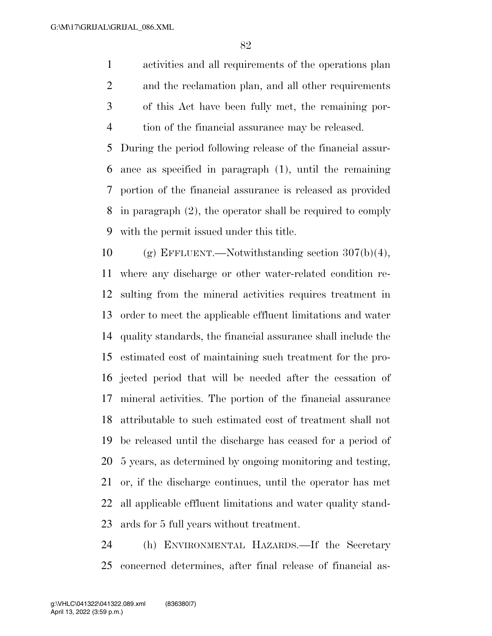activities and all requirements of the operations plan and the reclamation plan, and all other requirements of this Act have been fully met, the remaining por-tion of the financial assurance may be released.

 During the period following release of the financial assur- ance as specified in paragraph (1), until the remaining portion of the financial assurance is released as provided in paragraph (2), the operator shall be required to comply with the permit issued under this title.

10 (g) EFFLUENT.—Notwithstanding section  $307(b)(4)$ , where any discharge or other water-related condition re- sulting from the mineral activities requires treatment in order to meet the applicable effluent limitations and water quality standards, the financial assurance shall include the estimated cost of maintaining such treatment for the pro- jected period that will be needed after the cessation of mineral activities. The portion of the financial assurance attributable to such estimated cost of treatment shall not be released until the discharge has ceased for a period of 5 years, as determined by ongoing monitoring and testing, or, if the discharge continues, until the operator has met all applicable effluent limitations and water quality stand-ards for 5 full years without treatment.

 (h) ENVIRONMENTAL HAZARDS.—If the Secretary concerned determines, after final release of financial as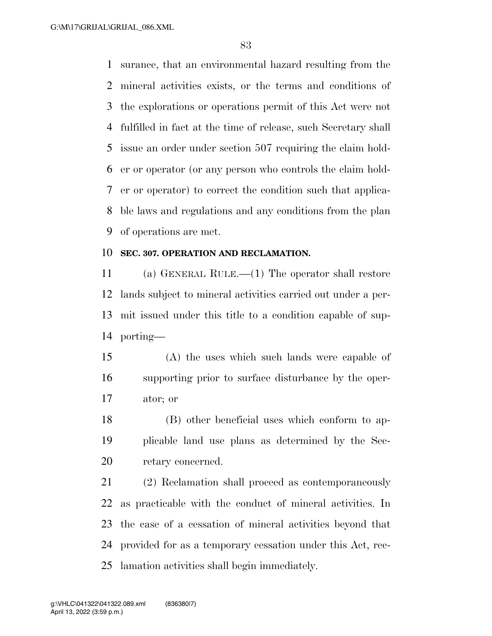surance, that an environmental hazard resulting from the mineral activities exists, or the terms and conditions of the explorations or operations permit of this Act were not fulfilled in fact at the time of release, such Secretary shall issue an order under section 507 requiring the claim hold- er or operator (or any person who controls the claim hold- er or operator) to correct the condition such that applica- ble laws and regulations and any conditions from the plan of operations are met.

### **SEC. 307. OPERATION AND RECLAMATION.**

 (a) GENERAL RULE.—(1) The operator shall restore lands subject to mineral activities carried out under a per- mit issued under this title to a condition capable of sup-porting—

 (A) the uses which such lands were capable of supporting prior to surface disturbance by the oper-ator; or

 (B) other beneficial uses which conform to ap- plicable land use plans as determined by the Sec-retary concerned.

 (2) Reclamation shall proceed as contemporaneously as practicable with the conduct of mineral activities. In the case of a cessation of mineral activities beyond that provided for as a temporary cessation under this Act, rec-lamation activities shall begin immediately.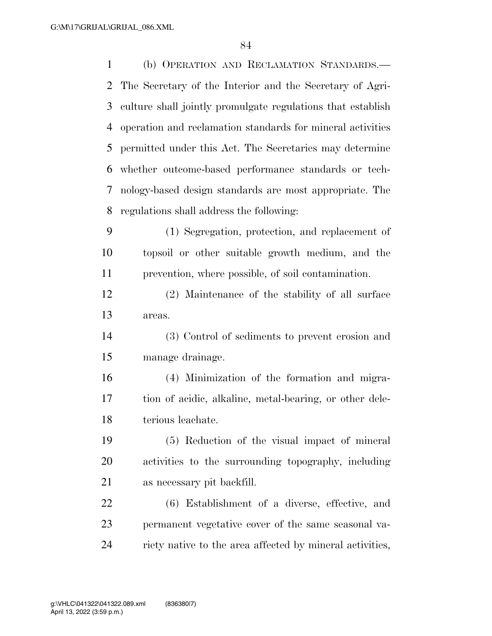| $\mathbf{1}$   | (b) OPERATION AND RECLAMATION STANDARDS.-                   |
|----------------|-------------------------------------------------------------|
| $\overline{2}$ | The Secretary of the Interior and the Secretary of Agri-    |
| 3              | culture shall jointly promulgate regulations that establish |
| 4              | operation and reclamation standards for mineral activities  |
| 5              | permitted under this Act. The Secretaries may determine     |
| 6              | whether outcome-based performance standards or tech-        |
| 7              | nology-based design standards are most appropriate. The     |
| 8              | regulations shall address the following:                    |
| 9              | (1) Segregation, protection, and replacement of             |
| 10             | topsoil or other suitable growth medium, and the            |
| 11             | prevention, where possible, of soil contamination.          |
| 12             | (2) Maintenance of the stability of all surface             |
| 13             | areas.                                                      |
| 14             | (3) Control of sediments to prevent erosion and             |
| 15             | manage drainage.                                            |
| 16             | (4) Minimization of the formation and migra-                |
| 17             | tion of acidic, alkaline, metal-bearing, or other dele-     |
| 18             | terious leachate.                                           |
| 19             | (5) Reduction of the visual impact of mineral               |
| 20             | activities to the surrounding topography, including         |
| 21             | as necessary pit backfill.                                  |
| 22             | (6) Establishment of a diverse, effective, and              |
| 23             | permanent vegetative cover of the same seasonal va-         |
| 24             | riety native to the area affected by mineral activities,    |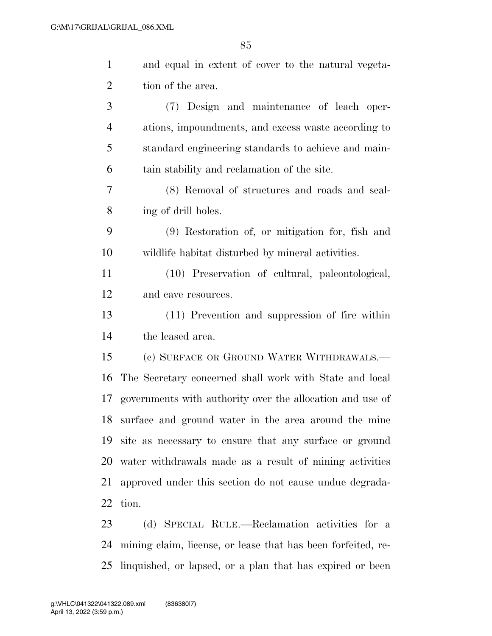| $\mathbf{1}$   | and equal in extent of cover to the natural vegeta-          |
|----------------|--------------------------------------------------------------|
| $\overline{c}$ | tion of the area.                                            |
| 3              | (7) Design and maintenance of leach oper-                    |
| $\overline{4}$ | ations, impoundments, and excess waste according to          |
| 5              | standard engineering standards to achieve and main-          |
| 6              | tain stability and reclamation of the site.                  |
| 7              | (8) Removal of structures and roads and seal-                |
| 8              | ing of drill holes.                                          |
| 9              | (9) Restoration of, or mitigation for, fish and              |
| 10             | wildlife habitat disturbed by mineral activities.            |
| 11             | (10) Preservation of cultural, paleontological,              |
| 12             | and cave resources.                                          |
| 13             | (11) Prevention and suppression of fire within               |
| 14             | the leased area.                                             |
| 15             | (c) SURFACE OR GROUND WATER WITHDRAWALS.—                    |
| 16             | The Secretary concerned shall work with State and local      |
| 17             | governments with authority over the allocation and use of    |
| 18             | surface and ground water in the area around the mine         |
| 19             | site as necessary to ensure that any surface or ground       |
| 20             | water withdrawals made as a result of mining activities      |
| 21             | approved under this section do not cause undue degrada-      |
| 22             | tion.                                                        |
| 23             | (d) SPECIAL RULE.—Reclamation activities for a               |
| 24             | mining claim, license, or lease that has been forfeited, re- |

linquished, or lapsed, or a plan that has expired or been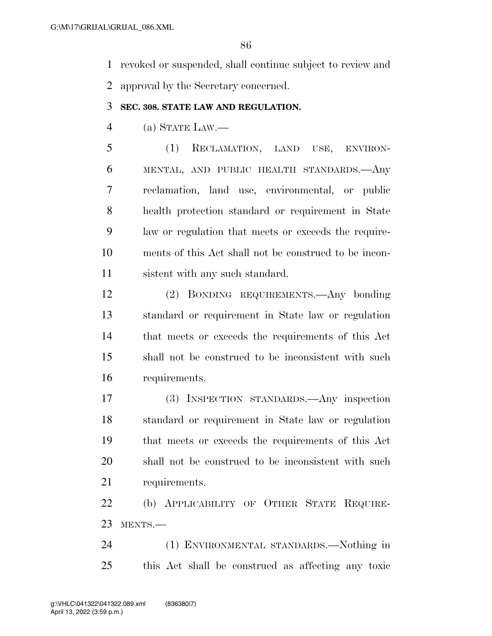revoked or suspended, shall continue subject to review and approval by the Secretary concerned.

### **SEC. 308. STATE LAW AND REGULATION.**

(a) STATE LAW.—

 (1) RECLAMATION, LAND USE, ENVIRON- MENTAL, AND PUBLIC HEALTH STANDARDS.—Any reclamation, land use, environmental, or public health protection standard or requirement in State law or regulation that meets or exceeds the require- ments of this Act shall not be construed to be incon-sistent with any such standard.

 (2) BONDING REQUIREMENTS.—Any bonding standard or requirement in State law or regulation that meets or exceeds the requirements of this Act shall not be construed to be inconsistent with such requirements.

 (3) INSPECTION STANDARDS.—Any inspection standard or requirement in State law or regulation that meets or exceeds the requirements of this Act shall not be construed to be inconsistent with such requirements.

 (b) APPLICABILITY OF OTHER STATE REQUIRE-MENTS.—

 (1) ENVIRONMENTAL STANDARDS.—Nothing in this Act shall be construed as affecting any toxic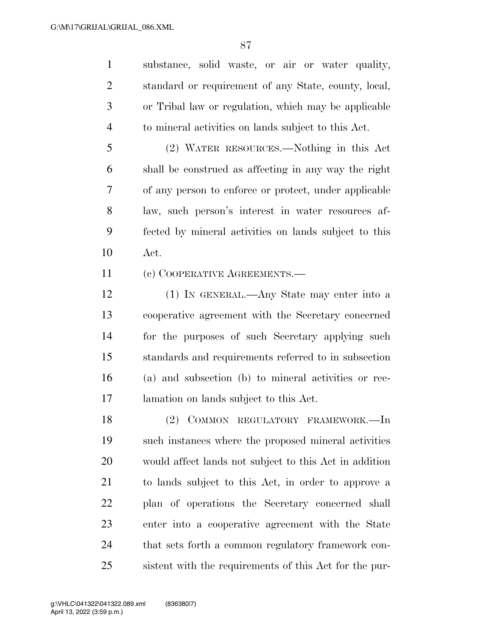substance, solid waste, or air or water quality, standard or requirement of any State, county, local, or Tribal law or regulation, which may be applicable to mineral activities on lands subject to this Act.

 (2) WATER RESOURCES.—Nothing in this Act shall be construed as affecting in any way the right of any person to enforce or protect, under applicable law, such person's interest in water resources af- fected by mineral activities on lands subject to this Act.

11 (c) COOPERATIVE AGREEMENTS.—

 (1) IN GENERAL.—Any State may enter into a cooperative agreement with the Secretary concerned for the purposes of such Secretary applying such standards and requirements referred to in subsection (a) and subsection (b) to mineral activities or rec-lamation on lands subject to this Act.

 (2) COMMON REGULATORY FRAMEWORK.—In such instances where the proposed mineral activities would affect lands not subject to this Act in addition to lands subject to this Act, in order to approve a plan of operations the Secretary concerned shall enter into a cooperative agreement with the State that sets forth a common regulatory framework con-sistent with the requirements of this Act for the pur-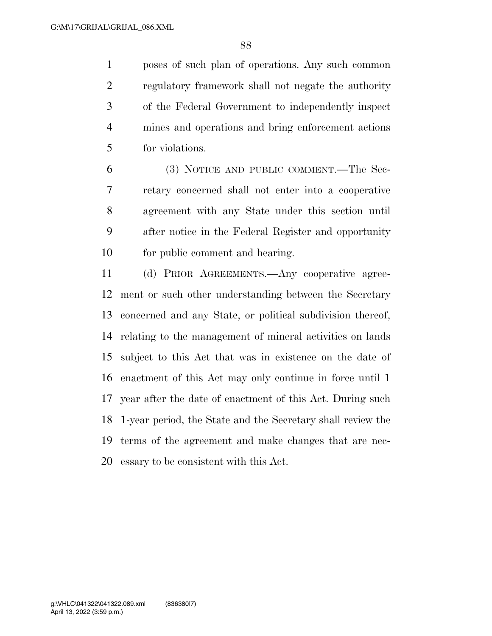poses of such plan of operations. Any such common regulatory framework shall not negate the authority of the Federal Government to independently inspect mines and operations and bring enforcement actions for violations.

 (3) NOTICE AND PUBLIC COMMENT.—The Sec- retary concerned shall not enter into a cooperative agreement with any State under this section until after notice in the Federal Register and opportunity for public comment and hearing.

 (d) PRIOR AGREEMENTS.—Any cooperative agree- ment or such other understanding between the Secretary concerned and any State, or political subdivision thereof, relating to the management of mineral activities on lands subject to this Act that was in existence on the date of enactment of this Act may only continue in force until 1 year after the date of enactment of this Act. During such 1-year period, the State and the Secretary shall review the terms of the agreement and make changes that are nec-essary to be consistent with this Act.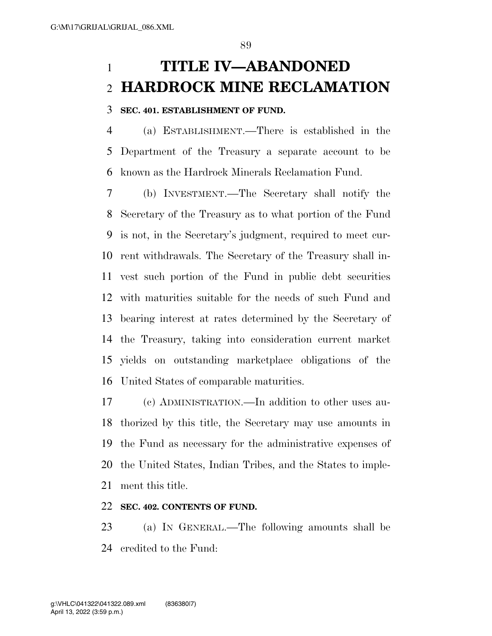# **TITLE IV—ABANDONED HARDROCK MINE RECLAMATION**

### **SEC. 401. ESTABLISHMENT OF FUND.**

 (a) ESTABLISHMENT.—There is established in the Department of the Treasury a separate account to be known as the Hardrock Minerals Reclamation Fund.

 (b) INVESTMENT.—The Secretary shall notify the Secretary of the Treasury as to what portion of the Fund is not, in the Secretary's judgment, required to meet cur- rent withdrawals. The Secretary of the Treasury shall in- vest such portion of the Fund in public debt securities with maturities suitable for the needs of such Fund and bearing interest at rates determined by the Secretary of the Treasury, taking into consideration current market yields on outstanding marketplace obligations of the United States of comparable maturities.

 (c) ADMINISTRATION.—In addition to other uses au- thorized by this title, the Secretary may use amounts in the Fund as necessary for the administrative expenses of the United States, Indian Tribes, and the States to imple-ment this title.

### **SEC. 402. CONTENTS OF FUND.**

 (a) IN GENERAL.—The following amounts shall be credited to the Fund: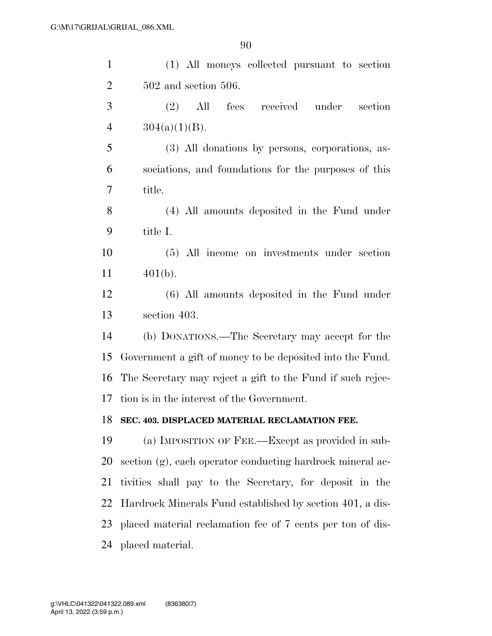| $\mathbf{1}$   | (1) All moneys collected pursuant to section               |
|----------------|------------------------------------------------------------|
| $\overline{2}$ | $502$ and section $506$ .                                  |
| 3              | All fees received under<br>(2)<br>section                  |
| $\overline{4}$ | $304(a)(1)(B)$ .                                           |
| 5              | (3) All donations by persons, corporations, as-            |
| 6              | sociations, and foundations for the purposes of this       |
| 7              | title.                                                     |
| 8              | (4) All amounts deposited in the Fund under                |
| 9              | title I.                                                   |
| 10             | (5) All income on investments under section                |
| <sup>11</sup>  | $401(b)$ .                                                 |
| 12             | (6) All amounts deposited in the Fund under                |
| 13             | section 403.                                               |
| 14             | (b) DONATIONS.—The Secretary may accept for the            |
| 15             | Government a gift of money to be deposited into the Fund.  |
| 16             | The Secretary may reject a gift to the Fund if such rejec- |
| 17             | tion is in the interest of the Government.                 |
| 18             | SEC. 403. DISPLACED MATERIAL RECLAMATION FEE.              |
| 19             | (a) IMPOSITION OF FEE.—Except as provided in sub-          |
| 20             | section (g), each operator conducting hardrock mineral ac- |
| 21             | tivities shall pay to the Secretary, for deposit in the    |
| 22             | Hardrock Minerals Fund established by section 401, a dis-  |
| 23             | placed material reclamation fee of 7 cents per ton of dis- |
| 24             | placed material.                                           |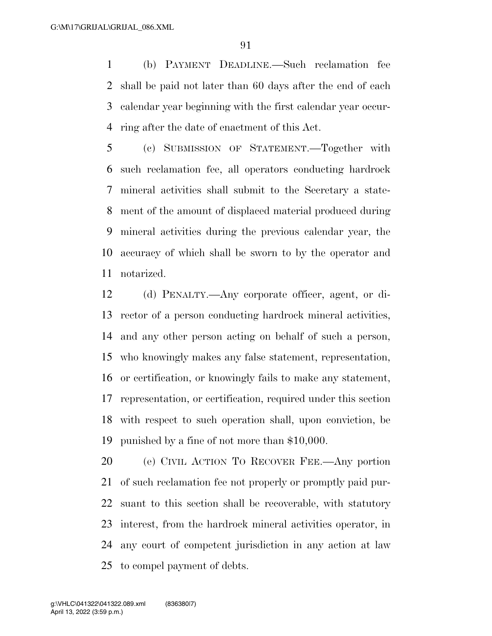(b) PAYMENT DEADLINE.—Such reclamation fee shall be paid not later than 60 days after the end of each calendar year beginning with the first calendar year occur-ring after the date of enactment of this Act.

 (c) SUBMISSION OF STATEMENT.—Together with such reclamation fee, all operators conducting hardrock mineral activities shall submit to the Secretary a state- ment of the amount of displaced material produced during mineral activities during the previous calendar year, the accuracy of which shall be sworn to by the operator and notarized.

 (d) PENALTY.—Any corporate officer, agent, or di- rector of a person conducting hardrock mineral activities, and any other person acting on behalf of such a person, who knowingly makes any false statement, representation, or certification, or knowingly fails to make any statement, representation, or certification, required under this section with respect to such operation shall, upon conviction, be punished by a fine of not more than \$10,000.

 (e) CIVIL ACTION TO RECOVER FEE.—Any portion of such reclamation fee not properly or promptly paid pur- suant to this section shall be recoverable, with statutory interest, from the hardrock mineral activities operator, in any court of competent jurisdiction in any action at law to compel payment of debts.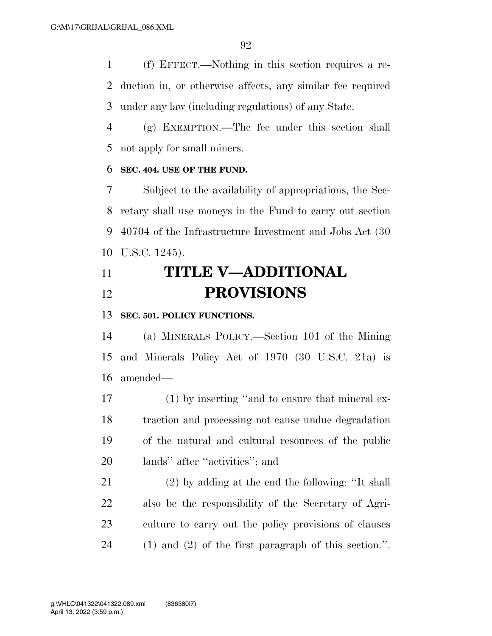(f) EFFECT.—Nothing in this section requires a re- duction in, or otherwise affects, any similar fee required under any law (including regulations) of any State.

 (g) EXEMPTION.—The fee under this section shall not apply for small miners.

### **SEC. 404. USE OF THE FUND.**

 Subject to the availability of appropriations, the Sec- retary shall use moneys in the Fund to carry out section 40704 of the Infrastructure Investment and Jobs Act (30 U.S.C. 1245).

# **TITLE V—ADDITIONAL PROVISIONS**

# **SEC. 501. POLICY FUNCTIONS.**

 (a) MINERALS POLICY.—Section 101 of the Mining and Minerals Policy Act of 1970 (30 U.S.C. 21a) is amended—

 (1) by inserting ''and to ensure that mineral ex- traction and processing not cause undue degradation of the natural and cultural resources of the public lands'' after ''activities''; and

 (2) by adding at the end the following: ''It shall also be the responsibility of the Secretary of Agri- culture to carry out the policy provisions of clauses (1) and (2) of the first paragraph of this section.''.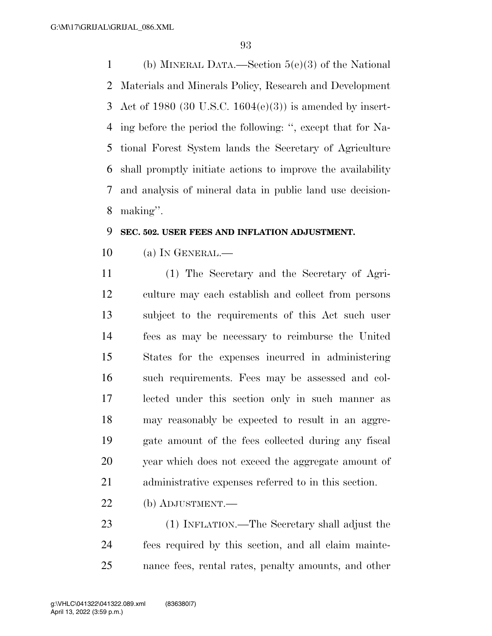(b) MINERAL DATA.—Section 5(e)(3) of the National Materials and Minerals Policy, Research and Development Act of 1980 (30 U.S.C. 1604(e)(3)) is amended by insert- ing before the period the following: '', except that for Na- tional Forest System lands the Secretary of Agriculture shall promptly initiate actions to improve the availability and analysis of mineral data in public land use decision-making''.

### **SEC. 502. USER FEES AND INFLATION ADJUSTMENT.**

(a) IN GENERAL.—

 (1) The Secretary and the Secretary of Agri- culture may each establish and collect from persons subject to the requirements of this Act such user fees as may be necessary to reimburse the United States for the expenses incurred in administering such requirements. Fees may be assessed and col- lected under this section only in such manner as may reasonably be expected to result in an aggre- gate amount of the fees collected during any fiscal year which does not exceed the aggregate amount of administrative expenses referred to in this section.

(b) ADJUSTMENT.—

 (1) INFLATION.—The Secretary shall adjust the fees required by this section, and all claim mainte-nance fees, rental rates, penalty amounts, and other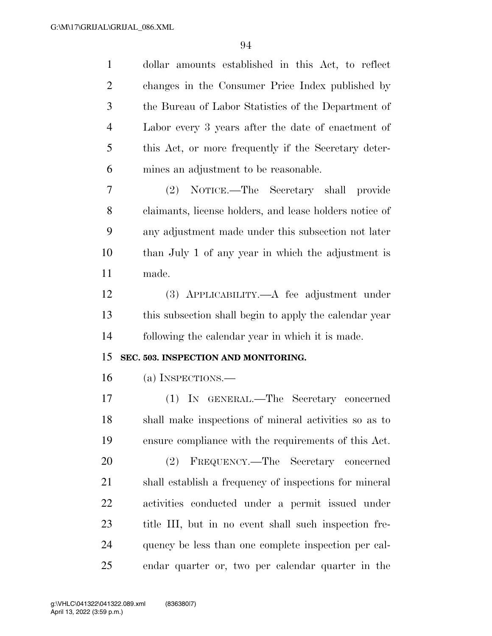| $\mathbf{1}$   | dollar amounts established in this Act, to reflect      |
|----------------|---------------------------------------------------------|
| $\overline{2}$ | changes in the Consumer Price Index published by        |
| 3              | the Bureau of Labor Statistics of the Department of     |
| $\overline{4}$ | Labor every 3 years after the date of enactment of      |
| 5              | this Act, or more frequently if the Secretary deter-    |
| 6              | mines an adjustment to be reasonable.                   |
| 7              | (2) NOTICE.—The Secretary shall<br><i>provide</i>       |
| 8              | claimants, license holders, and lease holders notice of |
| 9              | any adjustment made under this subsection not later     |
| 10             | than July 1 of any year in which the adjustment is      |
| 11             | made.                                                   |
| 12             | $(3)$ APPLICABILITY.—A fee adjustment under             |
| 13             | this subsection shall begin to apply the calendar year  |
| 14             | following the calendar year in which it is made.        |
|                |                                                         |
| 15             | SEC. 503. INSPECTION AND MONITORING.                    |
| 16             | (a) INSPECTIONS.—                                       |
| 17             | (1) IN GENERAL.—The Secretary concerned                 |
| 18             | shall make inspections of mineral activities so as to   |
| 19             | ensure compliance with the requirements of this Act.    |
| 20             | FREQUENCY.—The Secretary concerned<br>(2)               |
| 21             | shall establish a frequency of inspections for mineral  |
| 22             | activities conducted under a permit issued under        |
| 23             | title III, but in no event shall such inspection fre-   |
| 24             | quency be less than one complete inspection per cal-    |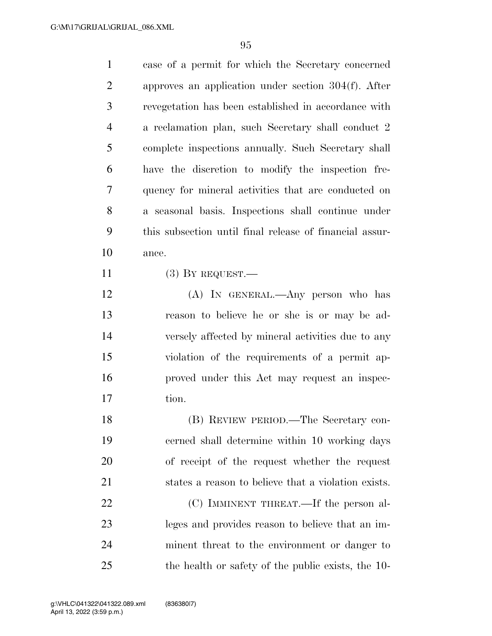| $\mathbf{1}$   | case of a permit for which the Secretary concerned      |
|----------------|---------------------------------------------------------|
| $\overline{2}$ | approves an application under section $304(f)$ . After  |
| 3              | revegetation has been established in accordance with    |
| $\overline{4}$ | a reclamation plan, such Secretary shall conduct 2      |
| 5              | complete inspections annually. Such Secretary shall     |
| 6              | have the discretion to modify the inspection fre-       |
| 7              | quency for mineral activities that are conducted on     |
| 8              | a seasonal basis. Inspections shall continue under      |
| 9              | this subsection until final release of financial assur- |
| 10             | ance.                                                   |
| 11             | $(3)$ BY REQUEST.—                                      |
| 12             | (A) IN GENERAL.—Any person who has                      |
| 13             | reason to believe he or she is or may be ad-            |
| 14             | versely affected by mineral activities due to any       |
| 15             | violation of the requirements of a permit ap-           |
| 16             | proved under this Act may request an inspec-            |
| 17             | tion.                                                   |
| 18             | (B) REVIEW PERIOD.—The Secretary con-                   |
| 19             | cerned shall determine within 10 working days           |
| 20             | of receipt of the request whether the request           |
| 21             | states a reason to believe that a violation exists.     |
| 22             | (C) IMMINENT THREAT.—If the person al-                  |
| 23             | leges and provides reason to believe that an im-        |
| 24             | minent threat to the environment or danger to           |
| 25             | the health or safety of the public exists, the 10-      |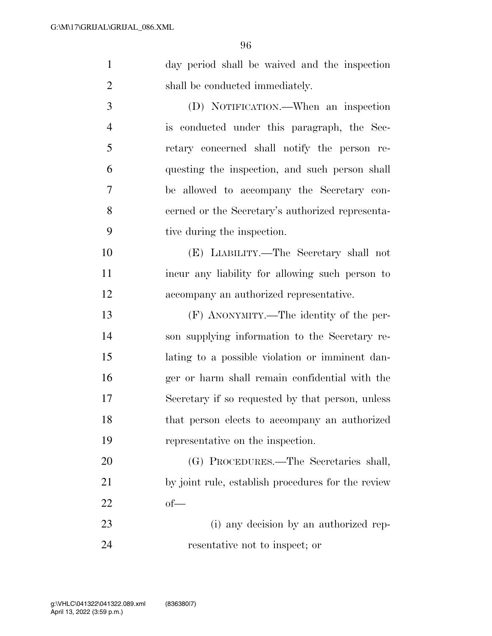| $\mathbf{1}$   | day period shall be waived and the inspection      |
|----------------|----------------------------------------------------|
| $\overline{2}$ | shall be conducted immediately.                    |
| 3              | (D) NOTIFICATION.—When an inspection               |
| $\overline{4}$ | is conducted under this paragraph, the Sec-        |
| 5              | retary concerned shall notify the person re-       |
| 6              | questing the inspection, and such person shall     |
| 7              | be allowed to accompany the Secretary con-         |
| 8              | cerned or the Secretary's authorized representa-   |
| 9              | tive during the inspection.                        |
| 10             | (E) LIABILITY.—The Secretary shall not             |
| 11             | incur any liability for allowing such person to    |
| 12             | accompany an authorized representative.            |
| 13             | (F) ANONYMITY.—The identity of the per-            |
| 14             | son supplying information to the Secretary re-     |
| 15             | lating to a possible violation or imminent dan-    |
| 16             | ger or harm shall remain confidential with the     |
| 17             | Secretary if so requested by that person, unless   |
| 18             | that person elects to accompany an authorized      |
| 19             | representative on the inspection.                  |
| 20             | (G) PROCEDURES.—The Secretaries shall,             |
| 21             | by joint rule, establish procedures for the review |
| 22             | $of$ —                                             |

 (i) any decision by an authorized rep-resentative not to inspect; or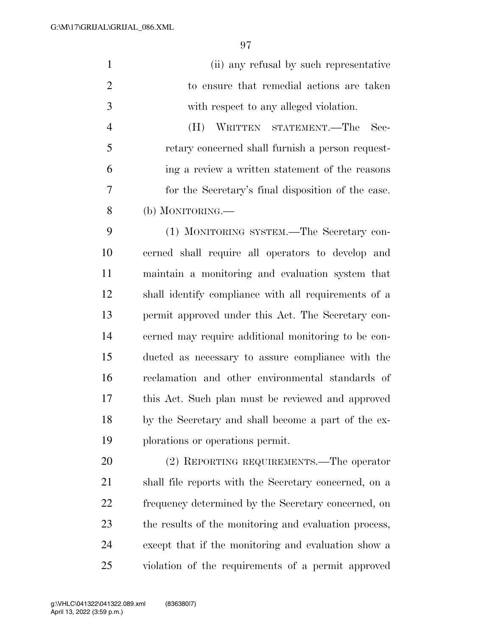| $\mathbf{1}$   | (ii) any refusal by such representative              |
|----------------|------------------------------------------------------|
| $\overline{2}$ | to ensure that remedial actions are taken            |
| 3              | with respect to any alleged violation.               |
| $\overline{4}$ | WRITTEN STATEMENT.—The<br>(H)<br>– Sec-              |
| 5              | retary concerned shall furnish a person request-     |
| 6              | ing a review a written statement of the reasons      |
| 7              | for the Secretary's final disposition of the case.   |
| 8              | (b) MONITORING.—                                     |
| 9              | (1) MONITORING SYSTEM.—The Secretary con-            |
| 10             | cerned shall require all operators to develop and    |
| 11             | maintain a monitoring and evaluation system that     |
| 12             | shall identify compliance with all requirements of a |
| 13             | permit approved under this Act. The Secretary con-   |
| 14             | cerned may require additional monitoring to be con-  |
| 15             | ducted as necessary to assure compliance with the    |
| 16             | reclamation and other environmental standards of     |
| 17             | this Act. Such plan must be reviewed and approved    |
| 18             | by the Secretary and shall become a part of the ex-  |
| 19             | plorations or operations permit.                     |

 (2) REPORTING REQUIREMENTS.—The operator shall file reports with the Secretary concerned, on a frequency determined by the Secretary concerned, on the results of the monitoring and evaluation process, except that if the monitoring and evaluation show a violation of the requirements of a permit approved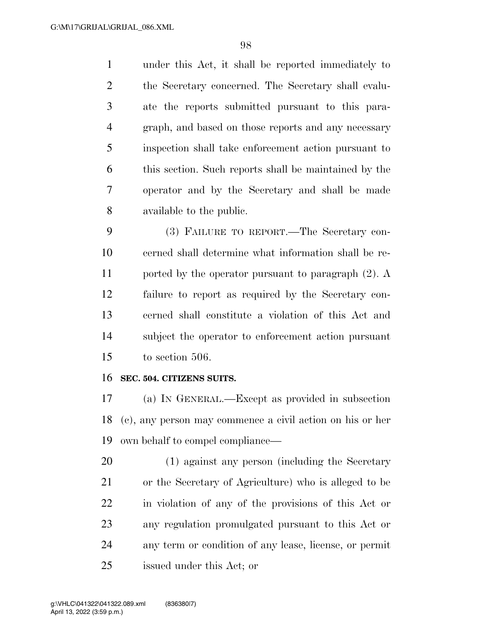under this Act, it shall be reported immediately to the Secretary concerned. The Secretary shall evalu- ate the reports submitted pursuant to this para- graph, and based on those reports and any necessary inspection shall take enforcement action pursuant to this section. Such reports shall be maintained by the operator and by the Secretary and shall be made available to the public.

 (3) FAILURE TO REPORT.—The Secretary con- cerned shall determine what information shall be re- ported by the operator pursuant to paragraph (2). A failure to report as required by the Secretary con- cerned shall constitute a violation of this Act and subject the operator to enforcement action pursuant to section 506.

### **SEC. 504. CITIZENS SUITS.**

 (a) IN GENERAL.—Except as provided in subsection (c), any person may commence a civil action on his or her own behalf to compel compliance—

 (1) against any person (including the Secretary or the Secretary of Agriculture) who is alleged to be in violation of any of the provisions of this Act or any regulation promulgated pursuant to this Act or any term or condition of any lease, license, or permit issued under this Act; or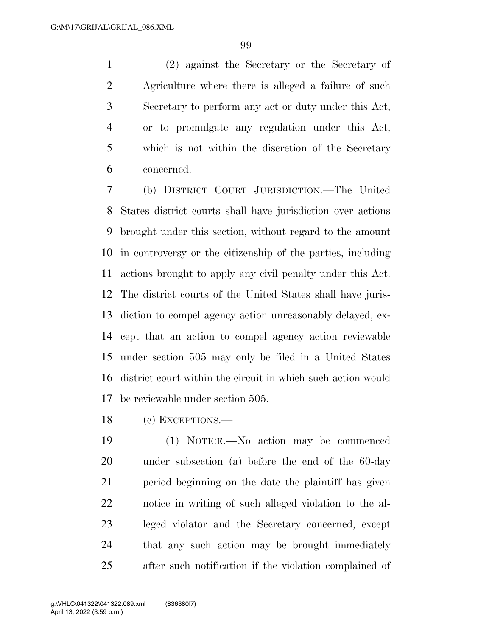(2) against the Secretary or the Secretary of Agriculture where there is alleged a failure of such Secretary to perform any act or duty under this Act, or to promulgate any regulation under this Act, which is not within the discretion of the Secretary concerned.

 (b) DISTRICT COURT JURISDICTION.—The United States district courts shall have jurisdiction over actions brought under this section, without regard to the amount in controversy or the citizenship of the parties, including actions brought to apply any civil penalty under this Act. The district courts of the United States shall have juris- diction to compel agency action unreasonably delayed, ex- cept that an action to compel agency action reviewable under section 505 may only be filed in a United States district court within the circuit in which such action would be reviewable under section 505.

(c) EXCEPTIONS.—

 (1) NOTICE.—No action may be commenced under subsection (a) before the end of the 60-day period beginning on the date the plaintiff has given notice in writing of such alleged violation to the al- leged violator and the Secretary concerned, except that any such action may be brought immediately after such notification if the violation complained of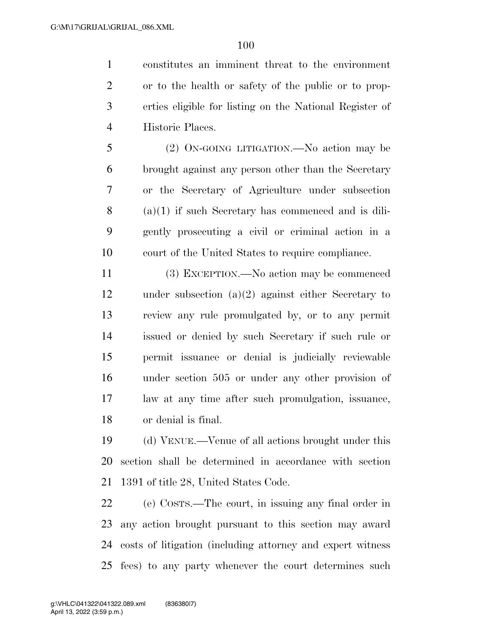constitutes an imminent threat to the environment or to the health or safety of the public or to prop- erties eligible for listing on the National Register of Historic Places.

 (2) ON-GOING LITIGATION.—No action may be brought against any person other than the Secretary or the Secretary of Agriculture under subsection (a)(1) if such Secretary has commenced and is dili- gently prosecuting a civil or criminal action in a court of the United States to require compliance.

 (3) EXCEPTION.—No action may be commenced under subsection (a)(2) against either Secretary to review any rule promulgated by, or to any permit issued or denied by such Secretary if such rule or permit issuance or denial is judicially reviewable under section 505 or under any other provision of law at any time after such promulgation, issuance, or denial is final.

 (d) VENUE.—Venue of all actions brought under this section shall be determined in accordance with section 1391 of title 28, United States Code.

 (e) COSTS.—The court, in issuing any final order in any action brought pursuant to this section may award costs of litigation (including attorney and expert witness fees) to any party whenever the court determines such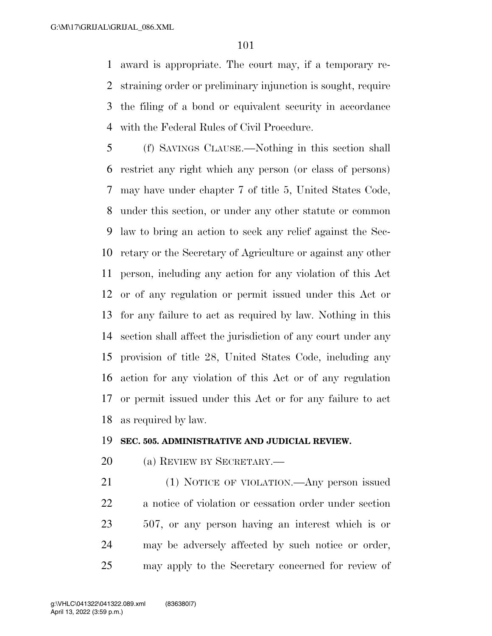award is appropriate. The court may, if a temporary re- straining order or preliminary injunction is sought, require the filing of a bond or equivalent security in accordance with the Federal Rules of Civil Procedure.

 (f) SAVINGS CLAUSE.—Nothing in this section shall restrict any right which any person (or class of persons) may have under chapter 7 of title 5, United States Code, under this section, or under any other statute or common law to bring an action to seek any relief against the Sec- retary or the Secretary of Agriculture or against any other person, including any action for any violation of this Act or of any regulation or permit issued under this Act or for any failure to act as required by law. Nothing in this section shall affect the jurisdiction of any court under any provision of title 28, United States Code, including any action for any violation of this Act or of any regulation or permit issued under this Act or for any failure to act as required by law.

### **SEC. 505. ADMINISTRATIVE AND JUDICIAL REVIEW.**

(a) REVIEW BY SECRETARY.—

 (1) NOTICE OF VIOLATION.—Any person issued a notice of violation or cessation order under section 507, or any person having an interest which is or may be adversely affected by such notice or order, may apply to the Secretary concerned for review of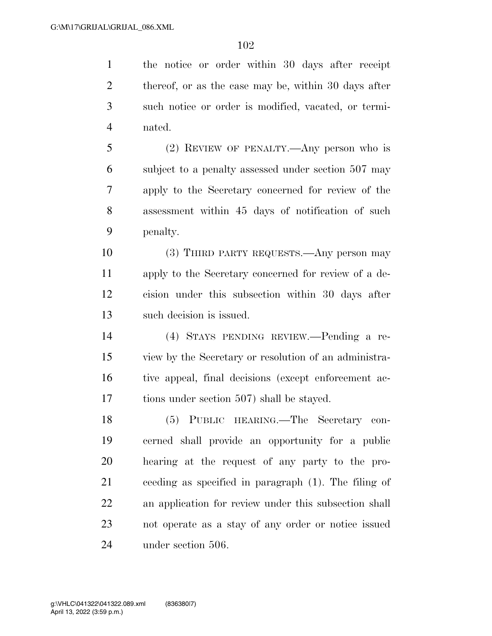the notice or order within 30 days after receipt

2 thereof, or as the case may be, within 30 days after such notice or order is modified, vacated, or termi- nated. (2) REVIEW OF PENALTY.—Any person who is subject to a penalty assessed under section 507 may apply to the Secretary concerned for review of the assessment within 45 days of notification of such penalty. (3) THIRD PARTY REQUESTS.—Any person may apply to the Secretary concerned for review of a de- cision under this subsection within 30 days after such decision is issued. (4) STAYS PENDING REVIEW.—Pending a re- view by the Secretary or resolution of an administra- tive appeal, final decisions (except enforcement ac- tions under section 507) shall be stayed. (5) PUBLIC HEARING.—The Secretary con- cerned shall provide an opportunity for a public hearing at the request of any party to the pro- ceeding as specified in paragraph (1). The filing of an application for review under this subsection shall not operate as a stay of any order or notice issued under section 506.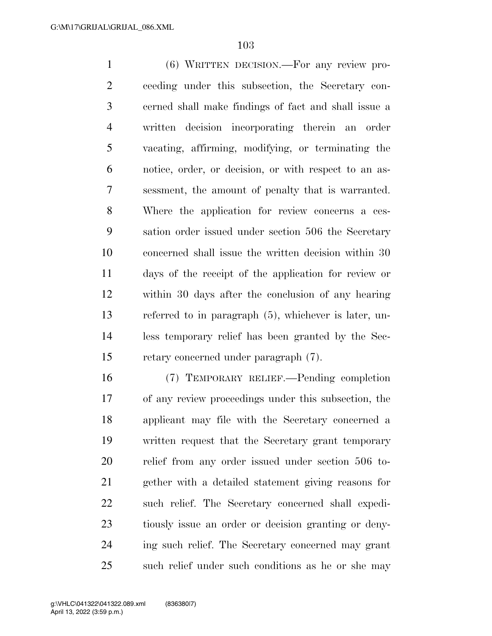(6) WRITTEN DECISION.—For any review pro- ceeding under this subsection, the Secretary con- cerned shall make findings of fact and shall issue a written decision incorporating therein an order vacating, affirming, modifying, or terminating the notice, order, or decision, or with respect to an as- sessment, the amount of penalty that is warranted. Where the application for review concerns a ces- sation order issued under section 506 the Secretary concerned shall issue the written decision within 30 days of the receipt of the application for review or within 30 days after the conclusion of any hearing referred to in paragraph (5), whichever is later, un- less temporary relief has been granted by the Sec-retary concerned under paragraph (7).

 (7) TEMPORARY RELIEF.—Pending completion of any review proceedings under this subsection, the applicant may file with the Secretary concerned a written request that the Secretary grant temporary relief from any order issued under section 506 to- gether with a detailed statement giving reasons for such relief. The Secretary concerned shall expedi- tiously issue an order or decision granting or deny- ing such relief. The Secretary concerned may grant such relief under such conditions as he or she may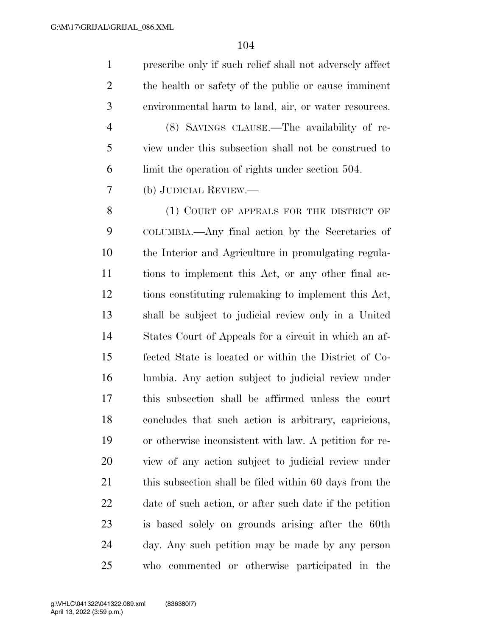prescribe only if such relief shall not adversely affect the health or safety of the public or cause imminent environmental harm to land, air, or water resources. (8) SAVINGS CLAUSE.—The availability of re- view under this subsection shall not be construed to limit the operation of rights under section 504. (b) JUDICIAL REVIEW.— 8 (1) COURT OF APPEALS FOR THE DISTRICT OF COLUMBIA.—Any final action by the Secretaries of the Interior and Agriculture in promulgating regula- tions to implement this Act, or any other final ac- tions constituting rulemaking to implement this Act, shall be subject to judicial review only in a United States Court of Appeals for a circuit in which an af- fected State is located or within the District of Co- lumbia. Any action subject to judicial review under this subsection shall be affirmed unless the court concludes that such action is arbitrary, capricious, or otherwise inconsistent with law. A petition for re- view of any action subject to judicial review under 21 this subsection shall be filed within 60 days from the date of such action, or after such date if the petition is based solely on grounds arising after the 60th day. Any such petition may be made by any person who commented or otherwise participated in the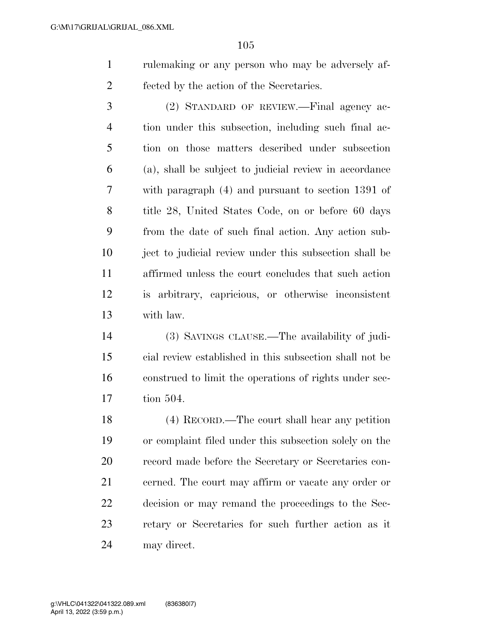rulemaking or any person who may be adversely af-fected by the action of the Secretaries.

 (2) STANDARD OF REVIEW.—Final agency ac- tion under this subsection, including such final ac- tion on those matters described under subsection (a), shall be subject to judicial review in accordance with paragraph (4) and pursuant to section 1391 of title 28, United States Code, on or before 60 days from the date of such final action. Any action sub- ject to judicial review under this subsection shall be affirmed unless the court concludes that such action is arbitrary, capricious, or otherwise inconsistent with law.

 (3) SAVINGS CLAUSE.—The availability of judi- cial review established in this subsection shall not be construed to limit the operations of rights under sec-tion 504.

 (4) RECORD.—The court shall hear any petition or complaint filed under this subsection solely on the record made before the Secretary or Secretaries con- cerned. The court may affirm or vacate any order or decision or may remand the proceedings to the Sec- retary or Secretaries for such further action as it may direct.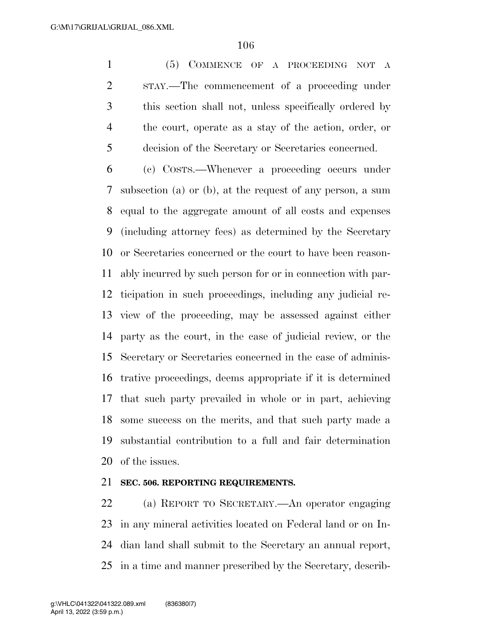(5) COMMENCE OF A PROCEEDING NOT A STAY.—The commencement of a proceeding under this section shall not, unless specifically ordered by the court, operate as a stay of the action, order, or decision of the Secretary or Secretaries concerned.

 (c) COSTS.—Whenever a proceeding occurs under subsection (a) or (b), at the request of any person, a sum equal to the aggregate amount of all costs and expenses (including attorney fees) as determined by the Secretary or Secretaries concerned or the court to have been reason- ably incurred by such person for or in connection with par- ticipation in such proceedings, including any judicial re- view of the proceeding, may be assessed against either party as the court, in the case of judicial review, or the Secretary or Secretaries concerned in the case of adminis- trative proceedings, deems appropriate if it is determined that such party prevailed in whole or in part, achieving some success on the merits, and that such party made a substantial contribution to a full and fair determination of the issues.

### **SEC. 506. REPORTING REQUIREMENTS.**

 (a) REPORT TO SECRETARY.—An operator engaging in any mineral activities located on Federal land or on In- dian land shall submit to the Secretary an annual report, in a time and manner prescribed by the Secretary, describ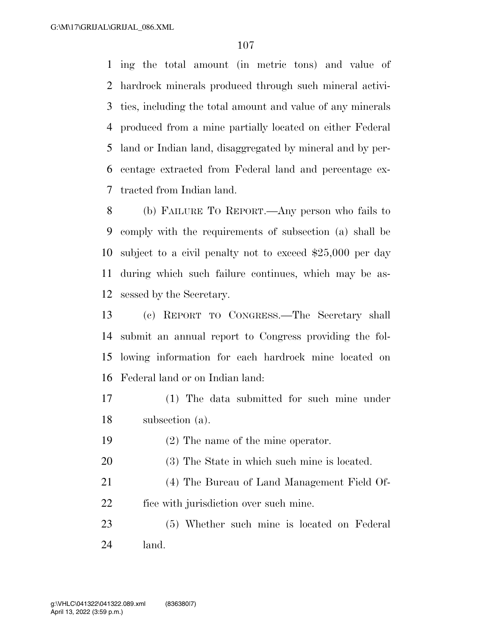ing the total amount (in metric tons) and value of hardrock minerals produced through such mineral activi- ties, including the total amount and value of any minerals produced from a mine partially located on either Federal land or Indian land, disaggregated by mineral and by per- centage extracted from Federal land and percentage ex-tracted from Indian land.

 (b) FAILURE TO REPORT.—Any person who fails to comply with the requirements of subsection (a) shall be subject to a civil penalty not to exceed \$25,000 per day during which such failure continues, which may be as-sessed by the Secretary.

 (c) REPORT TO CONGRESS.—The Secretary shall submit an annual report to Congress providing the fol- lowing information for each hardrock mine located on Federal land or on Indian land:

- (1) The data submitted for such mine under subsection (a).
- (2) The name of the mine operator.
- (3) The State in which such mine is located.

 (4) The Bureau of Land Management Field Of-fice with jurisdiction over such mine.

 (5) Whether such mine is located on Federal land.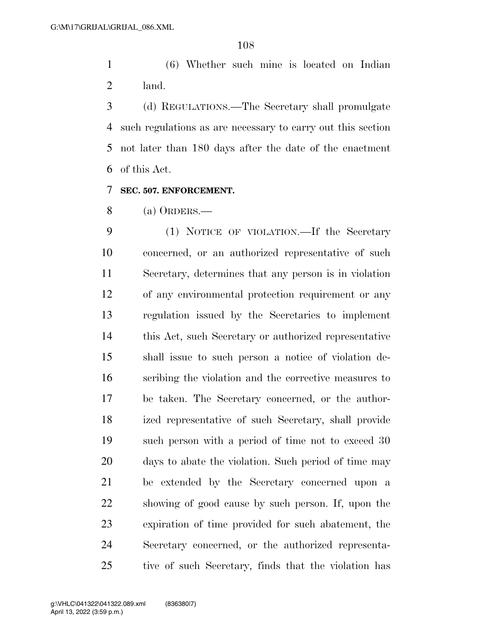(6) Whether such mine is located on Indian land.

 (d) REGULATIONS.—The Secretary shall promulgate such regulations as are necessary to carry out this section not later than 180 days after the date of the enactment of this Act.

### **SEC. 507. ENFORCEMENT.**

(a) ORDERS.—

 (1) NOTICE OF VIOLATION.—If the Secretary concerned, or an authorized representative of such Secretary, determines that any person is in violation of any environmental protection requirement or any regulation issued by the Secretaries to implement this Act, such Secretary or authorized representative shall issue to such person a notice of violation de- scribing the violation and the corrective measures to be taken. The Secretary concerned, or the author- ized representative of such Secretary, shall provide such person with a period of time not to exceed 30 days to abate the violation. Such period of time may be extended by the Secretary concerned upon a showing of good cause by such person. If, upon the expiration of time provided for such abatement, the Secretary concerned, or the authorized representa-tive of such Secretary, finds that the violation has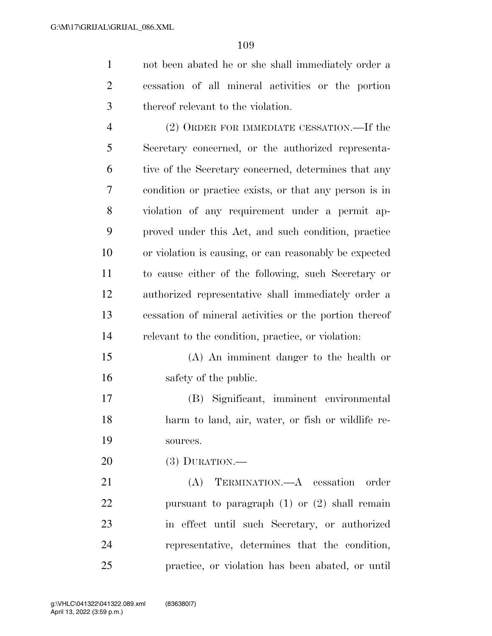not been abated he or she shall immediately order a cessation of all mineral activities or the portion thereof relevant to the violation.

 (2) ORDER FOR IMMEDIATE CESSATION.—If the Secretary concerned, or the authorized representa- tive of the Secretary concerned, determines that any condition or practice exists, or that any person is in violation of any requirement under a permit ap- proved under this Act, and such condition, practice or violation is causing, or can reasonably be expected to cause either of the following, such Secretary or authorized representative shall immediately order a cessation of mineral activities or the portion thereof relevant to the condition, practice, or violation:

 (A) An imminent danger to the health or safety of the public.

 (B) Significant, imminent environmental harm to land, air, water, or fish or wildlife re-sources.

(3) DURATION.—

 (A) TERMINATION.—A cessation order pursuant to paragraph (1) or (2) shall remain in effect until such Secretary, or authorized representative, determines that the condition, practice, or violation has been abated, or until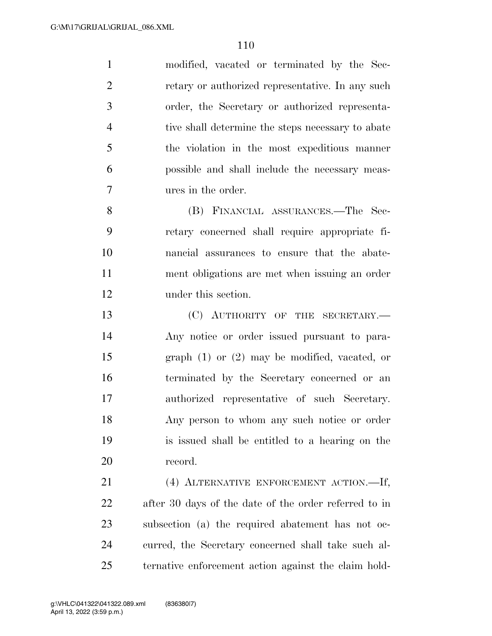modified, vacated or terminated by the Sec- retary or authorized representative. In any such order, the Secretary or authorized representa- tive shall determine the steps necessary to abate the violation in the most expeditious manner possible and shall include the necessary meas- ures in the order. (B) FINANCIAL ASSURANCES.—The Sec-

 retary concerned shall require appropriate fi- nancial assurances to ensure that the abate- ment obligations are met when issuing an order under this section.

13 (C) AUTHORITY OF THE SECRETARY.— Any notice or order issued pursuant to para- graph (1) or (2) may be modified, vacated, or terminated by the Secretary concerned or an authorized representative of such Secretary. Any person to whom any such notice or order is issued shall be entitled to a hearing on the record.

 (4) ALTERNATIVE ENFORCEMENT ACTION.—If, after 30 days of the date of the order referred to in subsection (a) the required abatement has not oc- curred, the Secretary concerned shall take such al-ternative enforcement action against the claim hold-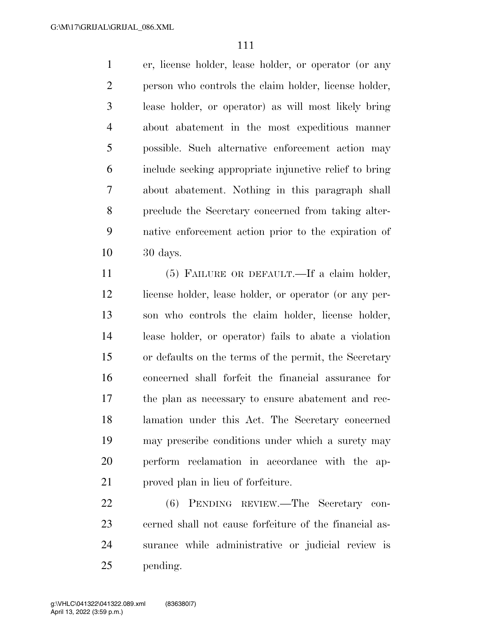er, license holder, lease holder, or operator (or any person who controls the claim holder, license holder, lease holder, or operator) as will most likely bring about abatement in the most expeditious manner possible. Such alternative enforcement action may include seeking appropriate injunctive relief to bring about abatement. Nothing in this paragraph shall preclude the Secretary concerned from taking alter- native enforcement action prior to the expiration of 30 days.

 (5) FAILURE OR DEFAULT.—If a claim holder, 12 license holder, lease holder, or operator (or any per- son who controls the claim holder, license holder, lease holder, or operator) fails to abate a violation or defaults on the terms of the permit, the Secretary concerned shall forfeit the financial assurance for the plan as necessary to ensure abatement and rec- lamation under this Act. The Secretary concerned may prescribe conditions under which a surety may perform reclamation in accordance with the ap-proved plan in lieu of forfeiture.

 (6) PENDING REVIEW.—The Secretary con- cerned shall not cause forfeiture of the financial as- surance while administrative or judicial review is pending.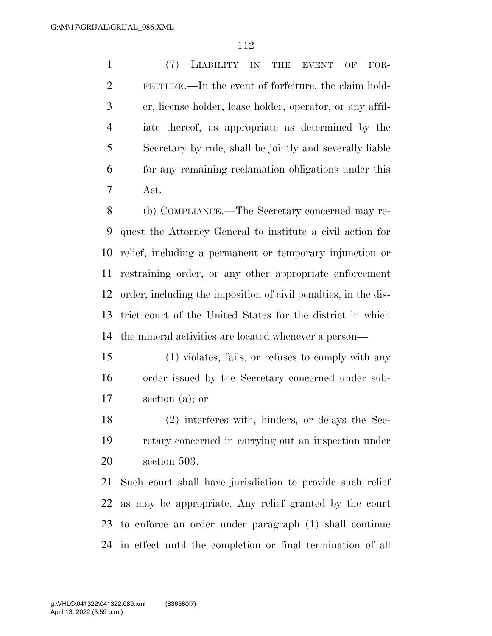(7) LIABILITY IN THE EVENT OF FOR- FEITURE.—In the event of forfeiture, the claim hold- er, license holder, lease holder, operator, or any affil- iate thereof, as appropriate as determined by the Secretary by rule, shall be jointly and severally liable for any remaining reclamation obligations under this Act.

 (b) COMPLIANCE.—The Secretary concerned may re- quest the Attorney General to institute a civil action for relief, including a permanent or temporary injunction or restraining order, or any other appropriate enforcement order, including the imposition of civil penalties, in the dis- trict court of the United States for the district in which the mineral activities are located whenever a person—

 (1) violates, fails, or refuses to comply with any order issued by the Secretary concerned under sub-section (a); or

 (2) interferes with, hinders, or delays the Sec- retary concerned in carrying out an inspection under section 503.

 Such court shall have jurisdiction to provide such relief as may be appropriate. Any relief granted by the court to enforce an order under paragraph (1) shall continue in effect until the completion or final termination of all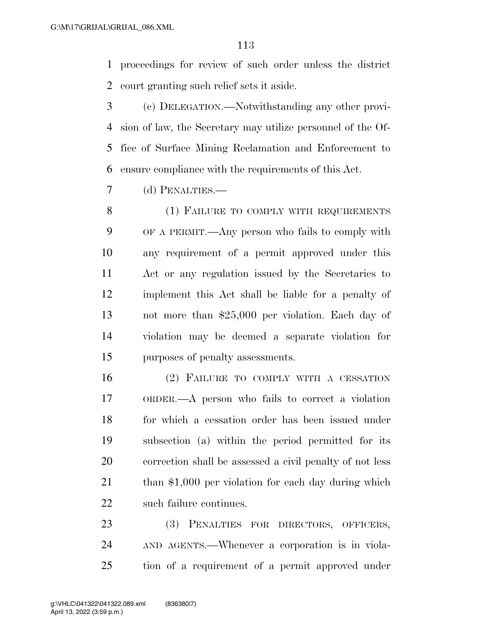proceedings for review of such order unless the district court granting such relief sets it aside.

 (c) DELEGATION.—Notwithstanding any other provi- sion of law, the Secretary may utilize personnel of the Of- fice of Surface Mining Reclamation and Enforcement to ensure compliance with the requirements of this Act.

(d) PENALTIES.—

8 (1) FAILURE TO COMPLY WITH REQUIREMENTS OF A PERMIT.—Any person who fails to comply with any requirement of a permit approved under this Act or any regulation issued by the Secretaries to implement this Act shall be liable for a penalty of not more than \$25,000 per violation. Each day of violation may be deemed a separate violation for purposes of penalty assessments.

 (2) FAILURE TO COMPLY WITH A CESSATION ORDER.—A person who fails to correct a violation for which a cessation order has been issued under subsection (a) within the period permitted for its correction shall be assessed a civil penalty of not less 21 than \$1,000 per violation for each day during which such failure continues.

 (3) PENALTIES FOR DIRECTORS, OFFICERS, AND AGENTS.—Whenever a corporation is in viola-tion of a requirement of a permit approved under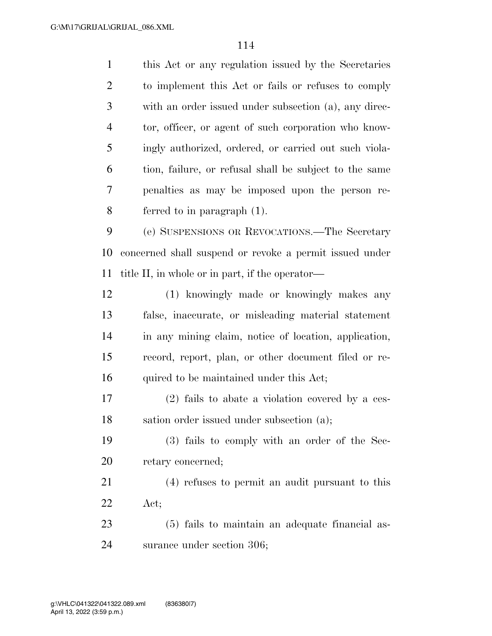| $\mathbf{1}$   | this Act or any regulation issued by the Secretaries    |
|----------------|---------------------------------------------------------|
| $\mathfrak{2}$ | to implement this Act or fails or refuses to comply     |
| 3              | with an order issued under subsection (a), any direc-   |
| $\overline{4}$ | tor, officer, or agent of such corporation who know-    |
| 5              | ingly authorized, ordered, or carried out such viola-   |
| 6              | tion, failure, or refusal shall be subject to the same  |
| 7              | penalties as may be imposed upon the person re-         |
| 8              | ferred to in paragraph $(1)$ .                          |
| 9              | (e) SUSPENSIONS OR REVOCATIONS.—The Secretary           |
| 10             | concerned shall suspend or revoke a permit issued under |
| 11             | title II, in whole or in part, if the operator—         |
| 12             | (1) knowingly made or knowingly makes any               |
| 13             | false, inaccurate, or misleading material statement     |
| 14             | in any mining claim, notice of location, application,   |
| 15             | record, report, plan, or other document filed or re-    |
| 16             | quired to be maintained under this Act;                 |
| 17             | $(2)$ fails to abate a violation covered by a ces-      |
| 18             | sation order issued under subsection (a);               |
| 19             | (3) fails to comply with an order of the Sec-           |
| 20             | retary concerned;                                       |
| 21             | (4) refuses to permit an audit pursuant to this         |
| 22             | Act;                                                    |
| 23             | (5) fails to maintain an adequate financial as-         |
| 24             | surance under section 306;                              |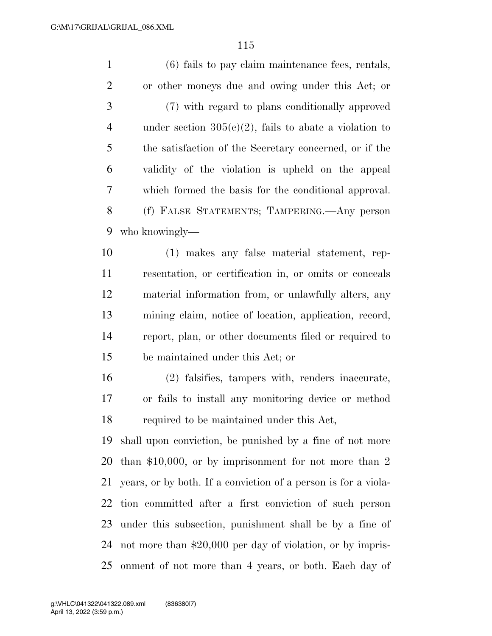(6) fails to pay claim maintenance fees, rentals, or other moneys due and owing under this Act; or (7) with regard to plans conditionally approved 4 under section  $305(c)(2)$ , fails to abate a violation to the satisfaction of the Secretary concerned, or if the validity of the violation is upheld on the appeal which formed the basis for the conditional approval. (f) FALSE STATEMENTS; TAMPERING.—Any person who knowingly— (1) makes any false material statement, rep- resentation, or certification in, or omits or conceals material information from, or unlawfully alters, any mining claim, notice of location, application, record, report, plan, or other documents filed or required to be maintained under this Act; or (2) falsifies, tampers with, renders inaccurate, or fails to install any monitoring device or method required to be maintained under this Act, shall upon conviction, be punished by a fine of not more

 than \$10,000, or by imprisonment for not more than 2 years, or by both. If a conviction of a person is for a viola- tion committed after a first conviction of such person under this subsection, punishment shall be by a fine of not more than \$20,000 per day of violation, or by impris-onment of not more than 4 years, or both. Each day of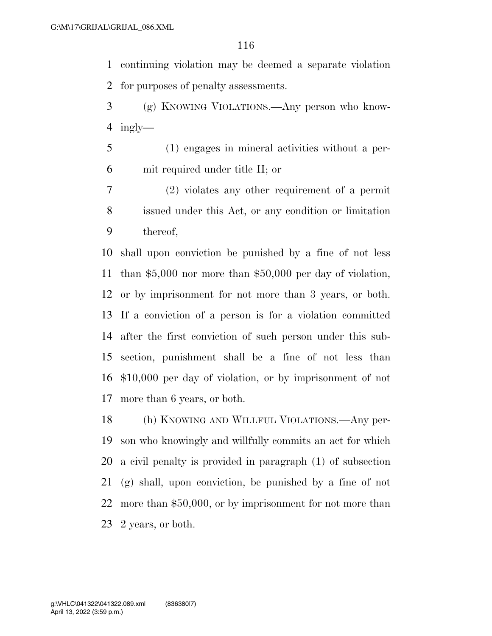continuing violation may be deemed a separate violation for purposes of penalty assessments.

 (g) KNOWING VIOLATIONS.—Any person who know-ingly—

 (1) engages in mineral activities without a per-mit required under title II; or

 (2) violates any other requirement of a permit issued under this Act, or any condition or limitation thereof,

 shall upon conviction be punished by a fine of not less than \$5,000 nor more than \$50,000 per day of violation, or by imprisonment for not more than 3 years, or both. If a conviction of a person is for a violation committed after the first conviction of such person under this sub- section, punishment shall be a fine of not less than \$10,000 per day of violation, or by imprisonment of not more than 6 years, or both.

 (h) KNOWING AND WILLFUL VIOLATIONS.—Any per- son who knowingly and willfully commits an act for which a civil penalty is provided in paragraph (1) of subsection (g) shall, upon conviction, be punished by a fine of not more than \$50,000, or by imprisonment for not more than 2 years, or both.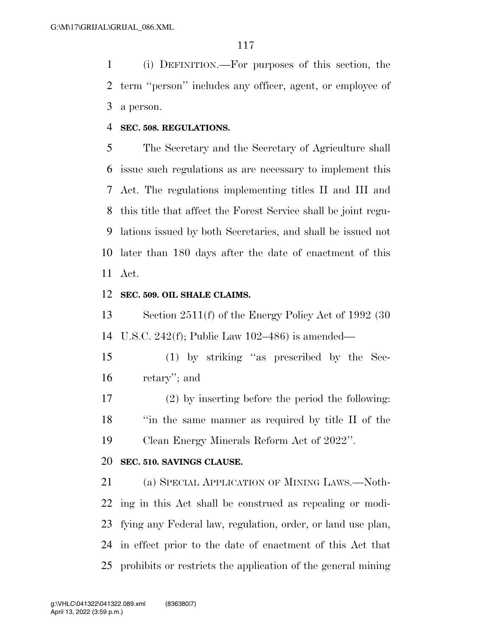(i) DEFINITION.—For purposes of this section, the term ''person'' includes any officer, agent, or employee of a person.

### **SEC. 508. REGULATIONS.**

 The Secretary and the Secretary of Agriculture shall issue such regulations as are necessary to implement this Act. The regulations implementing titles II and III and this title that affect the Forest Service shall be joint regu- lations issued by both Secretaries, and shall be issued not later than 180 days after the date of enactment of this Act.

### **SEC. 509. OIL SHALE CLAIMS.**

 Section 2511(f) of the Energy Policy Act of 1992 (30 U.S.C. 242(f); Public Law 102–486) is amended—

 (1) by striking ''as prescribed by the Sec-retary''; and

 (2) by inserting before the period the following: ''in the same manner as required by title II of the Clean Energy Minerals Reform Act of 2022''.

## **SEC. 510. SAVINGS CLAUSE.**

 (a) SPECIAL APPLICATION OF MINING LAWS.—Noth- ing in this Act shall be construed as repealing or modi- fying any Federal law, regulation, order, or land use plan, in effect prior to the date of enactment of this Act that prohibits or restricts the application of the general mining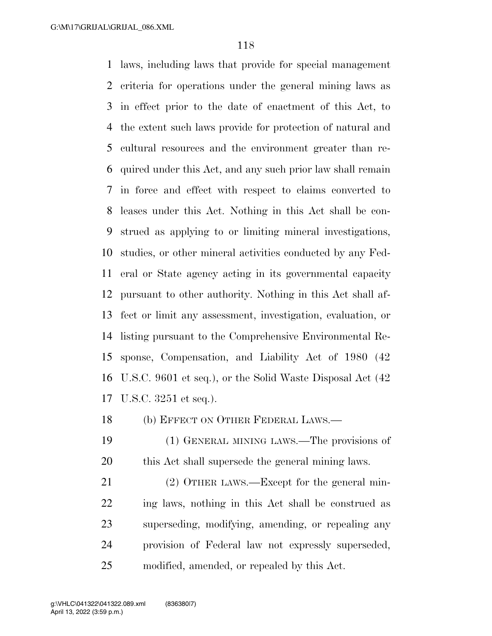laws, including laws that provide for special management criteria for operations under the general mining laws as in effect prior to the date of enactment of this Act, to the extent such laws provide for protection of natural and cultural resources and the environment greater than re- quired under this Act, and any such prior law shall remain in force and effect with respect to claims converted to leases under this Act. Nothing in this Act shall be con- strued as applying to or limiting mineral investigations, studies, or other mineral activities conducted by any Fed- eral or State agency acting in its governmental capacity pursuant to other authority. Nothing in this Act shall af- fect or limit any assessment, investigation, evaluation, or listing pursuant to the Comprehensive Environmental Re- sponse, Compensation, and Liability Act of 1980 (42 U.S.C. 9601 et seq.), or the Solid Waste Disposal Act (42 U.S.C. 3251 et seq.).

(b) EFFECT ON OTHER FEDERAL LAWS.—

 (1) GENERAL MINING LAWS.—The provisions of this Act shall supersede the general mining laws.

21 (2) OTHER LAWS.—Except for the general min- ing laws, nothing in this Act shall be construed as superseding, modifying, amending, or repealing any provision of Federal law not expressly superseded, modified, amended, or repealed by this Act.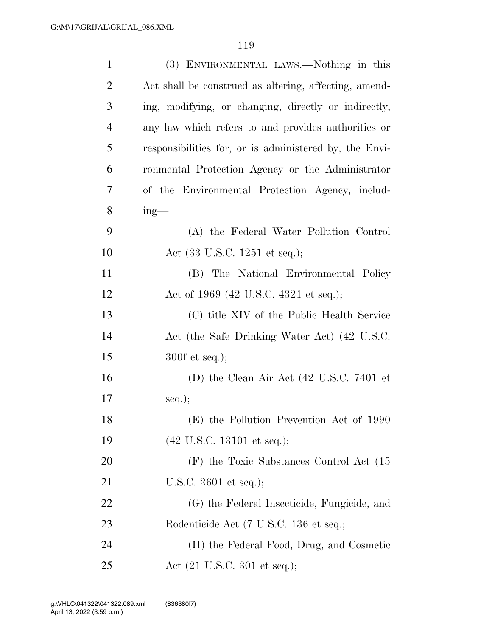| $\mathbf{1}$   | (3) ENVIRONMENTAL LAWS.—Nothing in this                      |
|----------------|--------------------------------------------------------------|
| $\overline{2}$ | Act shall be construed as altering, affecting, amend-        |
| 3              | ing, modifying, or changing, directly or indirectly,         |
| $\overline{4}$ | any law which refers to and provides authorities or          |
| 5              | responsibilities for, or is administered by, the Envi-       |
| 6              | ronmental Protection Agency or the Administrator             |
| 7              | of the Environmental Protection Agency, includ-              |
| 8              | $ing$ —                                                      |
| 9              | (A) the Federal Water Pollution Control                      |
| 10             | Act (33 U.S.C. 1251 et seq.);                                |
| 11             | (B) The National Environmental Policy                        |
| 12             | Act of 1969 (42 U.S.C. 4321 et seq.);                        |
| 13             | (C) title XIV of the Public Health Service                   |
| 14             | Act (the Safe Drinking Water Act) (42 U.S.C.                 |
| 15             | $300f$ et seq.);                                             |
| 16             | (D) the Clean Air Act $(42 \text{ U.S.C. } 7401 \text{ et }$ |
| 17             | $seq.$ ;                                                     |
| 18             | (E) the Pollution Prevention Act of 1990                     |
| 19             | $(42 \text{ U.S.C. } 13101 \text{ et seq.});$                |
| 20             | (F) the Toxic Substances Control Act (15                     |
| 21             | U.S.C. $2601$ et seq.);                                      |
| 22             | (G) the Federal Insecticide, Fungicide, and                  |
| 23             | Rodenticide Act (7 U.S.C. 136 et seq.;                       |
| 24             | (H) the Federal Food, Drug, and Cosmetic                     |
| 25             | Act (21 U.S.C. 301 et seq.);                                 |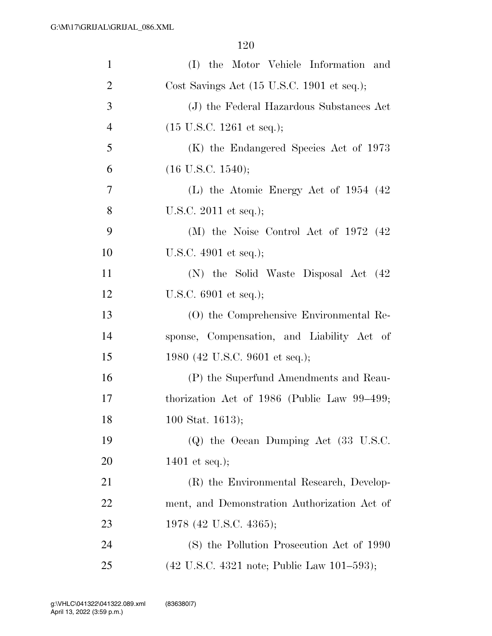| $\mathbf{1}$   | (I) the Motor Vehicle Information and                                 |
|----------------|-----------------------------------------------------------------------|
| $\overline{2}$ | Cost Savings Act (15 U.S.C. 1901 et seq.);                            |
| 3              | (J) the Federal Hazardous Substances Act                              |
| $\overline{4}$ | $(15 \text{ U.S.C. } 1261 \text{ et seq.});$                          |
| 5              | (K) the Endangered Species Act of 1973                                |
| 6              | (16 U.S.C. 1540);                                                     |
| 7              | (L) the Atomic Energy Act of $1954$ (42)                              |
| 8              | U.S.C. $2011$ et seq.);                                               |
| 9              | (M) the Noise Control Act of $1972$ (42)                              |
| 10             | U.S.C. $4901$ et seq.);                                               |
| 11             | (N) the Solid Waste Disposal Act (42)                                 |
| 12             | U.S.C. $6901$ et seq.);                                               |
| 13             | (O) the Comprehensive Environmental Re-                               |
| 14             | sponse, Compensation, and Liability Act of                            |
| 15             | 1980 (42 U.S.C. 9601 et seq.);                                        |
| 16             | (P) the Superfund Amendments and Reau-                                |
| 17             | thorization Act of 1986 (Public Law $99-499$ ;                        |
| 18             | 100 Stat. 1613);                                                      |
| 19             | $(Q)$ the Ocean Dumping Act $(33 \text{ U.S.C.})$                     |
| 20             | 1401 et seq.);                                                        |
| 21             | (R) the Environmental Research, Develop-                              |
| 22             | ment, and Demonstration Authorization Act of                          |
| 23             | 1978 (42 U.S.C. 4365);                                                |
| 24             | (S) the Pollution Prosecution Act of 1990                             |
| 25             | $(42 \text{ U.S.C. } 4321 \text{ note}; \text{Public Law } 101-593);$ |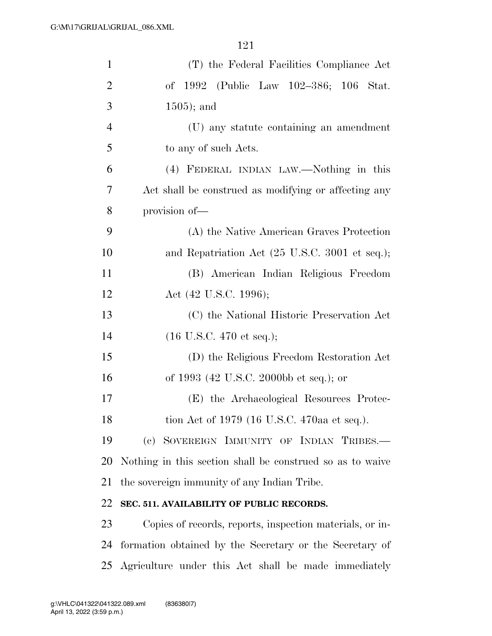| $\mathbf{1}$   | (T) the Federal Facilities Compliance Act                 |
|----------------|-----------------------------------------------------------|
| $\overline{2}$ | of 1992 (Public Law 102–386; 106<br>Stat.                 |
| 3              | $1505$ ; and                                              |
| $\overline{4}$ | (U) any statute containing an amendment                   |
| 5              | to any of such Acts.                                      |
| 6              | (4) FEDERAL INDIAN LAW.—Nothing in this                   |
| 7              | Act shall be construed as modifying or affecting any      |
| 8              | provision of-                                             |
| 9              | (A) the Native American Graves Protection                 |
| 10             | and Repatriation Act (25 U.S.C. 3001 et seq.);            |
| 11             | (B) American Indian Religious Freedom                     |
| 12             | Act (42 U.S.C. 1996);                                     |
| 13             | (C) the National Historic Preservation Act                |
| 14             | $(16 \text{ U.S.C. } 470 \text{ et seq.});$               |
| 15             | (D) the Religious Freedom Restoration Act                 |
| 16             | of 1993 (42 U.S.C. 2000bb et seq.); or                    |
| 17             | (E) the Archaeological Resources Protec-                  |
| 18             | tion Act of 1979 (16 U.S.C. 470aa et seq.).               |
| 19             | (c) SOVEREIGN IMMUNITY OF INDIAN TRIBES.                  |
| 20             | Nothing in this section shall be construed so as to waive |
| 21             | the sovereign immunity of any Indian Tribe.               |
| 22             | SEC. 511. AVAILABILITY OF PUBLIC RECORDS.                 |
| 23             | Copies of records, reports, inspection materials, or in-  |
| 24             | formation obtained by the Secretary or the Secretary of   |
| 25             | Agriculture under this Act shall be made immediately      |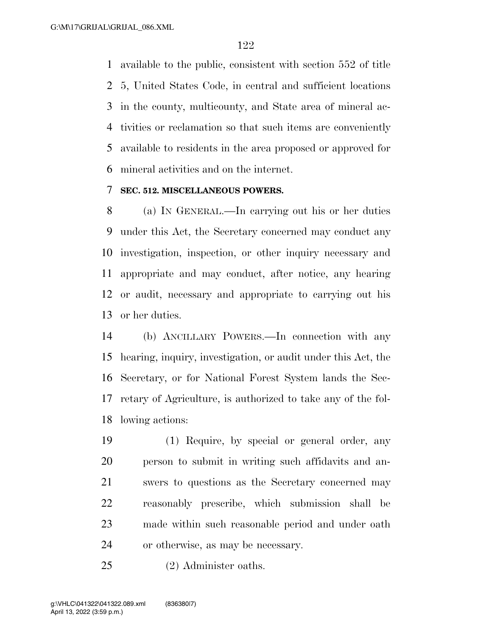available to the public, consistent with section 552 of title 5, United States Code, in central and sufficient locations in the county, multicounty, and State area of mineral ac- tivities or reclamation so that such items are conveniently available to residents in the area proposed or approved for mineral activities and on the internet.

### **SEC. 512. MISCELLANEOUS POWERS.**

 (a) IN GENERAL.—In carrying out his or her duties under this Act, the Secretary concerned may conduct any investigation, inspection, or other inquiry necessary and appropriate and may conduct, after notice, any hearing or audit, necessary and appropriate to carrying out his or her duties.

 (b) ANCILLARY POWERS.—In connection with any hearing, inquiry, investigation, or audit under this Act, the Secretary, or for National Forest System lands the Sec- retary of Agriculture, is authorized to take any of the fol-lowing actions:

 (1) Require, by special or general order, any person to submit in writing such affidavits and an- swers to questions as the Secretary concerned may reasonably prescribe, which submission shall be made within such reasonable period and under oath or otherwise, as may be necessary.

(2) Administer oaths.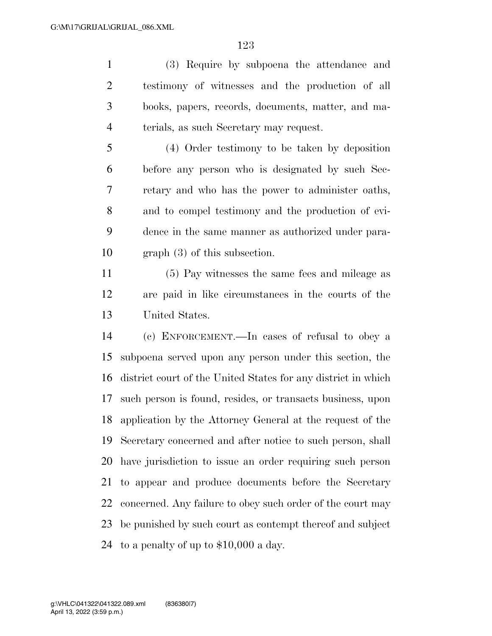(3) Require by subpoena the attendance and testimony of witnesses and the production of all books, papers, records, documents, matter, and ma-terials, as such Secretary may request.

 (4) Order testimony to be taken by deposition before any person who is designated by such Sec- retary and who has the power to administer oaths, and to compel testimony and the production of evi- dence in the same manner as authorized under para-graph (3) of this subsection.

 (5) Pay witnesses the same fees and mileage as are paid in like circumstances in the courts of the United States.

 (c) ENFORCEMENT.—In cases of refusal to obey a subpoena served upon any person under this section, the district court of the United States for any district in which such person is found, resides, or transacts business, upon application by the Attorney General at the request of the Secretary concerned and after notice to such person, shall have jurisdiction to issue an order requiring such person to appear and produce documents before the Secretary concerned. Any failure to obey such order of the court may be punished by such court as contempt thereof and subject to a penalty of up to \$10,000 a day.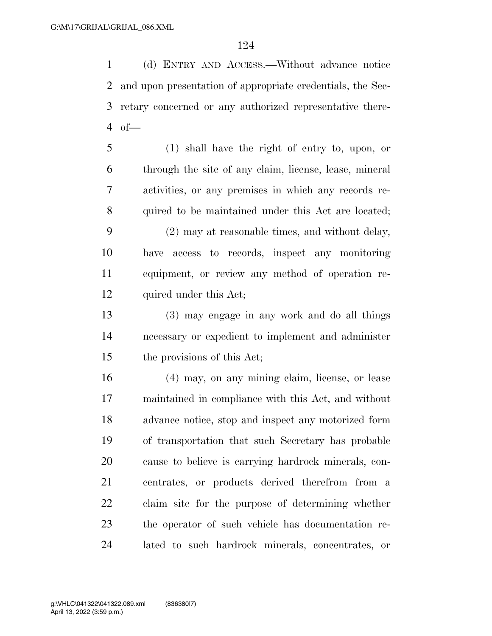(d) ENTRY AND ACCESS.—Without advance notice and upon presentation of appropriate credentials, the Sec- retary concerned or any authorized representative there-4 of  $-$ 

 (1) shall have the right of entry to, upon, or through the site of any claim, license, lease, mineral activities, or any premises in which any records re- quired to be maintained under this Act are located; (2) may at reasonable times, and without delay, have access to records, inspect any monitoring equipment, or review any method of operation re-

quired under this Act;

 (3) may engage in any work and do all things necessary or expedient to implement and administer the provisions of this Act;

 (4) may, on any mining claim, license, or lease maintained in compliance with this Act, and without advance notice, stop and inspect any motorized form of transportation that such Secretary has probable cause to believe is carrying hardrock minerals, con- centrates, or products derived therefrom from a claim site for the purpose of determining whether the operator of such vehicle has documentation re-lated to such hardrock minerals, concentrates, or

April 13, 2022 (3:59 p.m.) g:\VHLC\041322\041322.089.xml (836380|7)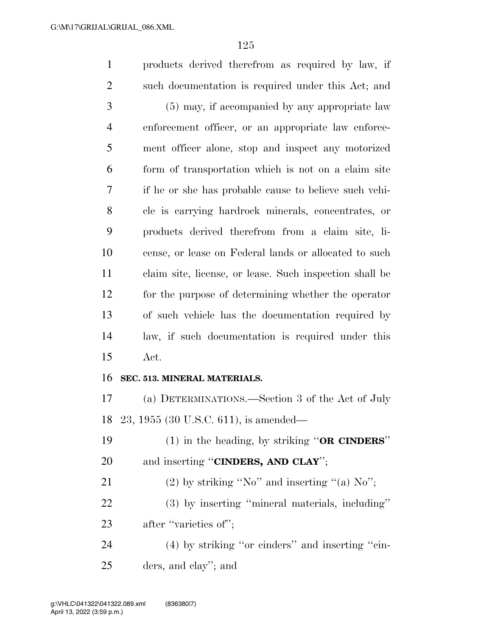products derived therefrom as required by law, if such documentation is required under this Act; and (5) may, if accompanied by any appropriate law enforcement officer, or an appropriate law enforce- ment officer alone, stop and inspect any motorized form of transportation which is not on a claim site if he or she has probable cause to believe such vehi- cle is carrying hardrock minerals, concentrates, or products derived therefrom from a claim site, li- cense, or lease on Federal lands or allocated to such claim site, license, or lease. Such inspection shall be for the purpose of determining whether the operator of such vehicle has the documentation required by law, if such documentation is required under this Act. **SEC. 513. MINERAL MATERIALS.**  (a) DETERMINATIONS.—Section 3 of the Act of July 23, 1955 (30 U.S.C. 611), is amended—

 (1) in the heading, by striking ''**OR CINDERS**'' and inserting ''**CINDERS, AND CLAY**'';

21 (2) by striking "No" and inserting "(a)  $\text{No}$ ";

 (3) by inserting ''mineral materials, including'' 23 after "varieties of";

 (4) by striking ''or cinders'' and inserting ''cin-ders, and clay''; and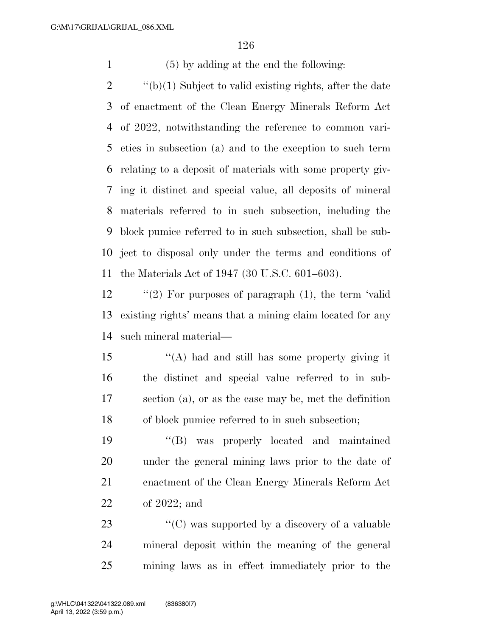(5) by adding at the end the following:

 ''(b)(1) Subject to valid existing rights, after the date of enactment of the Clean Energy Minerals Reform Act of 2022, notwithstanding the reference to common vari- eties in subsection (a) and to the exception to such term relating to a deposit of materials with some property giv- ing it distinct and special value, all deposits of mineral materials referred to in such subsection, including the block pumice referred to in such subsection, shall be sub- ject to disposal only under the terms and conditions of the Materials Act of 1947 (30 U.S.C. 601–603).

 ''(2) For purposes of paragraph (1), the term 'valid existing rights' means that a mining claim located for any such mineral material—

 ''(A) had and still has some property giving it the distinct and special value referred to in sub- section (a), or as the case may be, met the definition of block pumice referred to in such subsection;

 ''(B) was properly located and maintained under the general mining laws prior to the date of enactment of the Clean Energy Minerals Reform Act of 2022; and

23  $\langle ^{\prime}(C) \rangle$  was supported by a discovery of a valuable mineral deposit within the meaning of the general mining laws as in effect immediately prior to the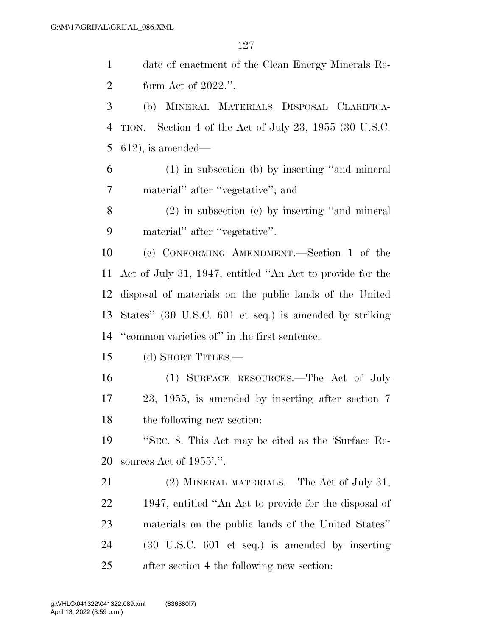date of enactment of the Clean Energy Minerals Re- form Act of 2022.''. (b) MINERAL MATERIALS DISPOSAL CLARIFICA- TION.—Section 4 of the Act of July 23, 1955 (30 U.S.C. 612), is amended— (1) in subsection (b) by inserting ''and mineral material'' after ''vegetative''; and (2) in subsection (c) by inserting ''and mineral material'' after ''vegetative''. (c) CONFORMING AMENDMENT.—Section 1 of the Act of July 31, 1947, entitled ''An Act to provide for the disposal of materials on the public lands of the United States'' (30 U.S.C. 601 et seq.) is amended by striking ''common varieties of'' in the first sentence. (d) SHORT TITLES.— (1) SURFACE RESOURCES.—The Act of July 23, 1955, is amended by inserting after section 7 the following new section: ''SEC. 8. This Act may be cited as the 'Surface Re- sources Act of 1955'.''. 21 (2) MINERAL MATERIALS.—The Act of July 31, 1947, entitled ''An Act to provide for the disposal of materials on the public lands of the United States'' (30 U.S.C. 601 et seq.) is amended by inserting after section 4 the following new section: